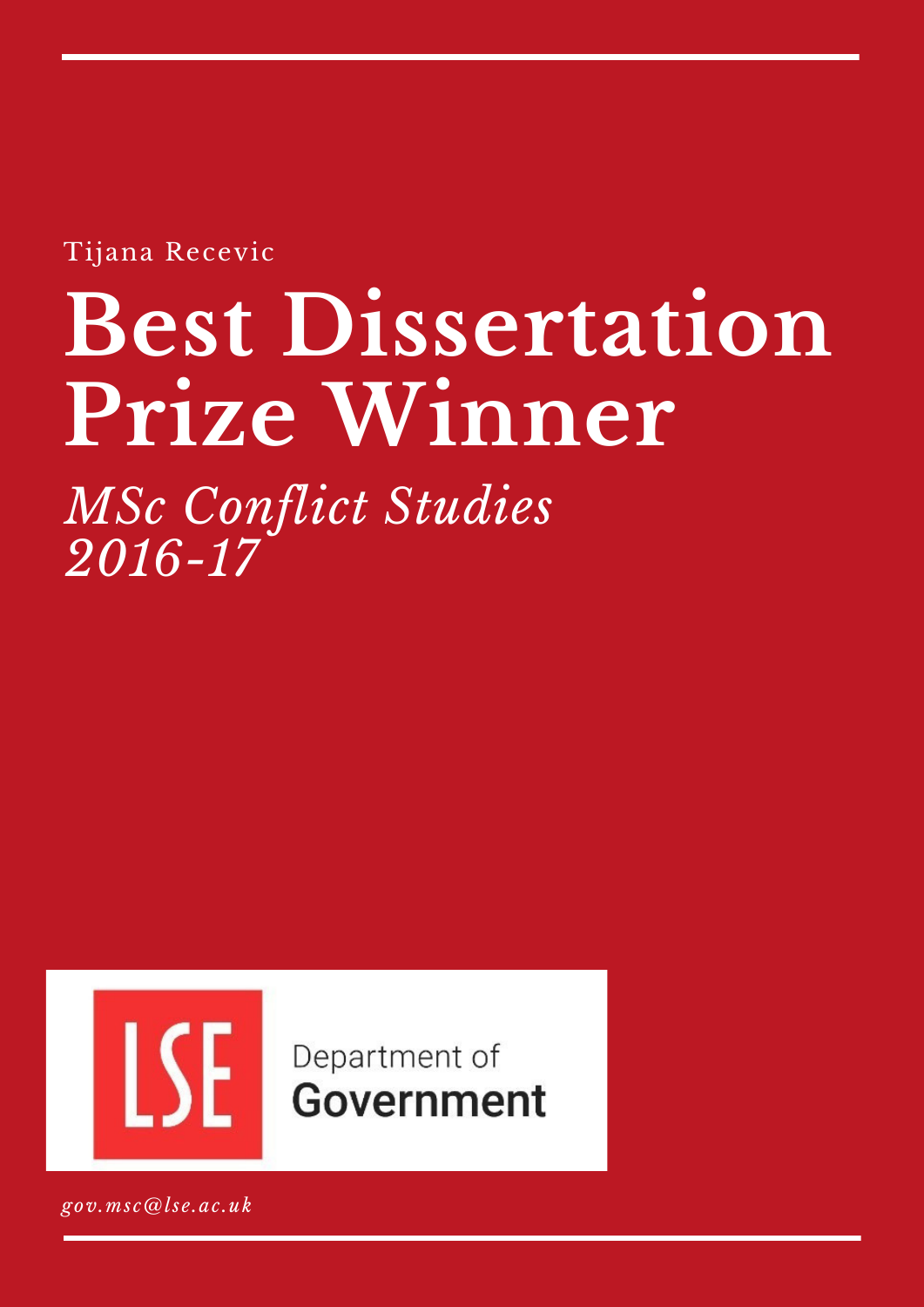Tijana Recevic

# **Best Dissertation Prize Winner**

*MSc Conflict Studies 2016-17*



Department of **Government** 

*gov.msc@lse.ac.uk*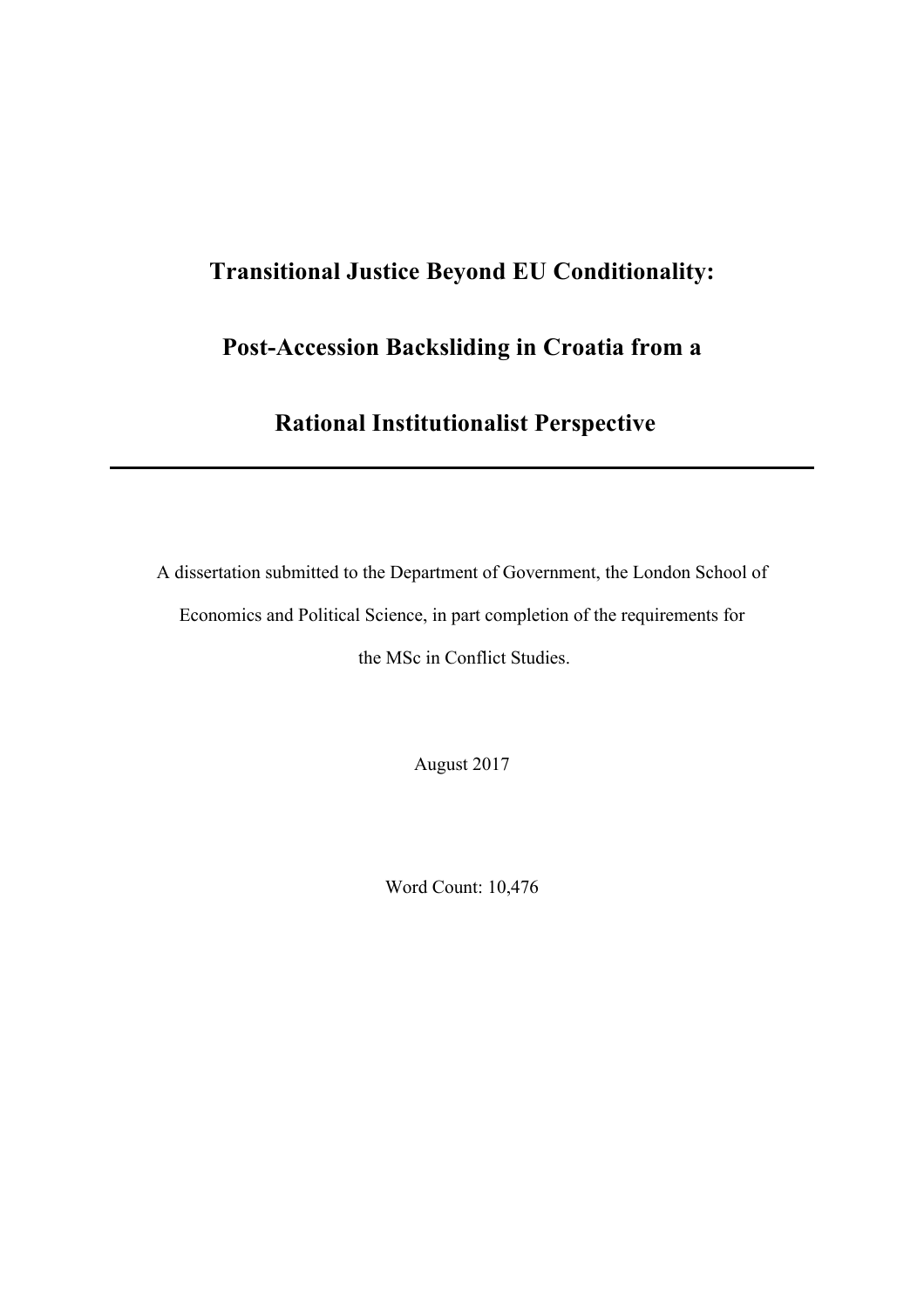# **Transitional Justice Beyond EU Conditionality:**

# **Post-Accession Backsliding in Croatia from a**

# **Rational Institutionalist Perspective**

A dissertation submitted to the Department of Government, the London School of Economics and Political Science, in part completion of the requirements for the MSc in Conflict Studies.

August 2017

Word Count: 10,476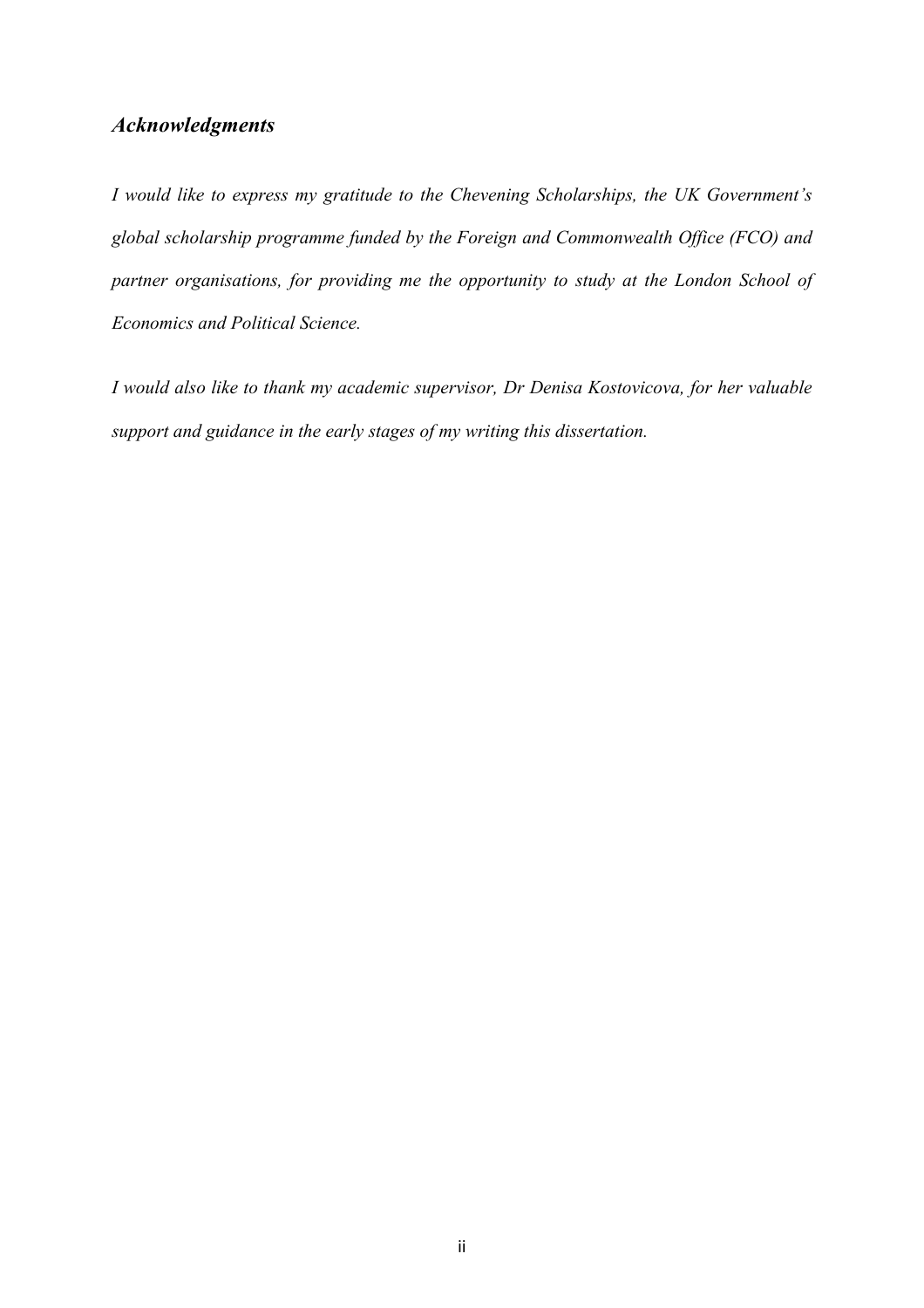# *Acknowledgments*

*I would like to express my gratitude to the Chevening Scholarships, the UK Government's global scholarship programme funded by the Foreign and Commonwealth Office (FCO) and partner organisations, for providing me the opportunity to study at the London School of Economics and Political Science.* 

*I would also like to thank my academic supervisor, Dr Denisa Kostovicova, for her valuable support and guidance in the early stages of my writing this dissertation.*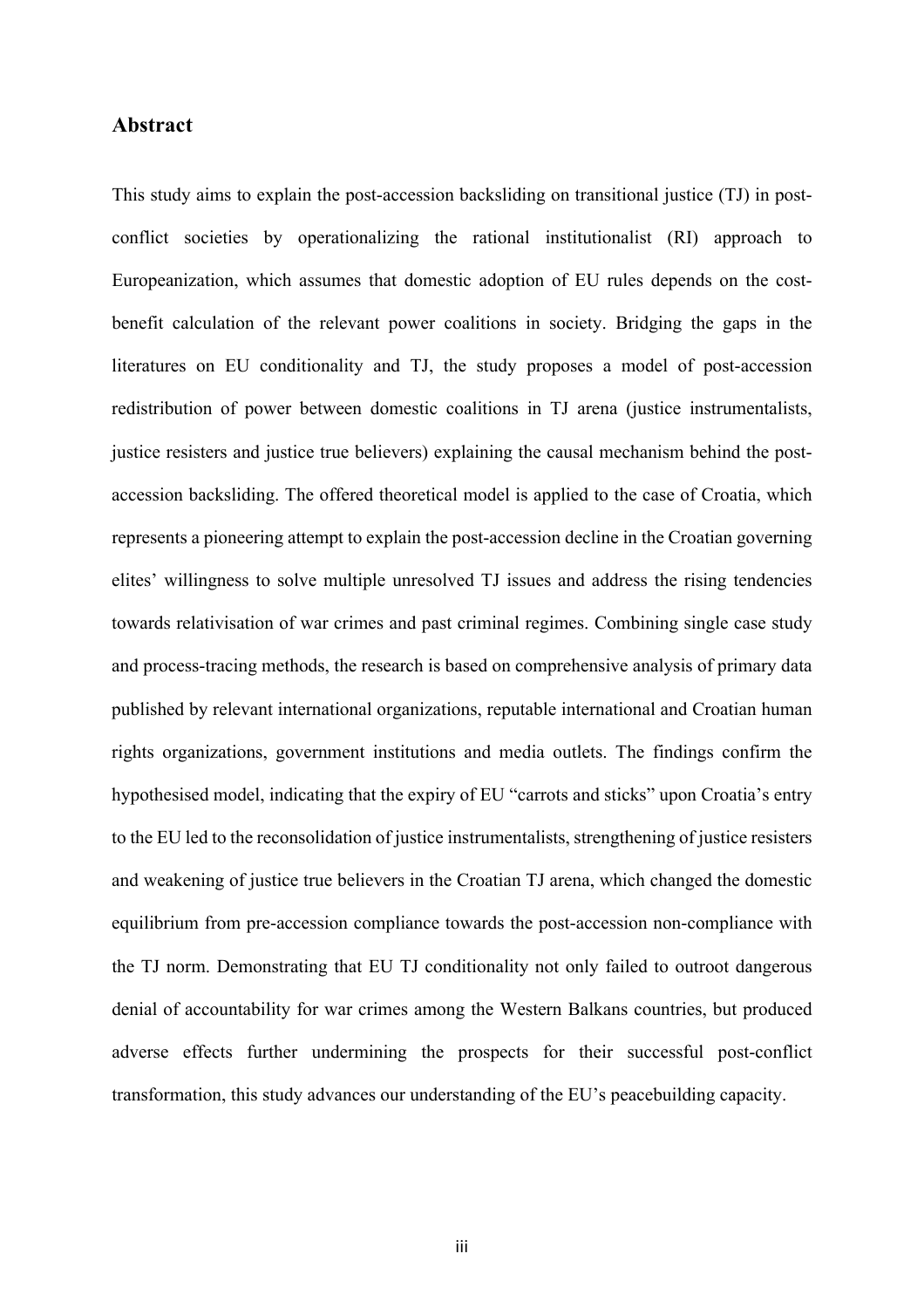# **Abstract**

This study aims to explain the post-accession backsliding on transitional justice (TJ) in postconflict societies by operationalizing the rational institutionalist (RI) approach to Europeanization, which assumes that domestic adoption of EU rules depends on the costbenefit calculation of the relevant power coalitions in society. Bridging the gaps in the literatures on EU conditionality and TJ, the study proposes a model of post-accession redistribution of power between domestic coalitions in TJ arena (justice instrumentalists, justice resisters and justice true believers) explaining the causal mechanism behind the postaccession backsliding. The offered theoretical model is applied to the case of Croatia, which represents a pioneering attempt to explain the post-accession decline in the Croatian governing elites' willingness to solve multiple unresolved TJ issues and address the rising tendencies towards relativisation of war crimes and past criminal regimes. Combining single case study and process-tracing methods, the research is based on comprehensive analysis of primary data published by relevant international organizations, reputable international and Croatian human rights organizations, government institutions and media outlets. The findings confirm the hypothesised model, indicating that the expiry of EU "carrots and sticks" upon Croatia's entry to the EU led to the reconsolidation of justice instrumentalists, strengthening of justice resisters and weakening of justice true believers in the Croatian TJ arena, which changed the domestic equilibrium from pre-accession compliance towards the post-accession non-compliance with the TJ norm. Demonstrating that EU TJ conditionality not only failed to outroot dangerous denial of accountability for war crimes among the Western Balkans countries, but produced adverse effects further undermining the prospects for their successful post-conflict transformation, this study advances our understanding of the EU's peacebuilding capacity.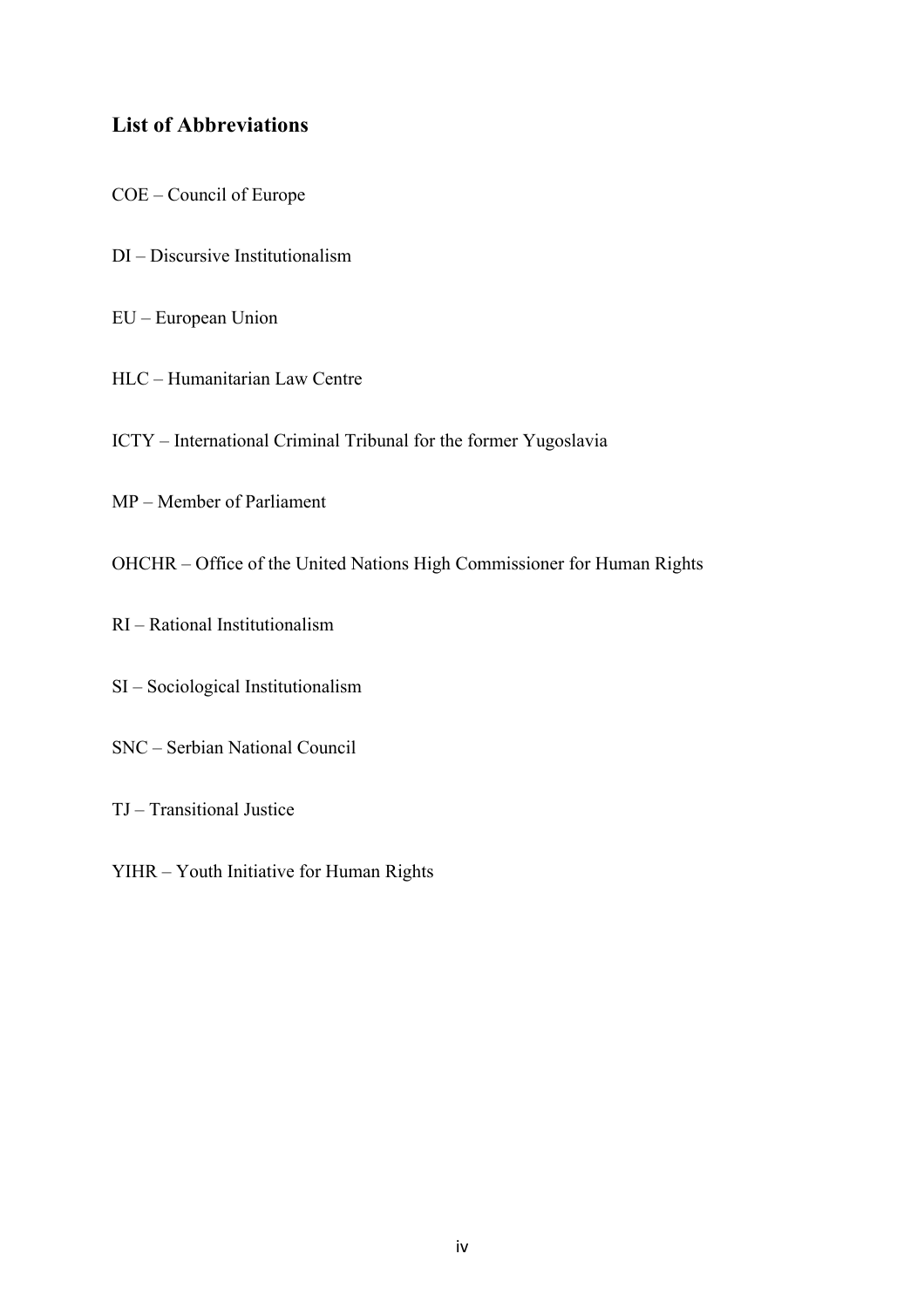# **List of Abbreviations**

- COE Council of Europe
- DI Discursive Institutionalism
- EU European Union
- HLC Humanitarian Law Centre
- ICTY International Criminal Tribunal for the former Yugoslavia
- MP Member of Parliament
- OHCHR Office of the United Nations High Commissioner for Human Rights
- RI Rational Institutionalism
- SI Sociological Institutionalism
- SNC Serbian National Council
- TJ Transitional Justice
- YIHR Youth Initiative for Human Rights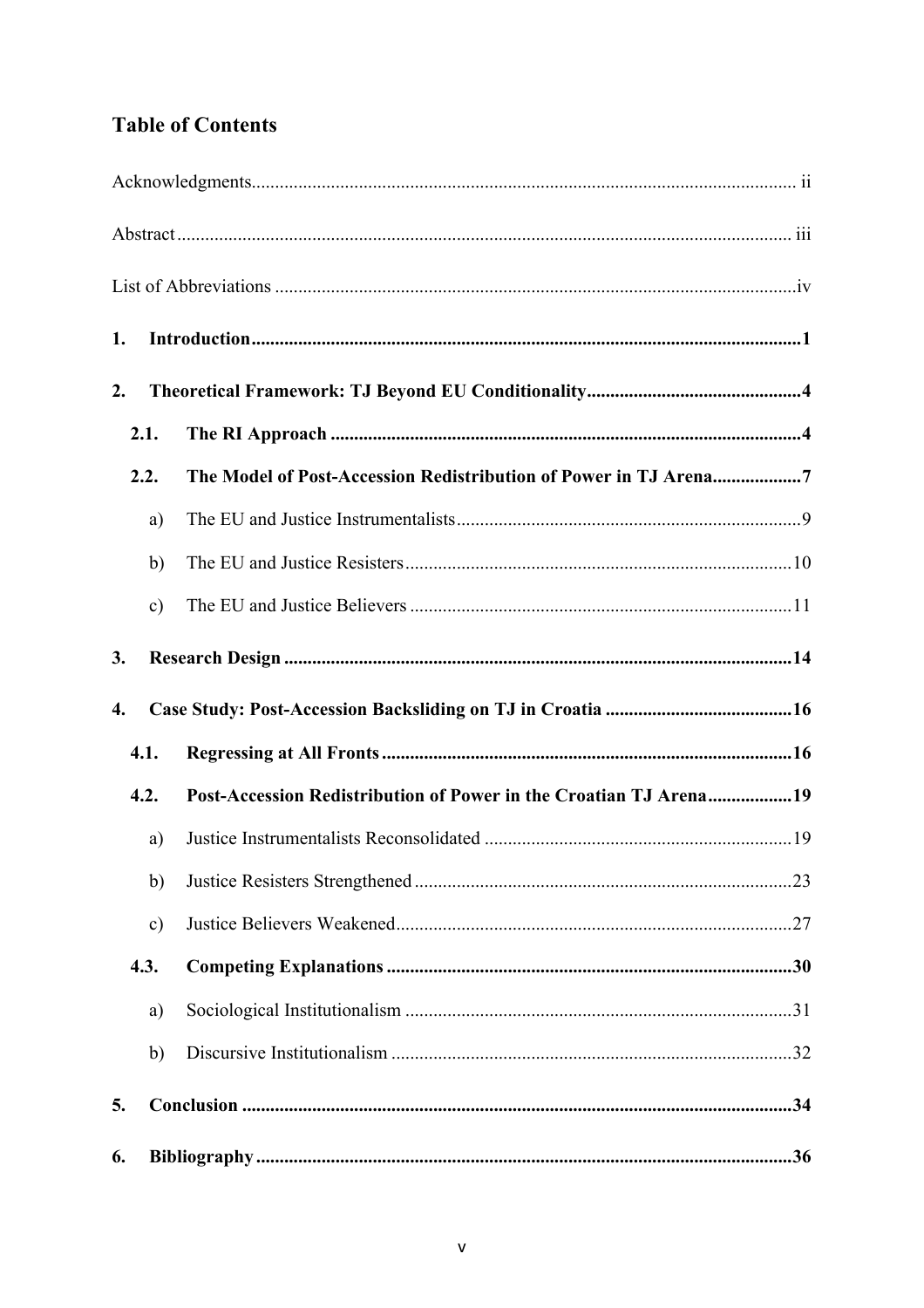# **Table of Contents**

| 1.   |               |                                                                   |  |  |
|------|---------------|-------------------------------------------------------------------|--|--|
| 2.   |               |                                                                   |  |  |
| 2.1. |               |                                                                   |  |  |
| 2.2. |               | The Model of Post-Accession Redistribution of Power in TJ Arena7  |  |  |
|      | a)            |                                                                   |  |  |
|      | b)            |                                                                   |  |  |
|      | $\mathbf{c})$ |                                                                   |  |  |
| 3.   |               |                                                                   |  |  |
| 4.   |               |                                                                   |  |  |
| 4.1. |               |                                                                   |  |  |
| 4.2. |               | Post-Accession Redistribution of Power in the Croatian TJ Arena19 |  |  |
|      | a)            |                                                                   |  |  |
|      | b)            |                                                                   |  |  |
|      | $\mathbf{c})$ |                                                                   |  |  |
| 4.3. |               |                                                                   |  |  |
|      | a)            |                                                                   |  |  |
|      | b)            |                                                                   |  |  |
| 5.   |               |                                                                   |  |  |
| 6.   |               |                                                                   |  |  |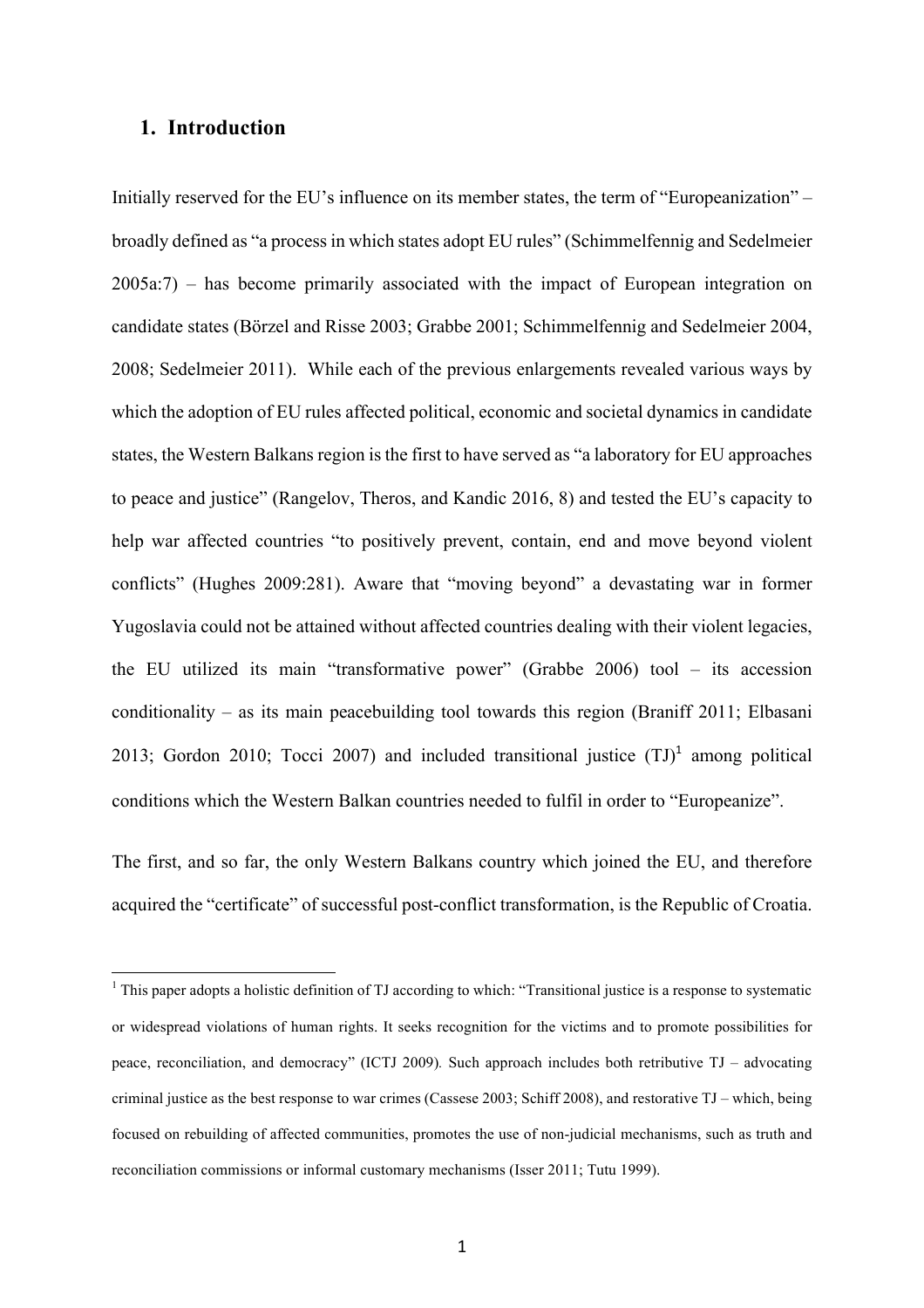# **1. Introduction**

 

Initially reserved for the EU's influence on its member states, the term of "Europeanization" – broadly defined as "a process in which states adopt EU rules" (Schimmelfennig and Sedelmeier 2005a:7) – has become primarily associated with the impact of European integration on candidate states (Börzel and Risse 2003; Grabbe 2001; Schimmelfennig and Sedelmeier 2004, 2008; Sedelmeier 2011). While each of the previous enlargements revealed various ways by which the adoption of EU rules affected political, economic and societal dynamics in candidate states, the Western Balkans region is the first to have served as "a laboratory for EU approaches to peace and justice" (Rangelov, Theros, and Kandic 2016, 8) and tested the EU's capacity to help war affected countries "to positively prevent, contain, end and move beyond violent conflicts" (Hughes 2009:281). Aware that "moving beyond" a devastating war in former Yugoslavia could not be attained without affected countries dealing with their violent legacies, the EU utilized its main "transformative power" (Grabbe 2006) tool – its accession conditionality – as its main peacebuilding tool towards this region (Braniff 2011; Elbasani 2013; Gordon 2010; Tocci 2007) and included transitional justice  $(TJ)^1$  among political conditions which the Western Balkan countries needed to fulfil in order to "Europeanize".

The first, and so far, the only Western Balkans country which joined the EU, and therefore acquired the "certificate" of successful post-conflict transformation, is the Republic of Croatia.

<sup>&</sup>lt;sup>1</sup> This paper adopts a holistic definition of TJ according to which: "Transitional justice is a response to systematic or widespread violations of human rights. It seeks recognition for the victims and to promote possibilities for peace, reconciliation, and democracy" (ICTJ 2009)*.* Such approach includes both retributive TJ – advocating criminal justice as the best response to war crimes (Cassese 2003; Schiff 2008), and restorative TJ – which, being focused on rebuilding of affected communities, promotes the use of non-judicial mechanisms, such as truth and reconciliation commissions or informal customary mechanisms (Isser 2011; Tutu 1999).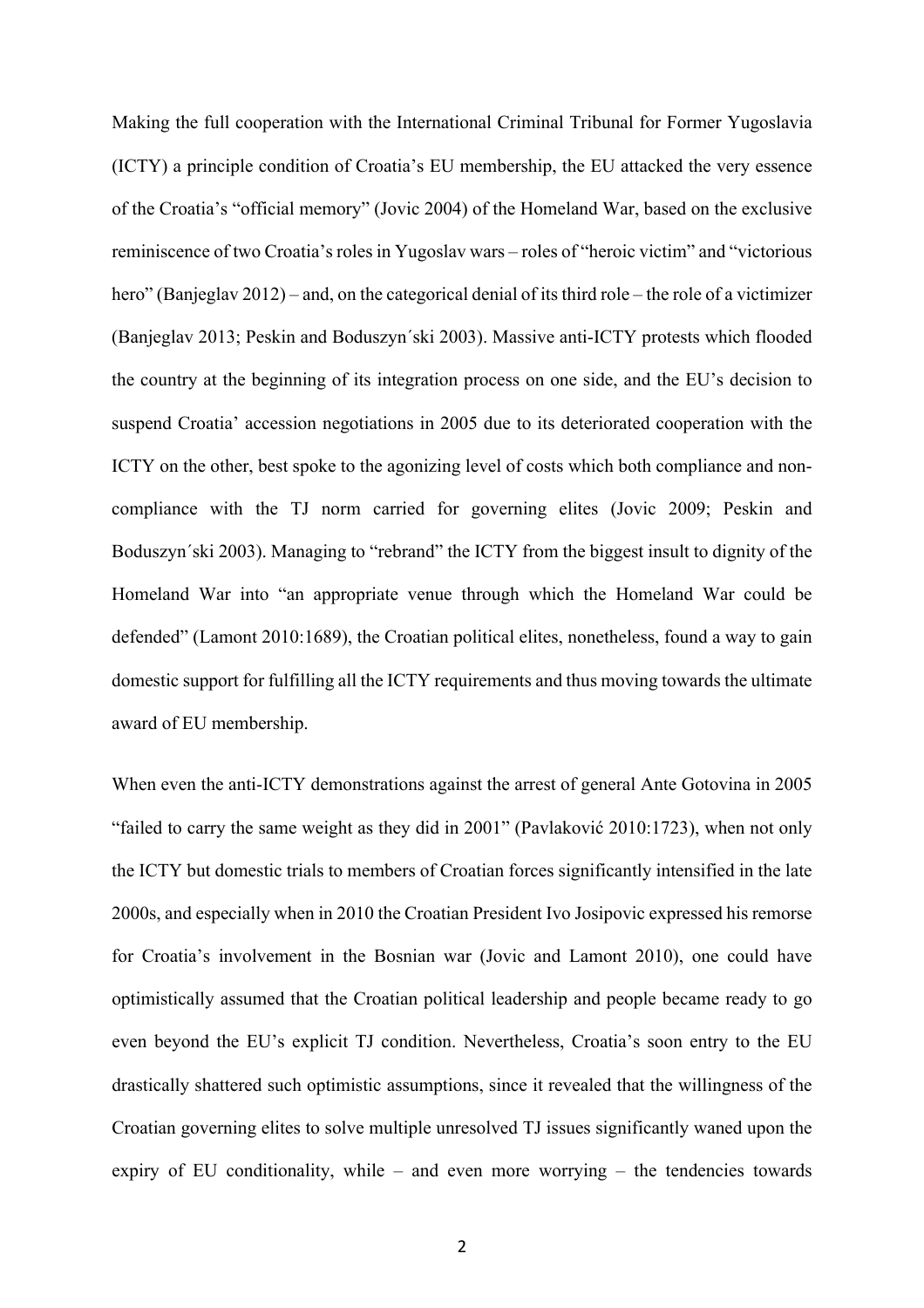Making the full cooperation with the International Criminal Tribunal for Former Yugoslavia (ICTY) a principle condition of Croatia's EU membership, the EU attacked the very essence of the Croatia's "official memory" (Jovic 2004) of the Homeland War, based on the exclusive reminiscence of two Croatia's roles in Yugoslav wars – roles of "heroic victim" and "victorious hero" (Banjeglav 2012) – and, on the categorical denial of its third role – the role of a victimizer (Banjeglav 2013; Peskin and Boduszyn´ski 2003). Massive anti-ICTY protests which flooded the country at the beginning of its integration process on one side, and the EU's decision to suspend Croatia' accession negotiations in 2005 due to its deteriorated cooperation with the ICTY on the other, best spoke to the agonizing level of costs which both compliance and noncompliance with the TJ norm carried for governing elites (Jovic 2009; Peskin and Boduszyn´ski 2003). Managing to "rebrand" the ICTY from the biggest insult to dignity of the Homeland War into "an appropriate venue through which the Homeland War could be defended" (Lamont 2010:1689), the Croatian political elites, nonetheless, found a way to gain domestic support for fulfilling all the ICTY requirements and thus moving towards the ultimate award of EU membership.

When even the anti-ICTY demonstrations against the arrest of general Ante Gotovina in 2005 "failed to carry the same weight as they did in 2001" (Pavlaković 2010:1723), when not only the ICTY but domestic trials to members of Croatian forces significantly intensified in the late 2000s, and especially when in 2010 the Croatian President Ivo Josipovic expressed his remorse for Croatia's involvement in the Bosnian war (Jovic and Lamont 2010), one could have optimistically assumed that the Croatian political leadership and people became ready to go even beyond the EU's explicit TJ condition. Nevertheless, Croatia's soon entry to the EU drastically shattered such optimistic assumptions, since it revealed that the willingness of the Croatian governing elites to solve multiple unresolved TJ issues significantly waned upon the expiry of EU conditionality, while – and even more worrying – the tendencies towards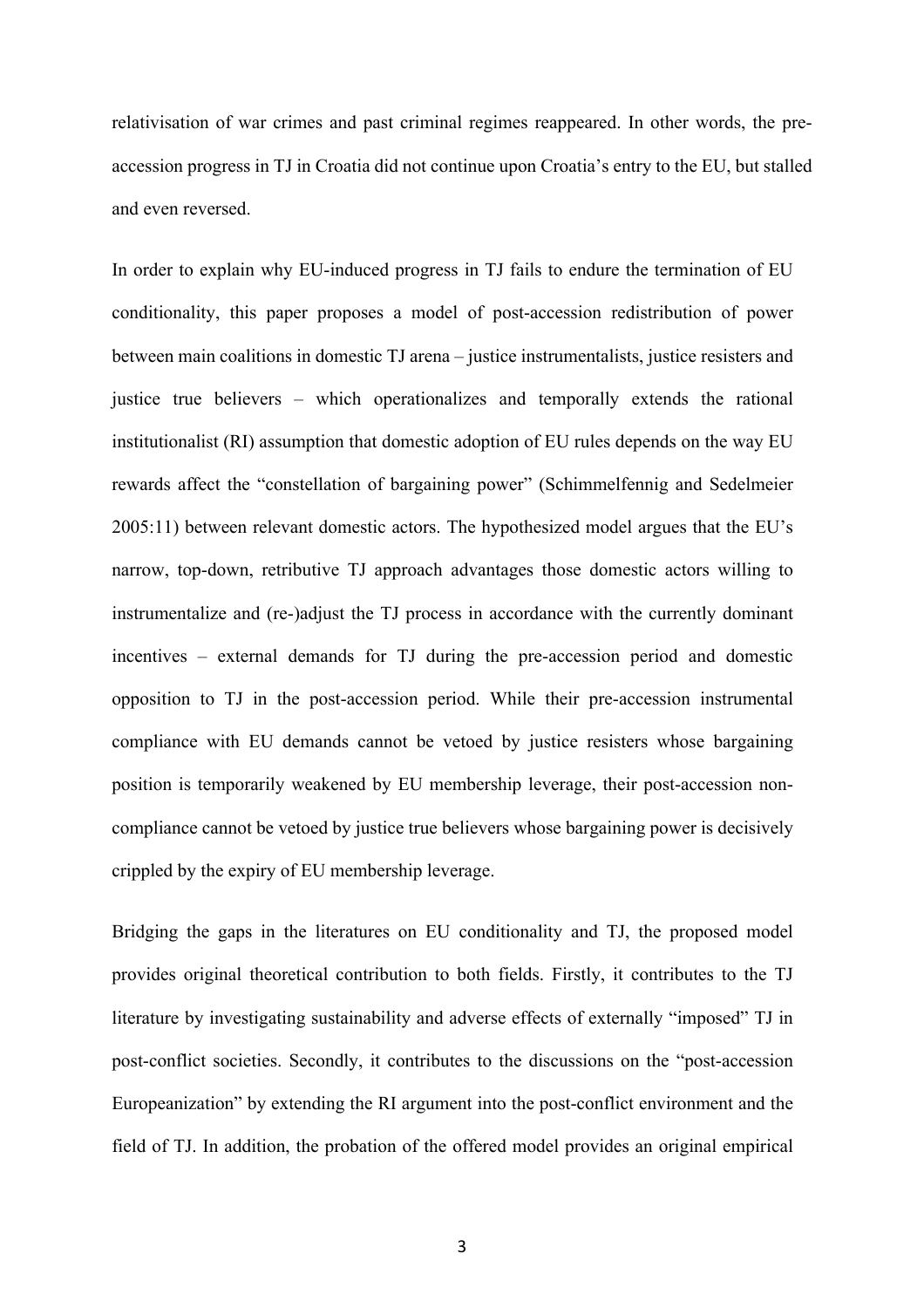relativisation of war crimes and past criminal regimes reappeared. In other words, the preaccession progress in TJ in Croatia did not continue upon Croatia's entry to the EU, but stalled and even reversed.

In order to explain why EU-induced progress in TJ fails to endure the termination of EU conditionality, this paper proposes a model of post-accession redistribution of power between main coalitions in domestic TJ arena – justice instrumentalists, justice resisters and justice true believers – which operationalizes and temporally extends the rational institutionalist (RI) assumption that domestic adoption of EU rules depends on the way EU rewards affect the "constellation of bargaining power" (Schimmelfennig and Sedelmeier 2005:11) between relevant domestic actors. The hypothesized model argues that the EU's narrow, top-down, retributive TJ approach advantages those domestic actors willing to instrumentalize and (re-)adjust the TJ process in accordance with the currently dominant incentives – external demands for TJ during the pre-accession period and domestic opposition to TJ in the post-accession period. While their pre-accession instrumental compliance with EU demands cannot be vetoed by justice resisters whose bargaining position is temporarily weakened by EU membership leverage, their post-accession noncompliance cannot be vetoed by justice true believers whose bargaining power is decisively crippled by the expiry of EU membership leverage.

Bridging the gaps in the literatures on EU conditionality and TJ, the proposed model provides original theoretical contribution to both fields. Firstly, it contributes to the TJ literature by investigating sustainability and adverse effects of externally "imposed" TJ in post-conflict societies. Secondly, it contributes to the discussions on the "post-accession Europeanization" by extending the RI argument into the post-conflict environment and the field of TJ. In addition, the probation of the offered model provides an original empirical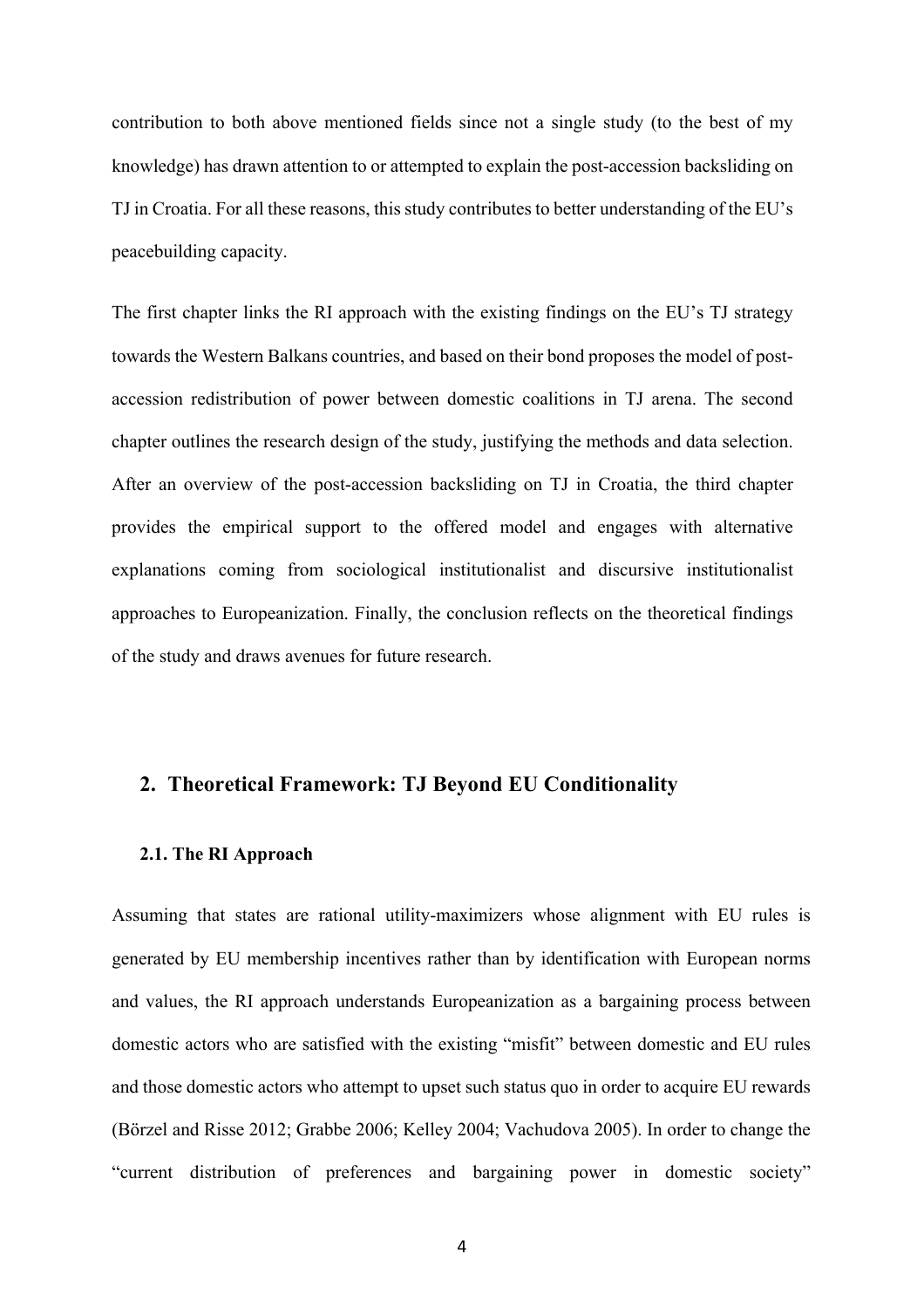contribution to both above mentioned fields since not a single study (to the best of my knowledge) has drawn attention to or attempted to explain the post-accession backsliding on TJ in Croatia. For all these reasons, this study contributes to better understanding of the EU's peacebuilding capacity.

The first chapter links the RI approach with the existing findings on the EU's TJ strategy towards the Western Balkans countries, and based on their bond proposes the model of postaccession redistribution of power between domestic coalitions in TJ arena. The second chapter outlines the research design of the study, justifying the methods and data selection. After an overview of the post-accession backsliding on TJ in Croatia, the third chapter provides the empirical support to the offered model and engages with alternative explanations coming from sociological institutionalist and discursive institutionalist approaches to Europeanization. Finally, the conclusion reflects on the theoretical findings of the study and draws avenues for future research.

# **2. Theoretical Framework: TJ Beyond EU Conditionality**

### **2.1. The RI Approach**

Assuming that states are rational utility-maximizers whose alignment with EU rules is generated by EU membership incentives rather than by identification with European norms and values, the RI approach understands Europeanization as a bargaining process between domestic actors who are satisfied with the existing "misfit" between domestic and EU rules and those domestic actors who attempt to upset such status quo in order to acquire EU rewards (Börzel and Risse 2012; Grabbe 2006; Kelley 2004; Vachudova 2005). In order to change the "current distribution of preferences and bargaining power in domestic society"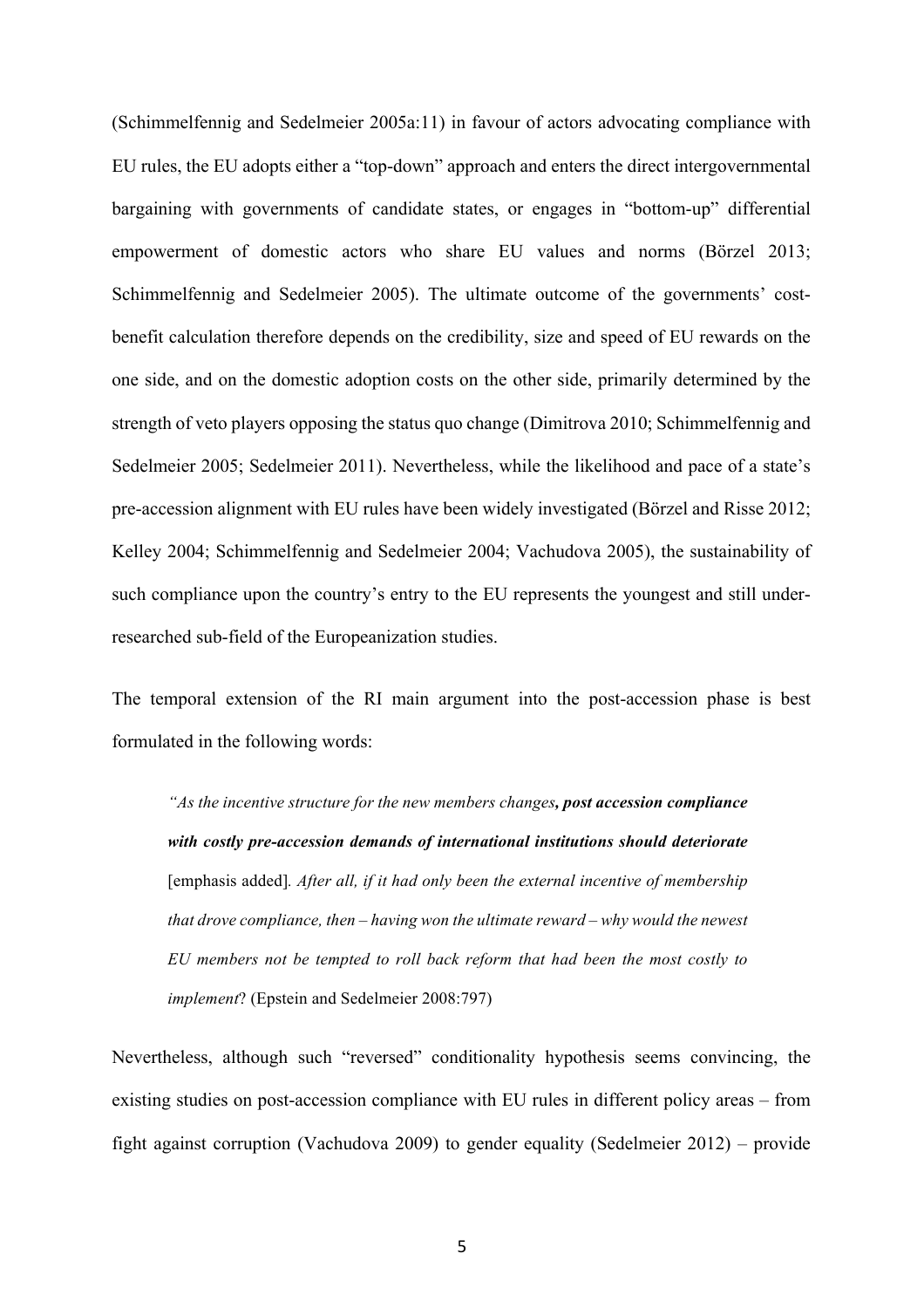(Schimmelfennig and Sedelmeier 2005a:11) in favour of actors advocating compliance with EU rules, the EU adopts either a "top-down" approach and enters the direct intergovernmental bargaining with governments of candidate states, or engages in "bottom-up" differential empowerment of domestic actors who share EU values and norms (Börzel 2013; Schimmelfennig and Sedelmeier 2005). The ultimate outcome of the governments' costbenefit calculation therefore depends on the credibility, size and speed of EU rewards on the one side, and on the domestic adoption costs on the other side, primarily determined by the strength of veto players opposing the status quo change (Dimitrova 2010; Schimmelfennig and Sedelmeier 2005; Sedelmeier 2011). Nevertheless, while the likelihood and pace of a state's pre-accession alignment with EU rules have been widely investigated (Börzel and Risse 2012; Kelley 2004; Schimmelfennig and Sedelmeier 2004; Vachudova 2005), the sustainability of such compliance upon the country's entry to the EU represents the youngest and still underresearched sub-field of the Europeanization studies.

The temporal extension of the RI main argument into the post-accession phase is best formulated in the following words:

*"As the incentive structure for the new members changes, post accession compliance with costly pre-accession demands of international institutions should deteriorate*  [emphasis added]*. After all, if it had only been the external incentive of membership that drove compliance, then – having won the ultimate reward – why would the newest EU members not be tempted to roll back reform that had been the most costly to implement*? (Epstein and Sedelmeier 2008:797)

Nevertheless, although such "reversed" conditionality hypothesis seems convincing, the existing studies on post-accession compliance with EU rules in different policy areas – from fight against corruption (Vachudova 2009) to gender equality (Sedelmeier 2012) – provide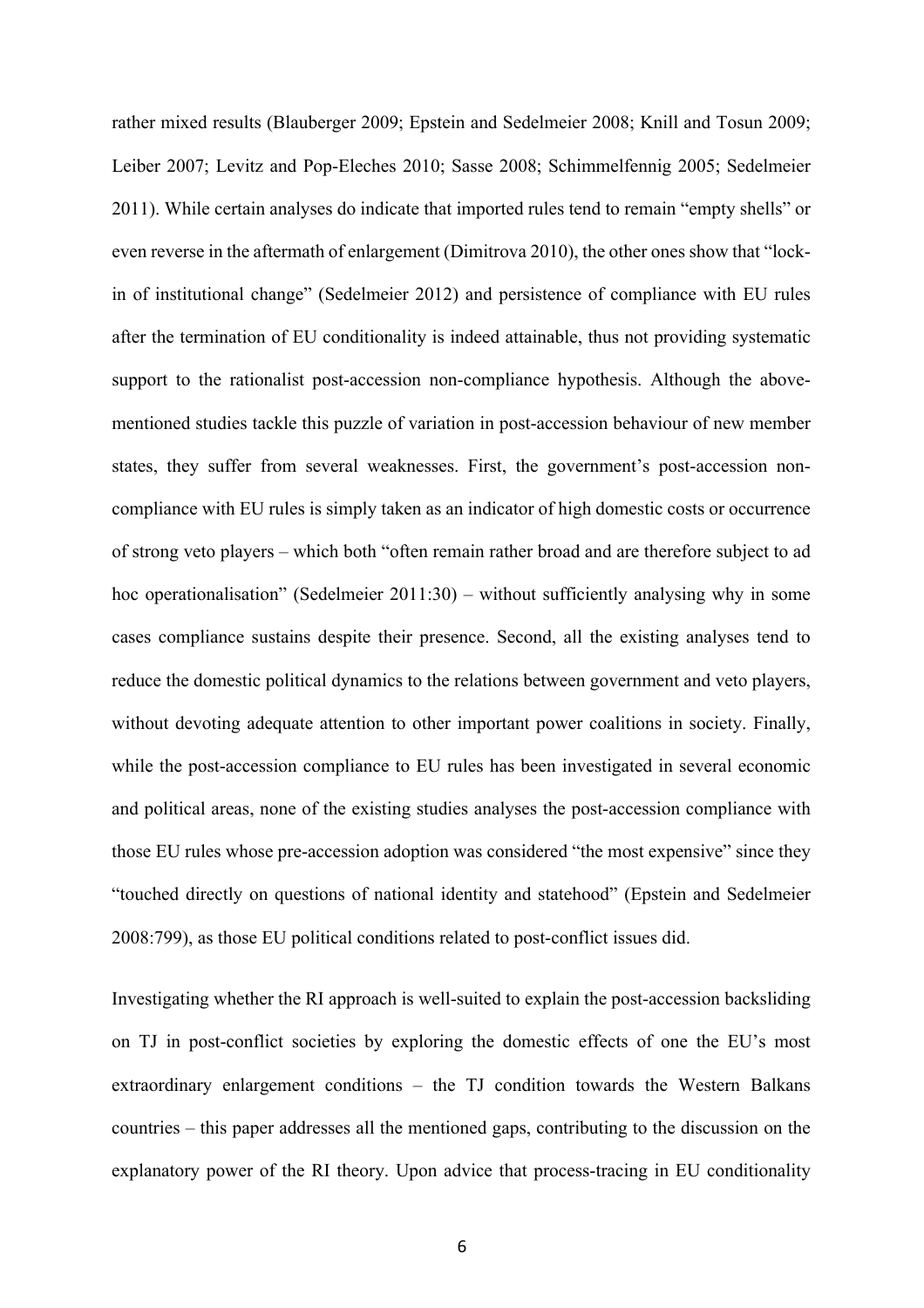rather mixed results (Blauberger 2009; Epstein and Sedelmeier 2008; Knill and Tosun 2009; Leiber 2007; Levitz and Pop-Eleches 2010; Sasse 2008; Schimmelfennig 2005; Sedelmeier 2011). While certain analyses do indicate that imported rules tend to remain "empty shells" or even reverse in the aftermath of enlargement (Dimitrova 2010), the other ones show that "lockin of institutional change" (Sedelmeier 2012) and persistence of compliance with EU rules after the termination of EU conditionality is indeed attainable, thus not providing systematic support to the rationalist post-accession non-compliance hypothesis. Although the abovementioned studies tackle this puzzle of variation in post-accession behaviour of new member states, they suffer from several weaknesses. First, the government's post-accession noncompliance with EU rules is simply taken as an indicator of high domestic costs or occurrence of strong veto players – which both "often remain rather broad and are therefore subject to ad hoc operationalisation" (Sedelmeier 2011:30) – without sufficiently analysing why in some cases compliance sustains despite their presence. Second, all the existing analyses tend to reduce the domestic political dynamics to the relations between government and veto players, without devoting adequate attention to other important power coalitions in society. Finally, while the post-accession compliance to EU rules has been investigated in several economic and political areas, none of the existing studies analyses the post-accession compliance with those EU rules whose pre-accession adoption was considered "the most expensive" since they "touched directly on questions of national identity and statehood" (Epstein and Sedelmeier 2008:799), as those EU political conditions related to post-conflict issues did.

Investigating whether the RI approach is well-suited to explain the post-accession backsliding on TJ in post-conflict societies by exploring the domestic effects of one the EU's most extraordinary enlargement conditions – the TJ condition towards the Western Balkans countries – this paper addresses all the mentioned gaps, contributing to the discussion on the explanatory power of the RI theory. Upon advice that process-tracing in EU conditionality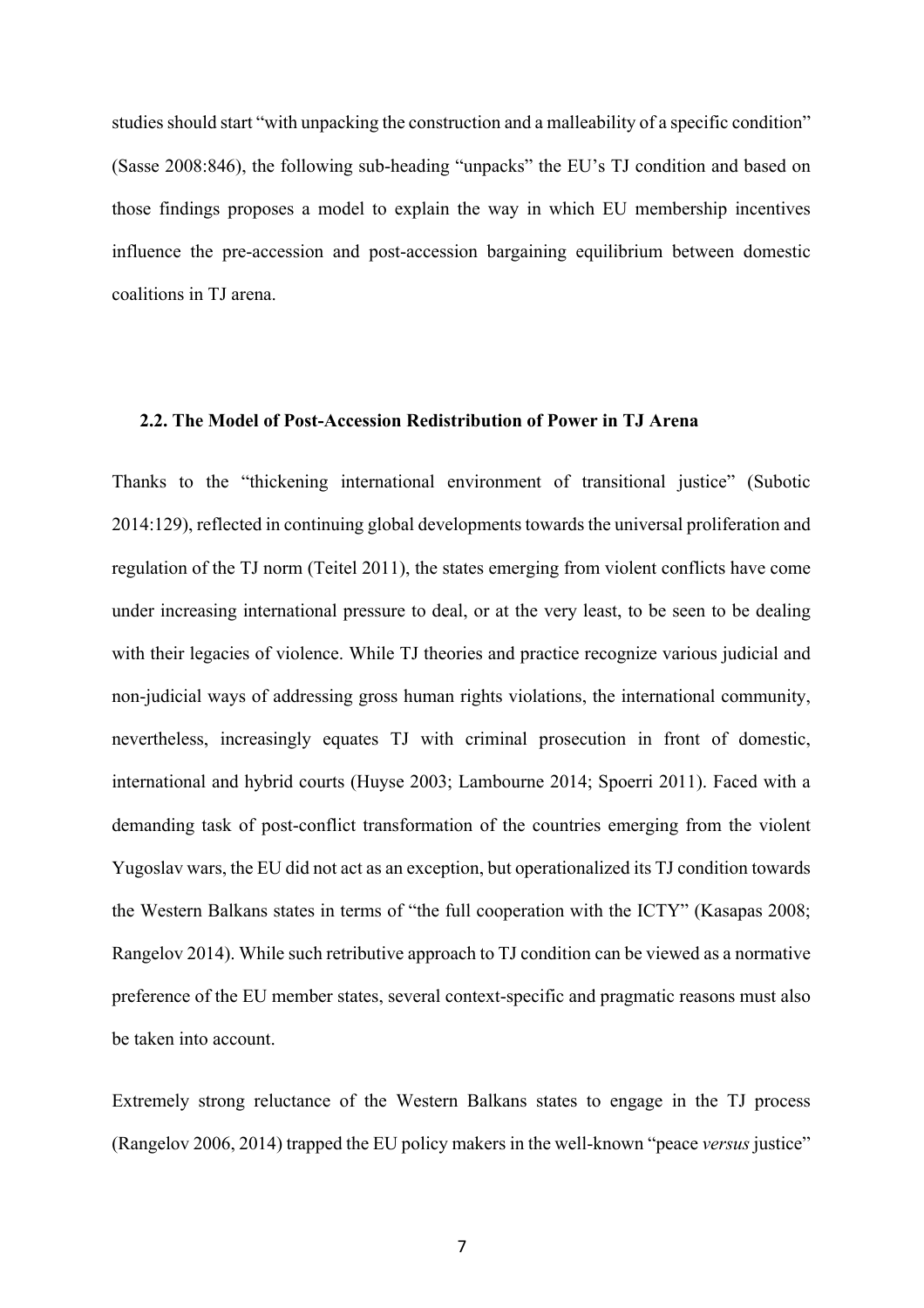studies should start "with unpacking the construction and a malleability of a specific condition" (Sasse 2008:846), the following sub-heading "unpacks" the EU's TJ condition and based on those findings proposes a model to explain the way in which EU membership incentives influence the pre-accession and post-accession bargaining equilibrium between domestic coalitions in TJ arena.

## **2.2. The Model of Post-Accession Redistribution of Power in TJ Arena**

Thanks to the "thickening international environment of transitional justice" (Subotic 2014:129), reflected in continuing global developments towards the universal proliferation and regulation of the TJ norm (Teitel 2011), the states emerging from violent conflicts have come under increasing international pressure to deal, or at the very least, to be seen to be dealing with their legacies of violence. While TJ theories and practice recognize various judicial and non-judicial ways of addressing gross human rights violations, the international community, nevertheless, increasingly equates TJ with criminal prosecution in front of domestic, international and hybrid courts (Huyse 2003; Lambourne 2014; Spoerri 2011). Faced with a demanding task of post-conflict transformation of the countries emerging from the violent Yugoslav wars, the EU did not act as an exception, but operationalized its TJ condition towards the Western Balkans states in terms of "the full cooperation with the ICTY" (Kasapas 2008; Rangelov 2014). While such retributive approach to TJ condition can be viewed as a normative preference of the EU member states, several context-specific and pragmatic reasons must also be taken into account.

Extremely strong reluctance of the Western Balkans states to engage in the TJ process (Rangelov 2006, 2014) trapped the EU policy makers in the well-known "peace *versus* justice"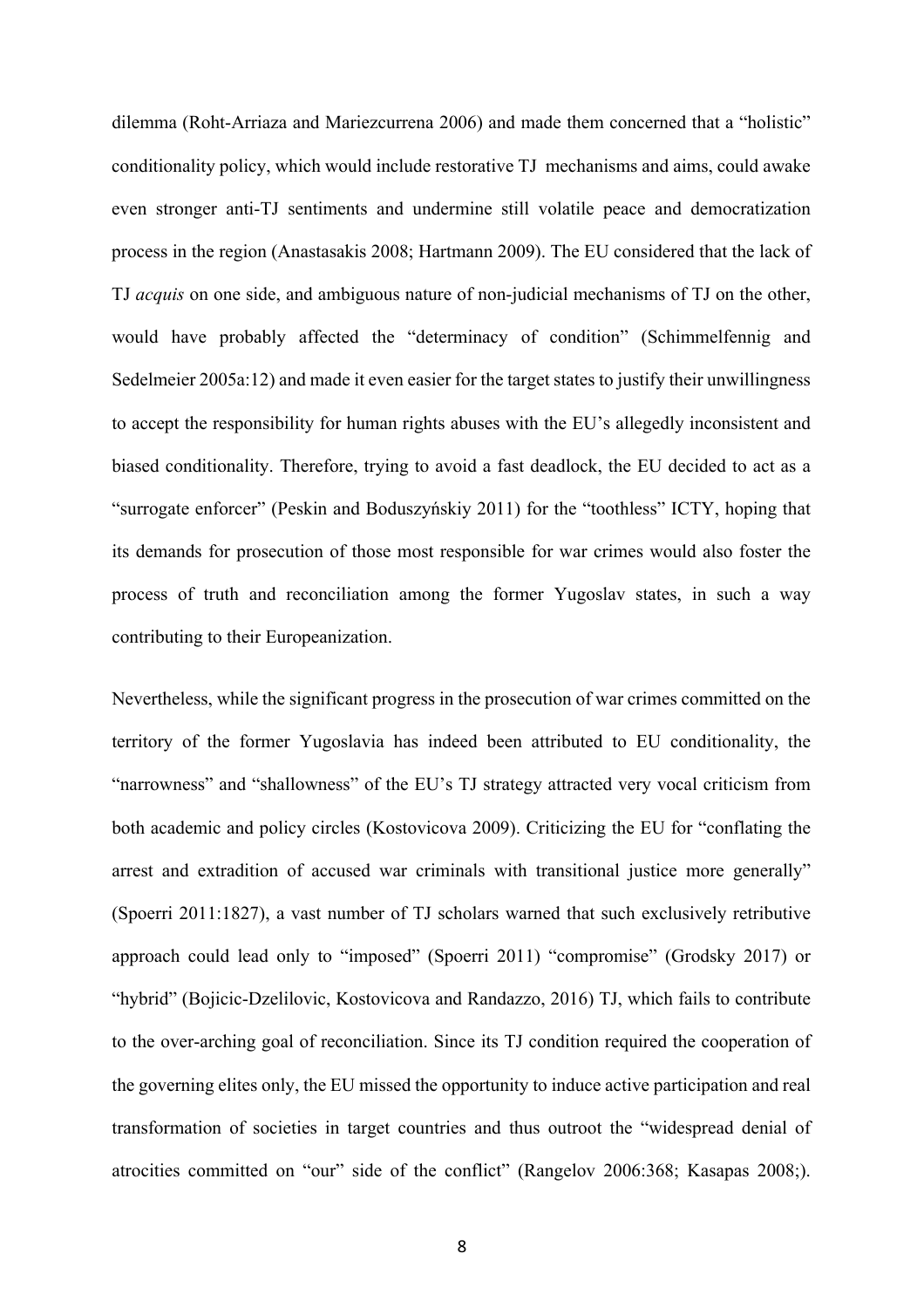dilemma (Roht-Arriaza and Mariezcurrena 2006) and made them concerned that a "holistic" conditionality policy, which would include restorative TJ mechanisms and aims, could awake even stronger anti-TJ sentiments and undermine still volatile peace and democratization process in the region (Anastasakis 2008; Hartmann 2009). The EU considered that the lack of TJ *acquis* on one side, and ambiguous nature of non-judicial mechanisms of TJ on the other, would have probably affected the "determinacy of condition" (Schimmelfennig and Sedelmeier 2005a:12) and made it even easier for the target states to justify their unwillingness to accept the responsibility for human rights abuses with the EU's allegedly inconsistent and biased conditionality. Therefore, trying to avoid a fast deadlock, the EU decided to act as a "surrogate enforcer" (Peskin and Boduszyńskiy 2011) for the "toothless" ICTY, hoping that its demands for prosecution of those most responsible for war crimes would also foster the process of truth and reconciliation among the former Yugoslav states, in such a way contributing to their Europeanization.

Nevertheless, while the significant progress in the prosecution of war crimes committed on the territory of the former Yugoslavia has indeed been attributed to EU conditionality, the "narrowness" and "shallowness" of the EU's TJ strategy attracted very vocal criticism from both academic and policy circles (Kostovicova 2009). Criticizing the EU for "conflating the arrest and extradition of accused war criminals with transitional justice more generally" (Spoerri 2011:1827), a vast number of TJ scholars warned that such exclusively retributive approach could lead only to "imposed" (Spoerri 2011) "compromise" (Grodsky 2017) or "hybrid" (Bojicic-Dzelilovic, Kostovicova and Randazzo, 2016) TJ, which fails to contribute to the over-arching goal of reconciliation. Since its TJ condition required the cooperation of the governing elites only, the EU missed the opportunity to induce active participation and real transformation of societies in target countries and thus outroot the "widespread denial of atrocities committed on "our" side of the conflict" (Rangelov 2006:368; Kasapas 2008;).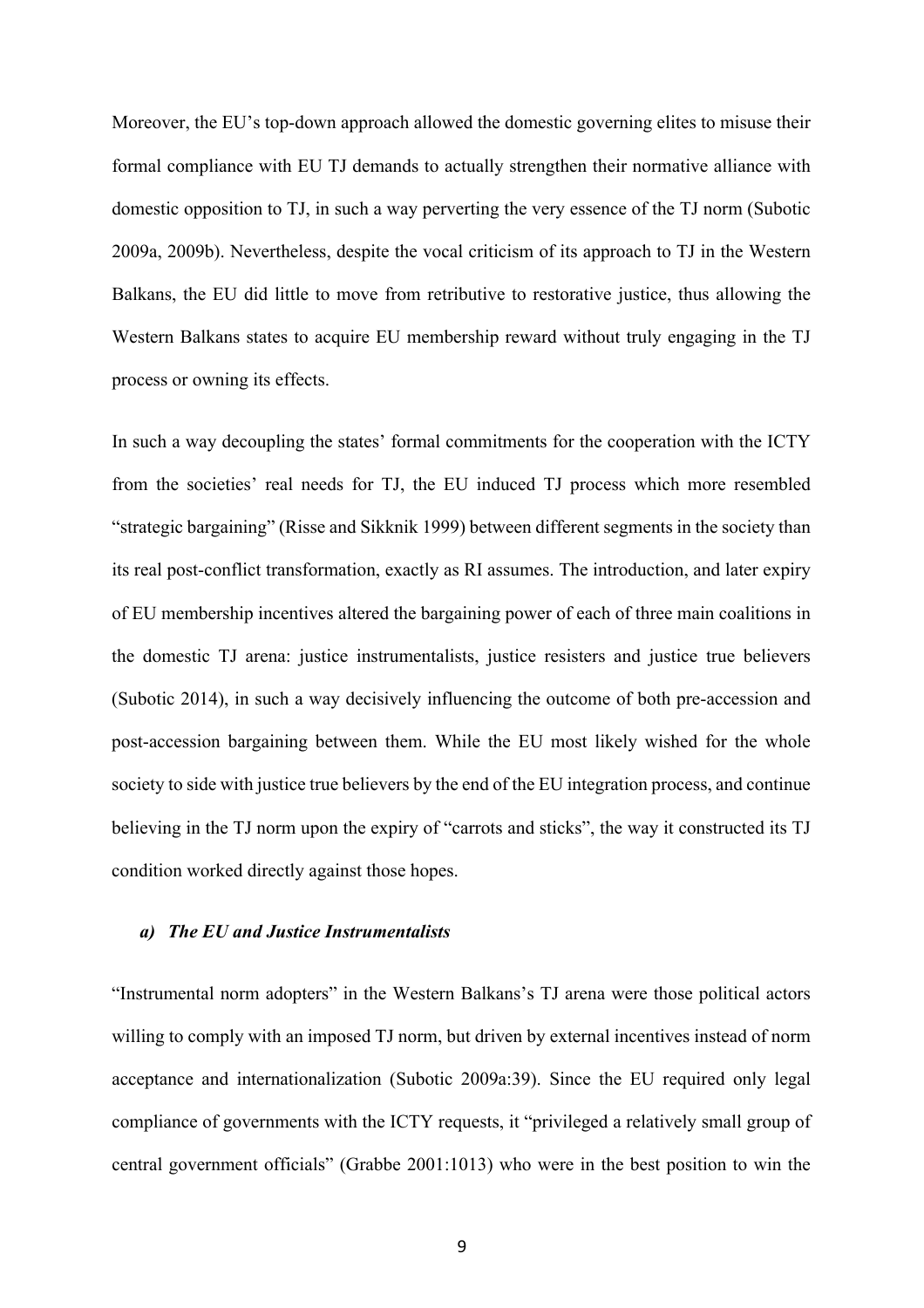Moreover, the EU's top-down approach allowed the domestic governing elites to misuse their formal compliance with EU TJ demands to actually strengthen their normative alliance with domestic opposition to TJ, in such a way perverting the very essence of the TJ norm (Subotic 2009a, 2009b). Nevertheless, despite the vocal criticism of its approach to TJ in the Western Balkans, the EU did little to move from retributive to restorative justice, thus allowing the Western Balkans states to acquire EU membership reward without truly engaging in the TJ process or owning its effects.

In such a way decoupling the states' formal commitments for the cooperation with the ICTY from the societies' real needs for TJ, the EU induced TJ process which more resembled "strategic bargaining" (Risse and Sikknik 1999) between different segments in the society than its real post-conflict transformation, exactly as RI assumes. The introduction, and later expiry of EU membership incentives altered the bargaining power of each of three main coalitions in the domestic TJ arena: justice instrumentalists, justice resisters and justice true believers (Subotic 2014), in such a way decisively influencing the outcome of both pre-accession and post-accession bargaining between them. While the EU most likely wished for the whole society to side with justice true believers by the end of the EU integration process, and continue believing in the TJ norm upon the expiry of "carrots and sticks", the way it constructed its TJ condition worked directly against those hopes.

#### *a) The EU and Justice Instrumentalists*

"Instrumental norm adopters" in the Western Balkans's TJ arena were those political actors willing to comply with an imposed TJ norm, but driven by external incentives instead of norm acceptance and internationalization (Subotic 2009a:39). Since the EU required only legal compliance of governments with the ICTY requests, it "privileged a relatively small group of central government officials" (Grabbe 2001:1013) who were in the best position to win the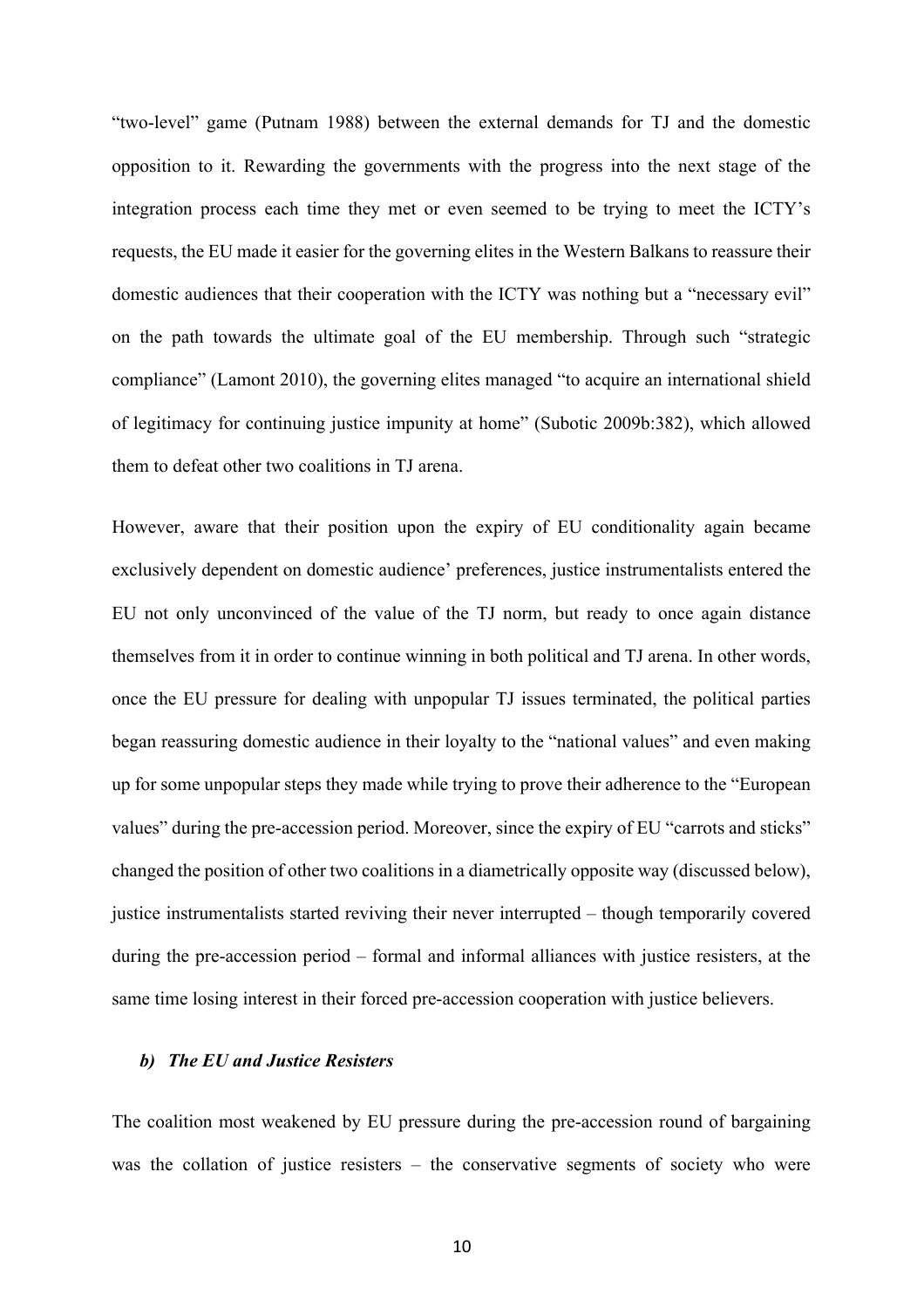"two-level" game (Putnam 1988) between the external demands for TJ and the domestic opposition to it. Rewarding the governments with the progress into the next stage of the integration process each time they met or even seemed to be trying to meet the ICTY's requests, the EU made it easier for the governing elites in the Western Balkans to reassure their domestic audiences that their cooperation with the ICTY was nothing but a "necessary evil" on the path towards the ultimate goal of the EU membership. Through such "strategic compliance" (Lamont 2010), the governing elites managed "to acquire an international shield of legitimacy for continuing justice impunity at home" (Subotic 2009b:382), which allowed them to defeat other two coalitions in TJ arena.

However, aware that their position upon the expiry of EU conditionality again became exclusively dependent on domestic audience' preferences, justice instrumentalists entered the EU not only unconvinced of the value of the TJ norm, but ready to once again distance themselves from it in order to continue winning in both political and TJ arena. In other words, once the EU pressure for dealing with unpopular TJ issues terminated, the political parties began reassuring domestic audience in their loyalty to the "national values" and even making up for some unpopular steps they made while trying to prove their adherence to the "European values" during the pre-accession period. Moreover, since the expiry of EU "carrots and sticks" changed the position of other two coalitions in a diametrically opposite way (discussed below), justice instrumentalists started reviving their never interrupted – though temporarily covered during the pre-accession period – formal and informal alliances with justice resisters, at the same time losing interest in their forced pre-accession cooperation with justice believers.

#### *b) The EU and Justice Resisters*

The coalition most weakened by EU pressure during the pre-accession round of bargaining was the collation of justice resisters – the conservative segments of society who were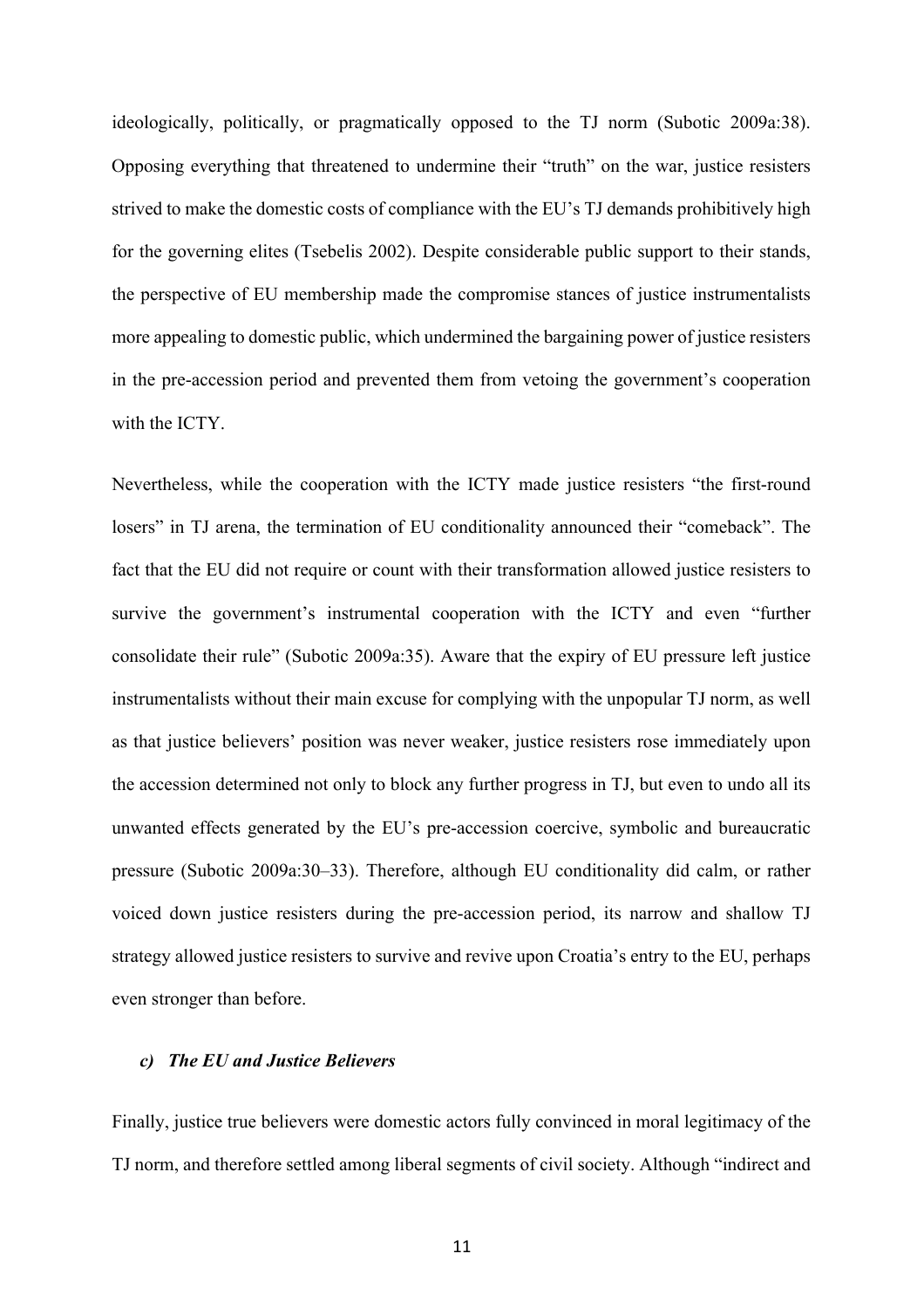ideologically, politically, or pragmatically opposed to the TJ norm (Subotic 2009a:38). Opposing everything that threatened to undermine their "truth" on the war, justice resisters strived to make the domestic costs of compliance with the EU's TJ demands prohibitively high for the governing elites (Tsebelis 2002). Despite considerable public support to their stands, the perspective of EU membership made the compromise stances of justice instrumentalists more appealing to domestic public, which undermined the bargaining power of justice resisters in the pre-accession period and prevented them from vetoing the government's cooperation with the **ICTY** 

Nevertheless, while the cooperation with the ICTY made justice resisters "the first-round losers" in TJ arena, the termination of EU conditionality announced their "comeback". The fact that the EU did not require or count with their transformation allowed justice resisters to survive the government's instrumental cooperation with the ICTY and even "further consolidate their rule" (Subotic 2009a:35). Aware that the expiry of EU pressure left justice instrumentalists without their main excuse for complying with the unpopular TJ norm, as well as that justice believers' position was never weaker, justice resisters rose immediately upon the accession determined not only to block any further progress in TJ, but even to undo all its unwanted effects generated by the EU's pre-accession coercive, symbolic and bureaucratic pressure (Subotic 2009a:30–33). Therefore, although EU conditionality did calm, or rather voiced down justice resisters during the pre-accession period, its narrow and shallow TJ strategy allowed justice resisters to survive and revive upon Croatia's entry to the EU, perhaps even stronger than before.

## *c) The EU and Justice Believers*

Finally, justice true believers were domestic actors fully convinced in moral legitimacy of the TJ norm, and therefore settled among liberal segments of civil society. Although "indirect and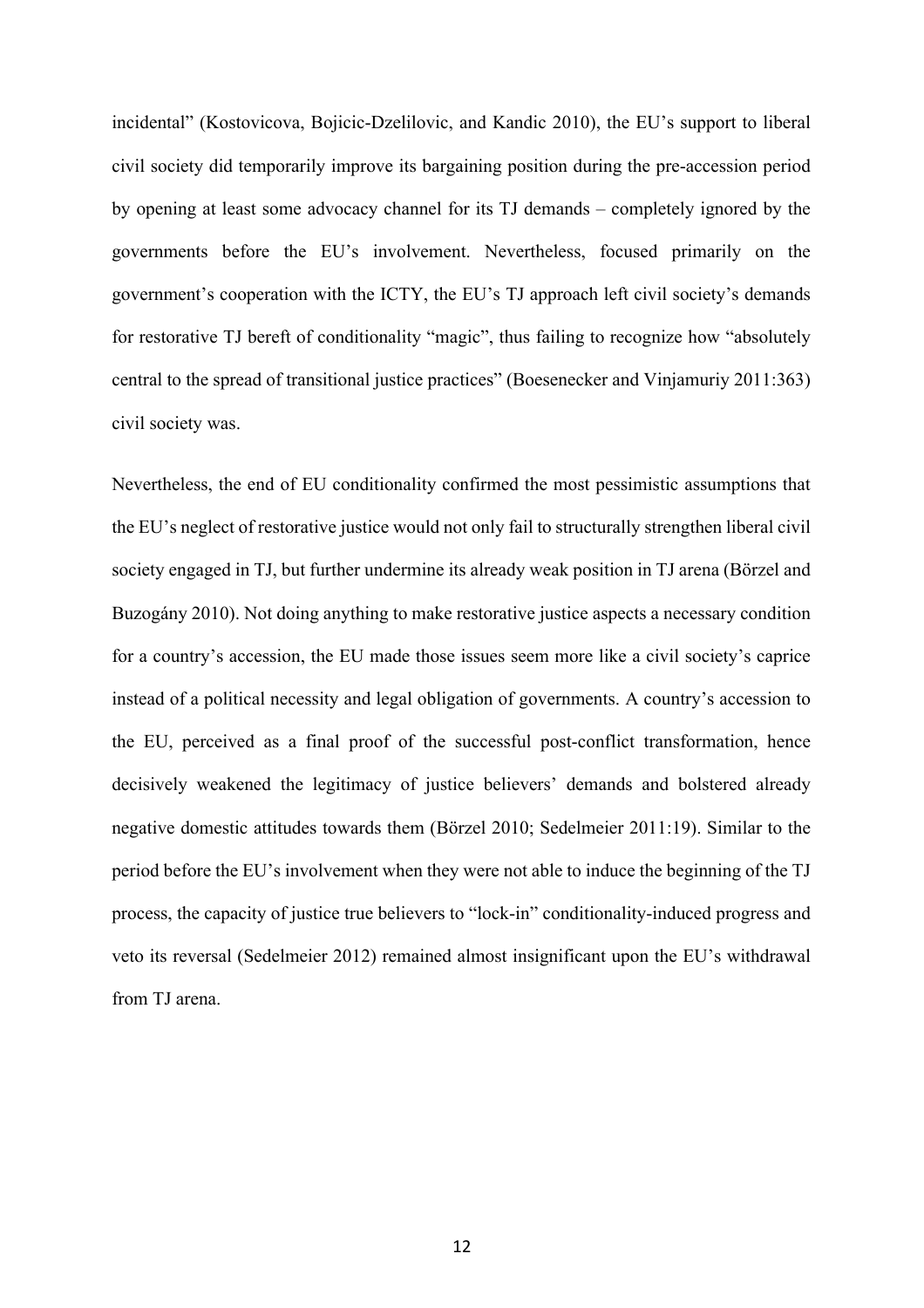incidental" (Kostovicova, Bojicic-Dzelilovic, and Kandic 2010), the EU's support to liberal civil society did temporarily improve its bargaining position during the pre-accession period by opening at least some advocacy channel for its TJ demands – completely ignored by the governments before the EU's involvement. Nevertheless, focused primarily on the government's cooperation with the ICTY, the EU's TJ approach left civil society's demands for restorative TJ bereft of conditionality "magic", thus failing to recognize how "absolutely central to the spread of transitional justice practices" (Boesenecker and Vinjamuriy 2011:363) civil society was.

Nevertheless, the end of EU conditionality confirmed the most pessimistic assumptions that the EU's neglect of restorative justice would not only fail to structurally strengthen liberal civil society engaged in TJ, but further undermine its already weak position in TJ arena (Börzel and Buzogány 2010). Not doing anything to make restorative justice aspects a necessary condition for a country's accession, the EU made those issues seem more like a civil society's caprice instead of a political necessity and legal obligation of governments. A country's accession to the EU, perceived as a final proof of the successful post-conflict transformation, hence decisively weakened the legitimacy of justice believers' demands and bolstered already negative domestic attitudes towards them (Börzel 2010; Sedelmeier 2011:19). Similar to the period before the EU's involvement when they were not able to induce the beginning of the TJ process, the capacity of justice true believers to "lock-in" conditionality-induced progress and veto its reversal (Sedelmeier 2012) remained almost insignificant upon the EU's withdrawal from TJ arena.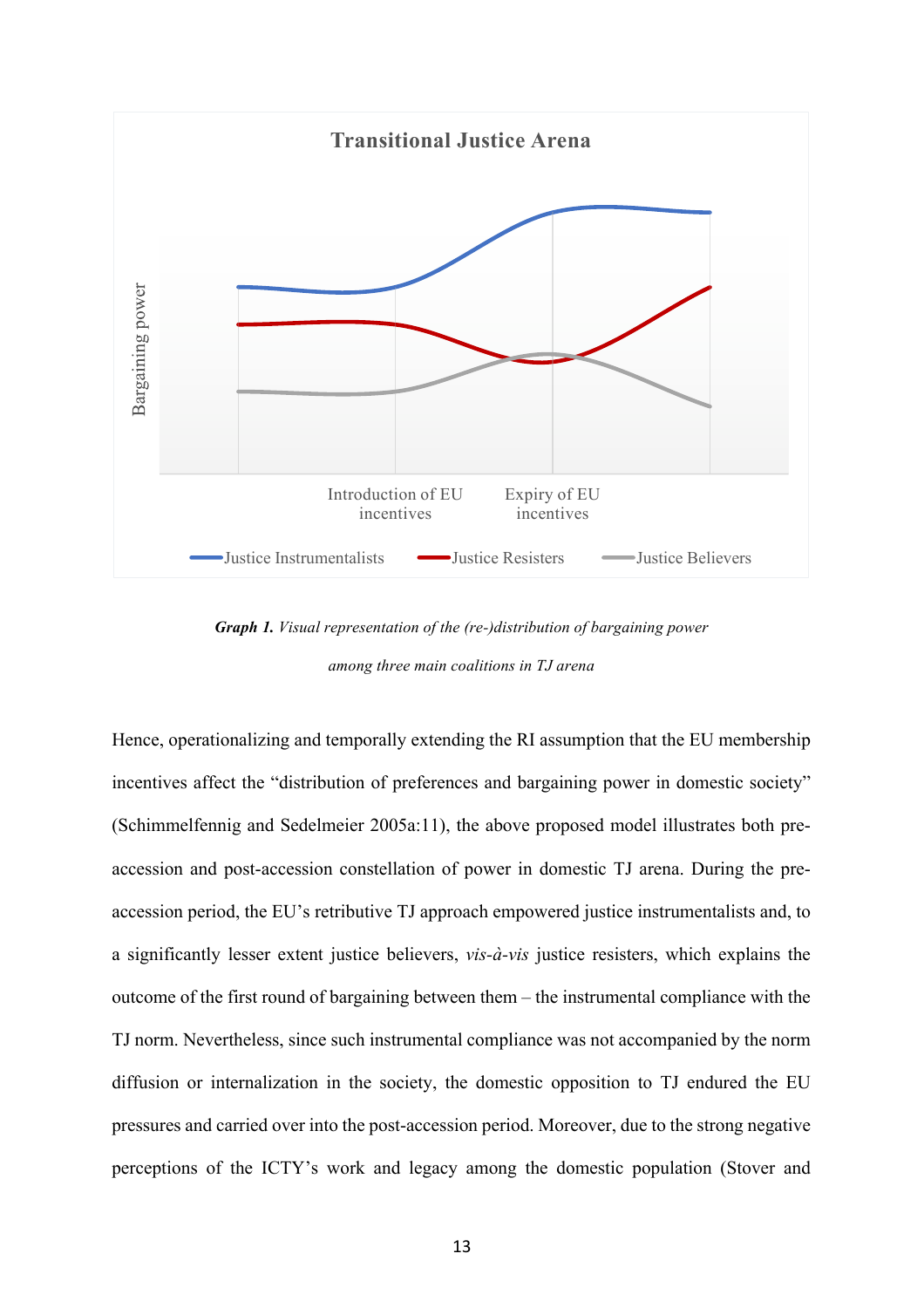

*Graph 1. Visual representation of the (re-)distribution of bargaining power among three main coalitions in TJ arena*

Hence, operationalizing and temporally extending the RI assumption that the EU membership incentives affect the "distribution of preferences and bargaining power in domestic society" (Schimmelfennig and Sedelmeier 2005a:11), the above proposed model illustrates both preaccession and post-accession constellation of power in domestic TJ arena. During the preaccession period, the EU's retributive TJ approach empowered justice instrumentalists and, to a significantly lesser extent justice believers, *vis-à-vis* justice resisters, which explains the outcome of the first round of bargaining between them – the instrumental compliance with the TJ norm. Nevertheless, since such instrumental compliance was not accompanied by the norm diffusion or internalization in the society, the domestic opposition to TJ endured the EU pressures and carried over into the post-accession period. Moreover, due to the strong negative perceptions of the ICTY's work and legacy among the domestic population (Stover and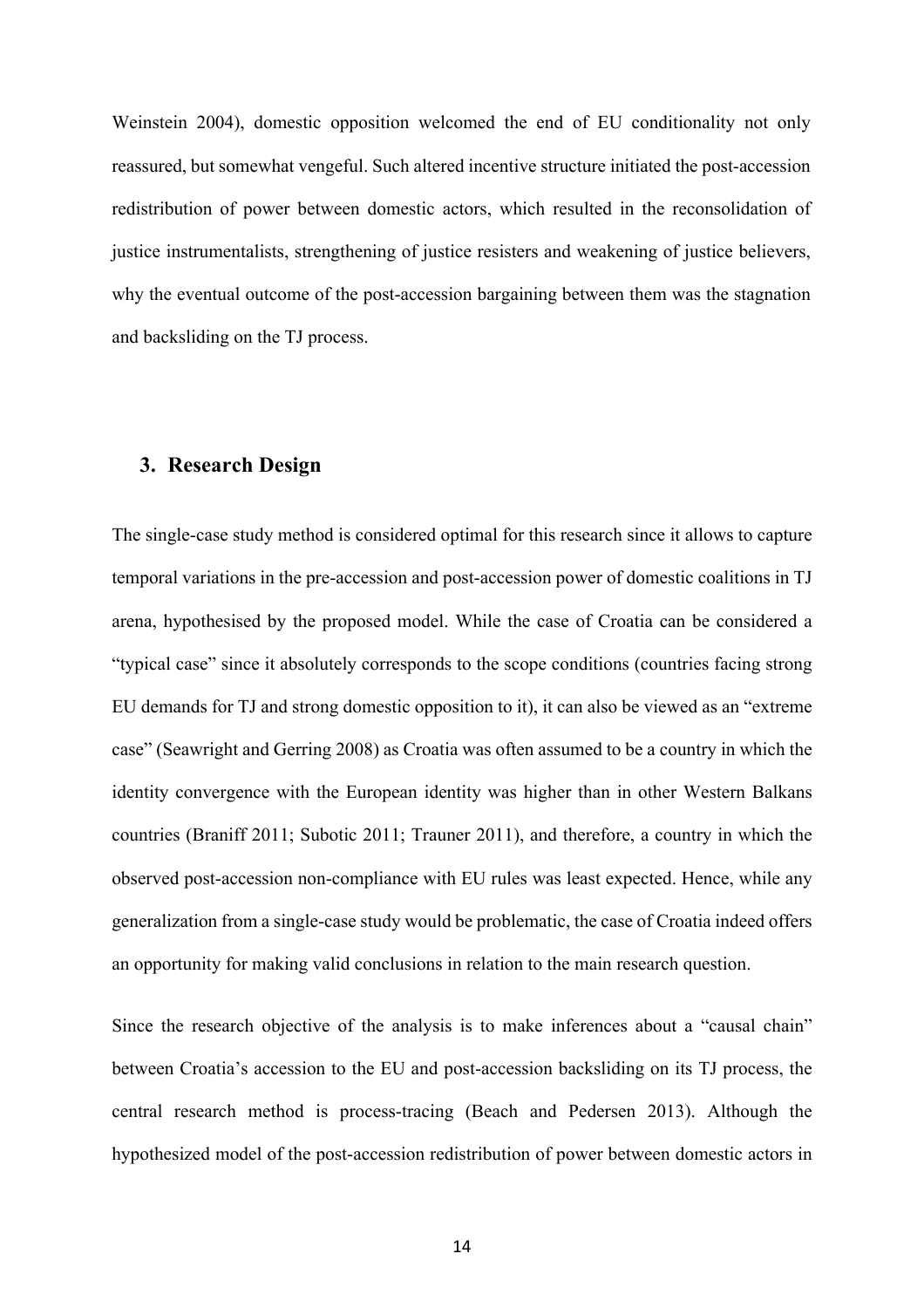Weinstein 2004), domestic opposition welcomed the end of EU conditionality not only reassured, but somewhat vengeful. Such altered incentive structure initiated the post-accession redistribution of power between domestic actors, which resulted in the reconsolidation of justice instrumentalists, strengthening of justice resisters and weakening of justice believers, why the eventual outcome of the post-accession bargaining between them was the stagnation and backsliding on the TJ process.

# **3. Research Design**

The single-case study method is considered optimal for this research since it allows to capture temporal variations in the pre-accession and post-accession power of domestic coalitions in TJ arena, hypothesised by the proposed model. While the case of Croatia can be considered a "typical case" since it absolutely corresponds to the scope conditions (countries facing strong EU demands for TJ and strong domestic opposition to it), it can also be viewed as an "extreme case" (Seawright and Gerring 2008) as Croatia was often assumed to be a country in which the identity convergence with the European identity was higher than in other Western Balkans countries (Braniff 2011; Subotic 2011; Trauner 2011), and therefore, a country in which the observed post-accession non-compliance with EU rules was least expected. Hence, while any generalization from a single-case study would be problematic, the case of Croatia indeed offers an opportunity for making valid conclusions in relation to the main research question.

Since the research objective of the analysis is to make inferences about a "causal chain" between Croatia's accession to the EU and post-accession backsliding on its TJ process, the central research method is process-tracing (Beach and Pedersen 2013). Although the hypothesized model of the post-accession redistribution of power between domestic actors in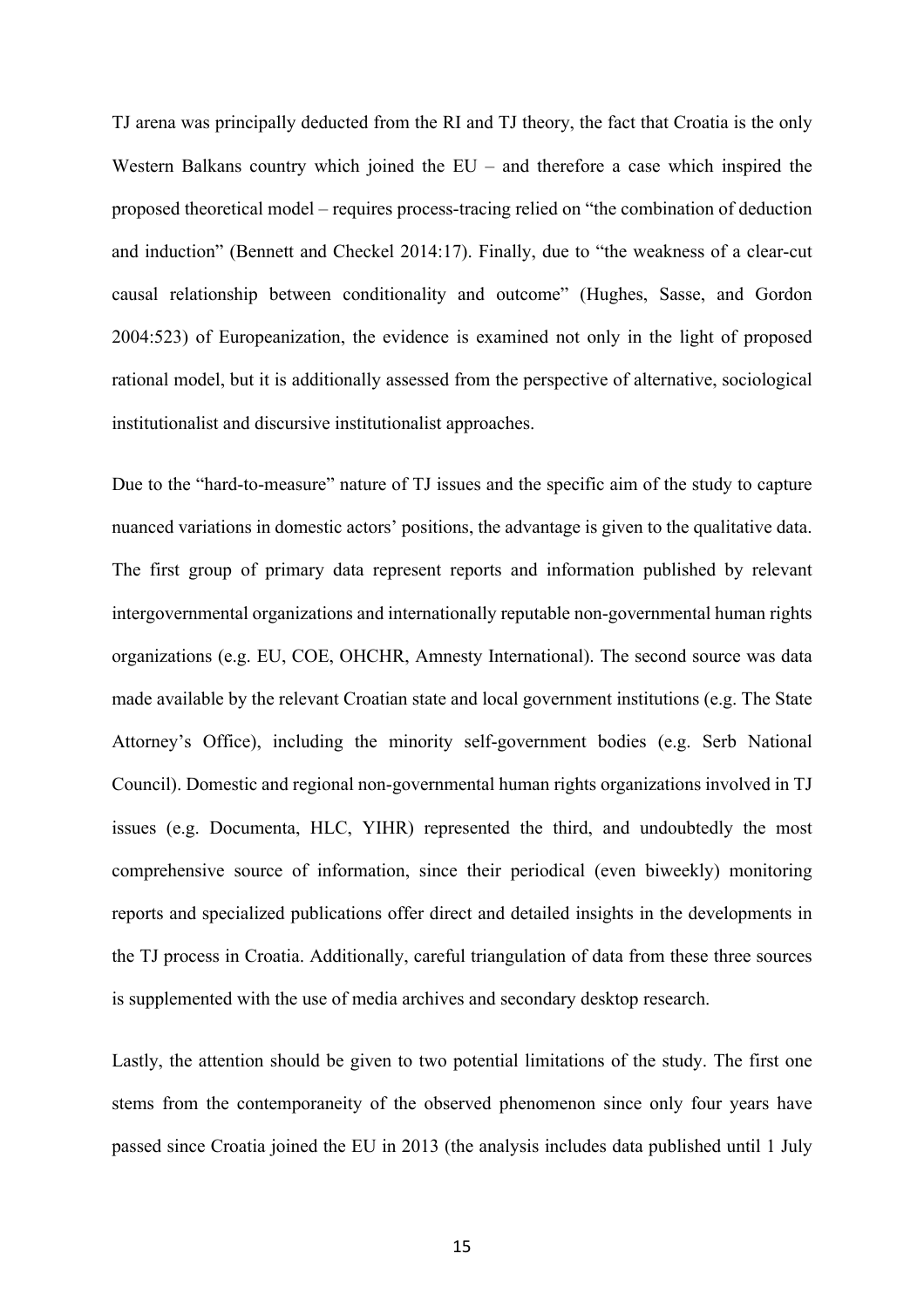TJ arena was principally deducted from the RI and TJ theory, the fact that Croatia is the only Western Balkans country which joined the EU – and therefore a case which inspired the proposed theoretical model – requires process-tracing relied on "the combination of deduction and induction" (Bennett and Checkel 2014:17). Finally, due to "the weakness of a clear-cut causal relationship between conditionality and outcome" (Hughes, Sasse, and Gordon 2004:523) of Europeanization, the evidence is examined not only in the light of proposed rational model, but it is additionally assessed from the perspective of alternative, sociological institutionalist and discursive institutionalist approaches.

Due to the "hard-to-measure" nature of TJ issues and the specific aim of the study to capture nuanced variations in domestic actors' positions, the advantage is given to the qualitative data. The first group of primary data represent reports and information published by relevant intergovernmental organizations and internationally reputable non-governmental human rights organizations (e.g. EU, COE, OHCHR, Amnesty International). The second source was data made available by the relevant Croatian state and local government institutions (e.g. The State Attorney's Office), including the minority self-government bodies (e.g. Serb National Council). Domestic and regional non-governmental human rights organizations involved in TJ issues (e.g. Documenta, HLC, YIHR) represented the third, and undoubtedly the most comprehensive source of information, since their periodical (even biweekly) monitoring reports and specialized publications offer direct and detailed insights in the developments in the TJ process in Croatia. Additionally, careful triangulation of data from these three sources is supplemented with the use of media archives and secondary desktop research.

Lastly, the attention should be given to two potential limitations of the study. The first one stems from the contemporaneity of the observed phenomenon since only four years have passed since Croatia joined the EU in 2013 (the analysis includes data published until 1 July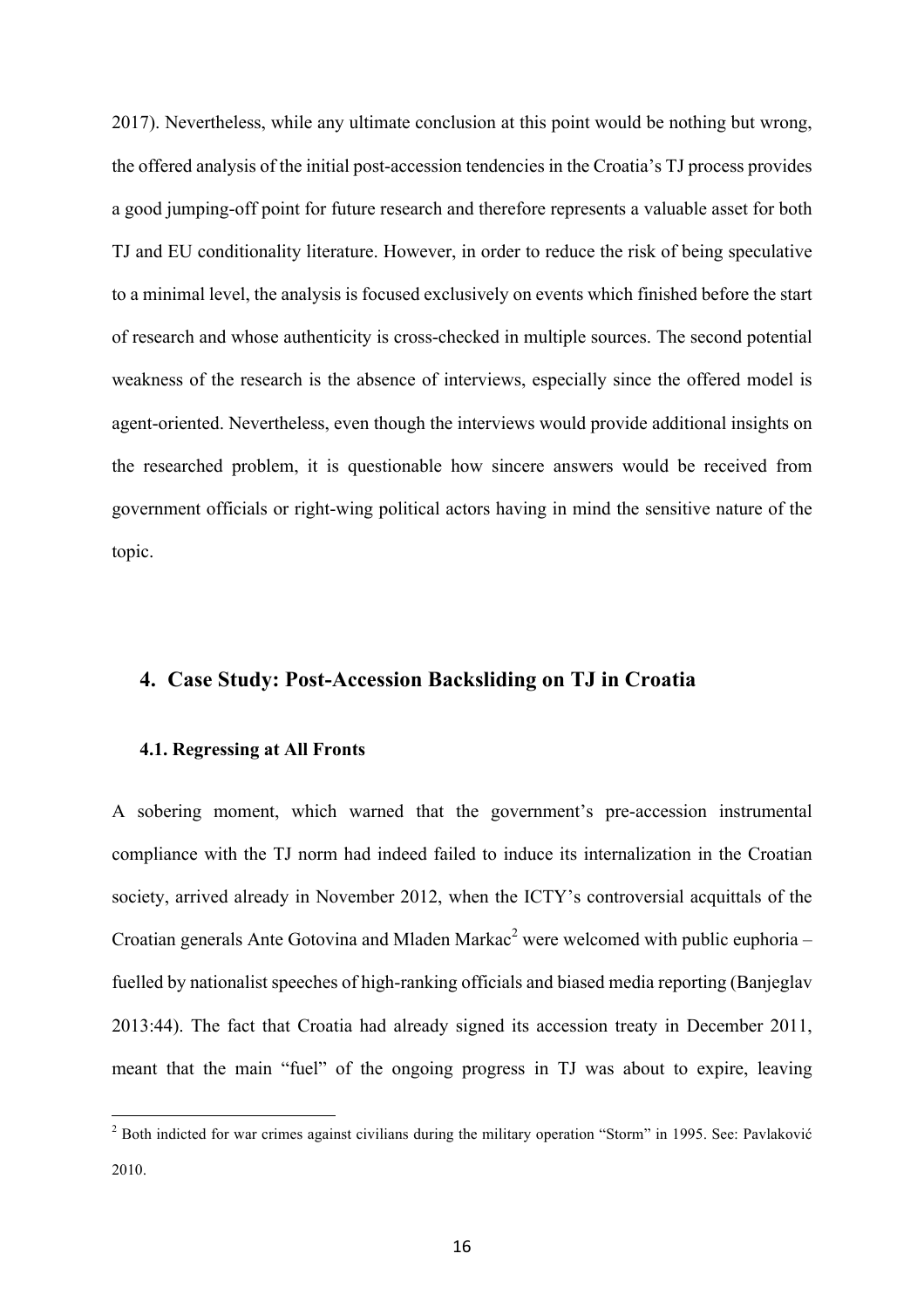2017). Nevertheless, while any ultimate conclusion at this point would be nothing but wrong, the offered analysis of the initial post-accession tendencies in the Croatia's TJ process provides a good jumping-off point for future research and therefore represents a valuable asset for both TJ and EU conditionality literature. However, in order to reduce the risk of being speculative to a minimal level, the analysis is focused exclusively on events which finished before the start of research and whose authenticity is cross-checked in multiple sources. The second potential weakness of the research is the absence of interviews, especially since the offered model is agent-oriented. Nevertheless, even though the interviews would provide additional insights on the researched problem, it is questionable how sincere answers would be received from government officials or right-wing political actors having in mind the sensitive nature of the topic.

# **4. Case Study: Post-Accession Backsliding on TJ in Croatia**

#### **4.1. Regressing at All Fronts**

 

A sobering moment, which warned that the government's pre-accession instrumental compliance with the TJ norm had indeed failed to induce its internalization in the Croatian society, arrived already in November 2012, when the ICTY's controversial acquittals of the Croatian generals Ante Gotovina and Mladen Markac<sup>2</sup> were welcomed with public euphoria – fuelled by nationalist speeches of high-ranking officials and biased media reporting (Banjeglav 2013:44). The fact that Croatia had already signed its accession treaty in December 2011, meant that the main "fuel" of the ongoing progress in TJ was about to expire, leaving

<sup>&</sup>lt;sup>2</sup> Both indicted for war crimes against civilians during the military operation "Storm" in 1995. See: Pavlaković 2010.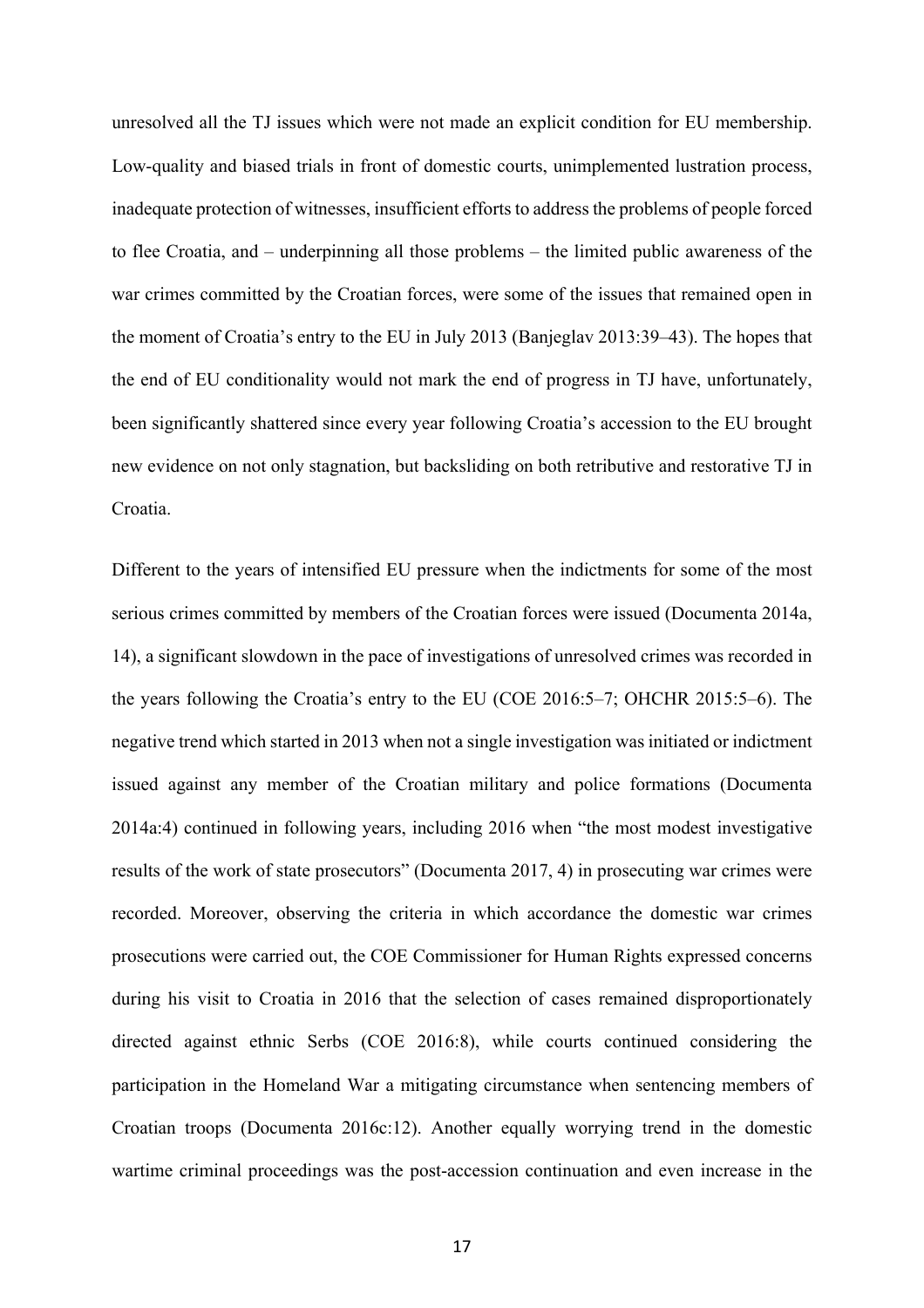unresolved all the TJ issues which were not made an explicit condition for EU membership. Low-quality and biased trials in front of domestic courts, unimplemented lustration process, inadequate protection of witnesses, insufficient efforts to address the problems of people forced to flee Croatia, and – underpinning all those problems – the limited public awareness of the war crimes committed by the Croatian forces, were some of the issues that remained open in the moment of Croatia's entry to the EU in July 2013 (Banjeglav 2013:39–43). The hopes that the end of EU conditionality would not mark the end of progress in TJ have, unfortunately, been significantly shattered since every year following Croatia's accession to the EU brought new evidence on not only stagnation, but backsliding on both retributive and restorative TJ in Croatia.

Different to the years of intensified EU pressure when the indictments for some of the most serious crimes committed by members of the Croatian forces were issued (Documenta 2014a, 14), a significant slowdown in the pace of investigations of unresolved crimes was recorded in the years following the Croatia's entry to the EU (COE 2016:5–7; OHCHR 2015:5–6). The negative trend which started in 2013 when not a single investigation was initiated or indictment issued against any member of the Croatian military and police formations (Documenta 2014a:4) continued in following years, including 2016 when "the most modest investigative results of the work of state prosecutors" (Documenta 2017, 4) in prosecuting war crimes were recorded. Moreover, observing the criteria in which accordance the domestic war crimes prosecutions were carried out, the COE Commissioner for Human Rights expressed concerns during his visit to Croatia in 2016 that the selection of cases remained disproportionately directed against ethnic Serbs (COE 2016:8), while courts continued considering the participation in the Homeland War a mitigating circumstance when sentencing members of Croatian troops (Documenta 2016c:12). Another equally worrying trend in the domestic wartime criminal proceedings was the post-accession continuation and even increase in the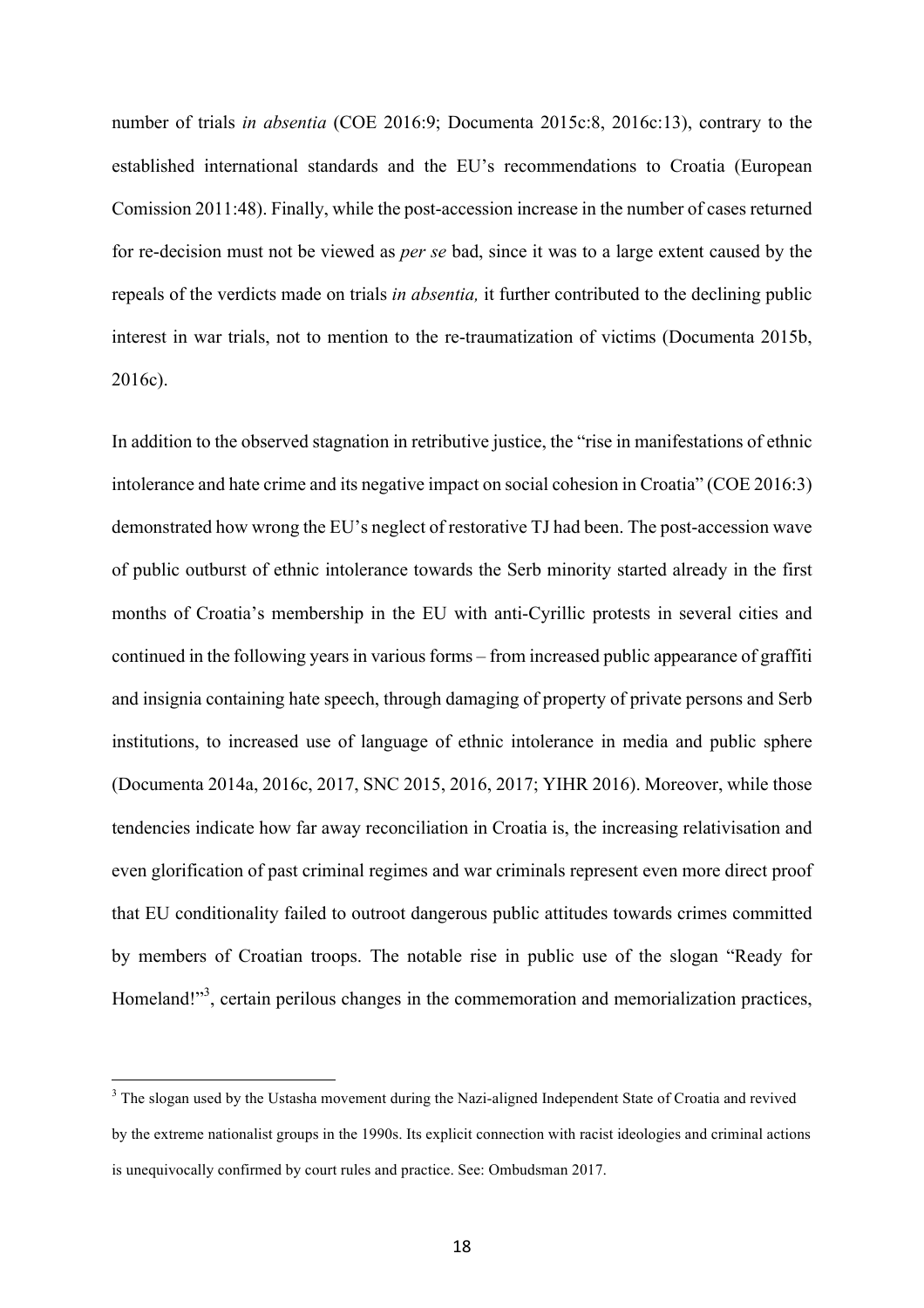number of trials *in absentia* (COE 2016:9; Documenta 2015c:8, 2016c:13), contrary to the established international standards and the EU's recommendations to Croatia (European Comission 2011:48). Finally, while the post-accession increase in the number of cases returned for re-decision must not be viewed as *per se* bad, since it was to a large extent caused by the repeals of the verdicts made on trials *in absentia,* it further contributed to the declining public interest in war trials, not to mention to the re-traumatization of victims (Documenta 2015b, 2016c).

In addition to the observed stagnation in retributive justice, the "rise in manifestations of ethnic intolerance and hate crime and its negative impact on social cohesion in Croatia" (COE 2016:3) demonstrated how wrong the EU's neglect of restorative TJ had been. The post-accession wave of public outburst of ethnic intolerance towards the Serb minority started already in the first months of Croatia's membership in the EU with anti-Cyrillic protests in several cities and continued in the following years in various forms – from increased public appearance of graffiti and insignia containing hate speech, through damaging of property of private persons and Serb institutions, to increased use of language of ethnic intolerance in media and public sphere (Documenta 2014a, 2016c, 2017, SNC 2015, 2016, 2017; YIHR 2016). Moreover, while those tendencies indicate how far away reconciliation in Croatia is, the increasing relativisation and even glorification of past criminal regimes and war criminals represent even more direct proof that EU conditionality failed to outroot dangerous public attitudes towards crimes committed by members of Croatian troops. The notable rise in public use of the slogan "Ready for Homeland!"<sup>3</sup>, certain perilous changes in the commemoration and memorialization practices,

 

<sup>&</sup>lt;sup>3</sup> The slogan used by the Ustasha movement during the Nazi-aligned Independent State of Croatia and revived by the extreme nationalist groups in the 1990s. Its explicit connection with racist ideologies and criminal actions is unequivocally confirmed by court rules and practice. See: Ombudsman 2017.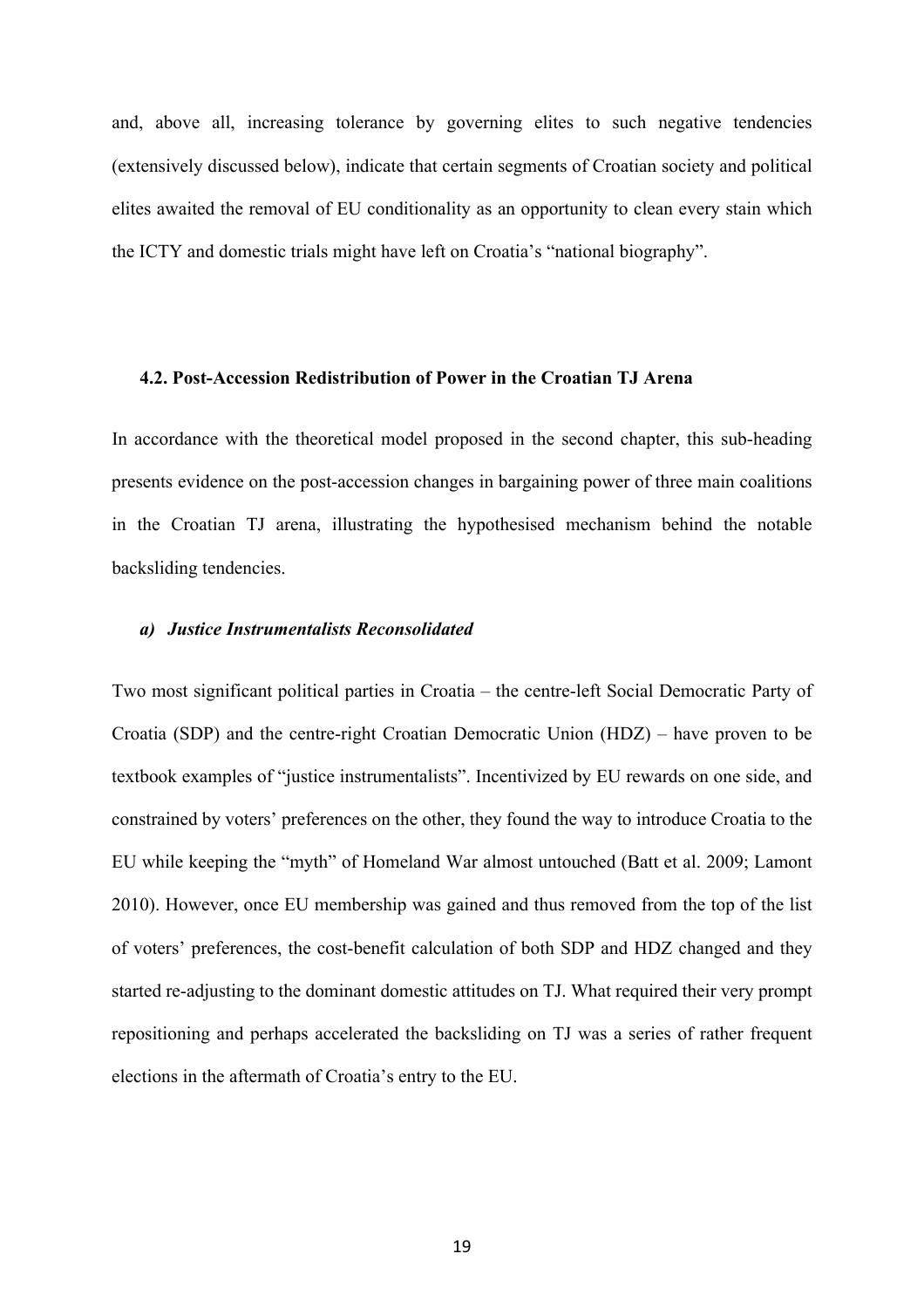and, above all, increasing tolerance by governing elites to such negative tendencies (extensively discussed below), indicate that certain segments of Croatian society and political elites awaited the removal of EU conditionality as an opportunity to clean every stain which the ICTY and domestic trials might have left on Croatia's "national biography".

#### **4.2. Post-Accession Redistribution of Power in the Croatian TJ Arena**

In accordance with the theoretical model proposed in the second chapter, this sub-heading presents evidence on the post-accession changes in bargaining power of three main coalitions in the Croatian TJ arena, illustrating the hypothesised mechanism behind the notable backsliding tendencies.

#### *a) Justice Instrumentalists Reconsolidated*

Two most significant political parties in Croatia – the centre-left Social Democratic Party of Croatia (SDP) and the centre-right Croatian Democratic Union (HDZ) – have proven to be textbook examples of "justice instrumentalists". Incentivized by EU rewards on one side, and constrained by voters' preferences on the other, they found the way to introduce Croatia to the EU while keeping the "myth" of Homeland War almost untouched (Batt et al. 2009; Lamont 2010). However, once EU membership was gained and thus removed from the top of the list of voters' preferences, the cost-benefit calculation of both SDP and HDZ changed and they started re-adjusting to the dominant domestic attitudes on TJ. What required their very prompt repositioning and perhaps accelerated the backsliding on TJ was a series of rather frequent elections in the aftermath of Croatia's entry to the EU.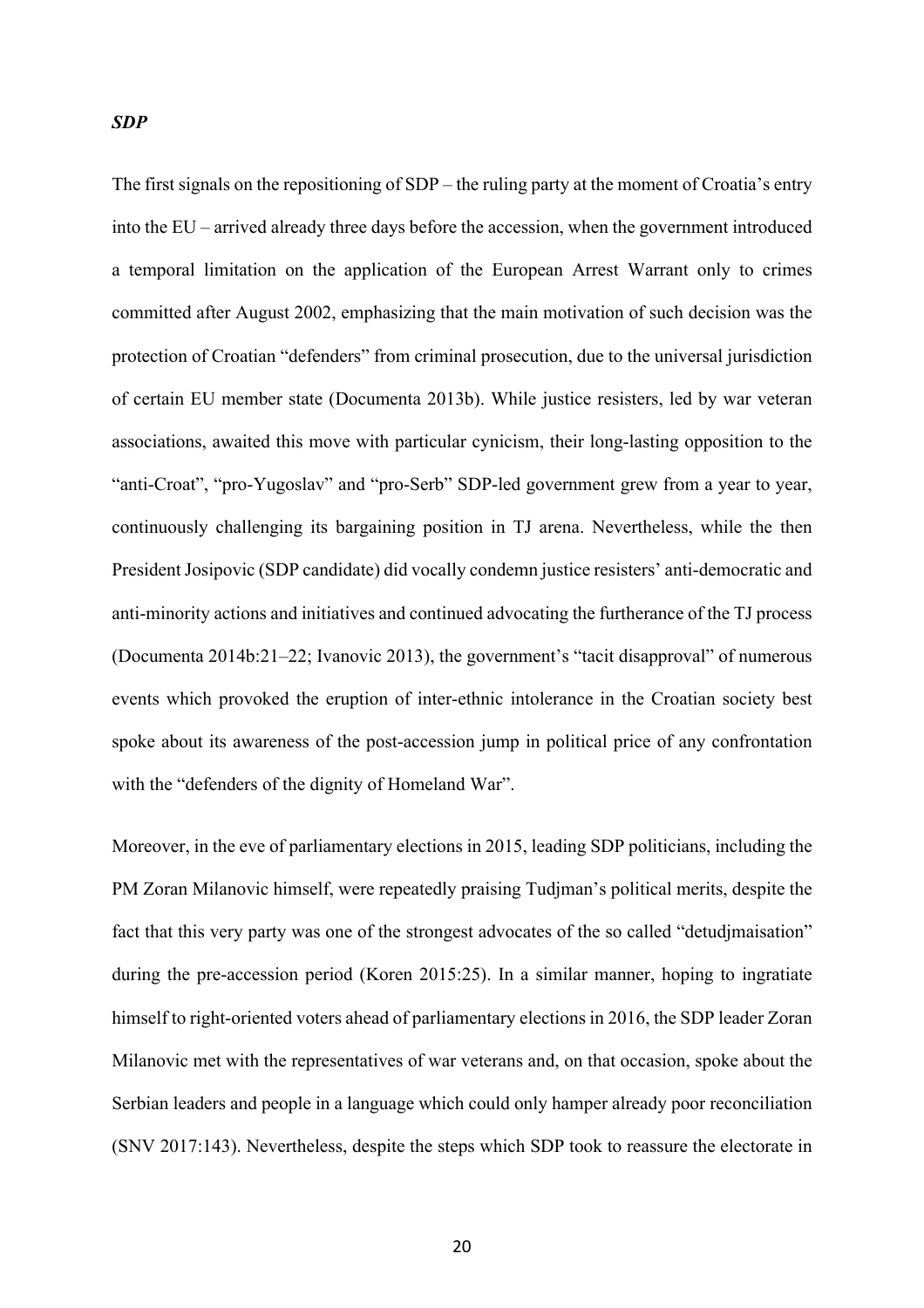#### *SDP*

The first signals on the repositioning of SDP – the ruling party at the moment of Croatia's entry into the EU – arrived already three days before the accession, when the government introduced a temporal limitation on the application of the European Arrest Warrant only to crimes committed after August 2002, emphasizing that the main motivation of such decision was the protection of Croatian "defenders" from criminal prosecution, due to the universal jurisdiction of certain EU member state (Documenta 2013b). While justice resisters, led by war veteran associations, awaited this move with particular cynicism, their long-lasting opposition to the "anti-Croat", "pro-Yugoslav" and "pro-Serb" SDP-led government grew from a year to year, continuously challenging its bargaining position in TJ arena. Nevertheless, while the then President Josipovic (SDP candidate) did vocally condemn justice resisters' anti-democratic and anti-minority actions and initiatives and continued advocating the furtherance of the TJ process (Documenta 2014b:21–22; Ivanovic 2013), the government's "tacit disapproval" of numerous events which provoked the eruption of inter-ethnic intolerance in the Croatian society best spoke about its awareness of the post-accession jump in political price of any confrontation with the "defenders of the dignity of Homeland War".

Moreover, in the eve of parliamentary elections in 2015, leading SDP politicians, including the PM Zoran Milanovic himself, were repeatedly praising Tudjman's political merits, despite the fact that this very party was one of the strongest advocates of the so called "detudjmaisation" during the pre-accession period (Koren 2015:25). In a similar manner, hoping to ingratiate himself to right-oriented voters ahead of parliamentary elections in 2016, the SDP leader Zoran Milanovic met with the representatives of war veterans and, on that occasion, spoke about the Serbian leaders and people in a language which could only hamper already poor reconciliation (SNV 2017:143). Nevertheless, despite the steps which SDP took to reassure the electorate in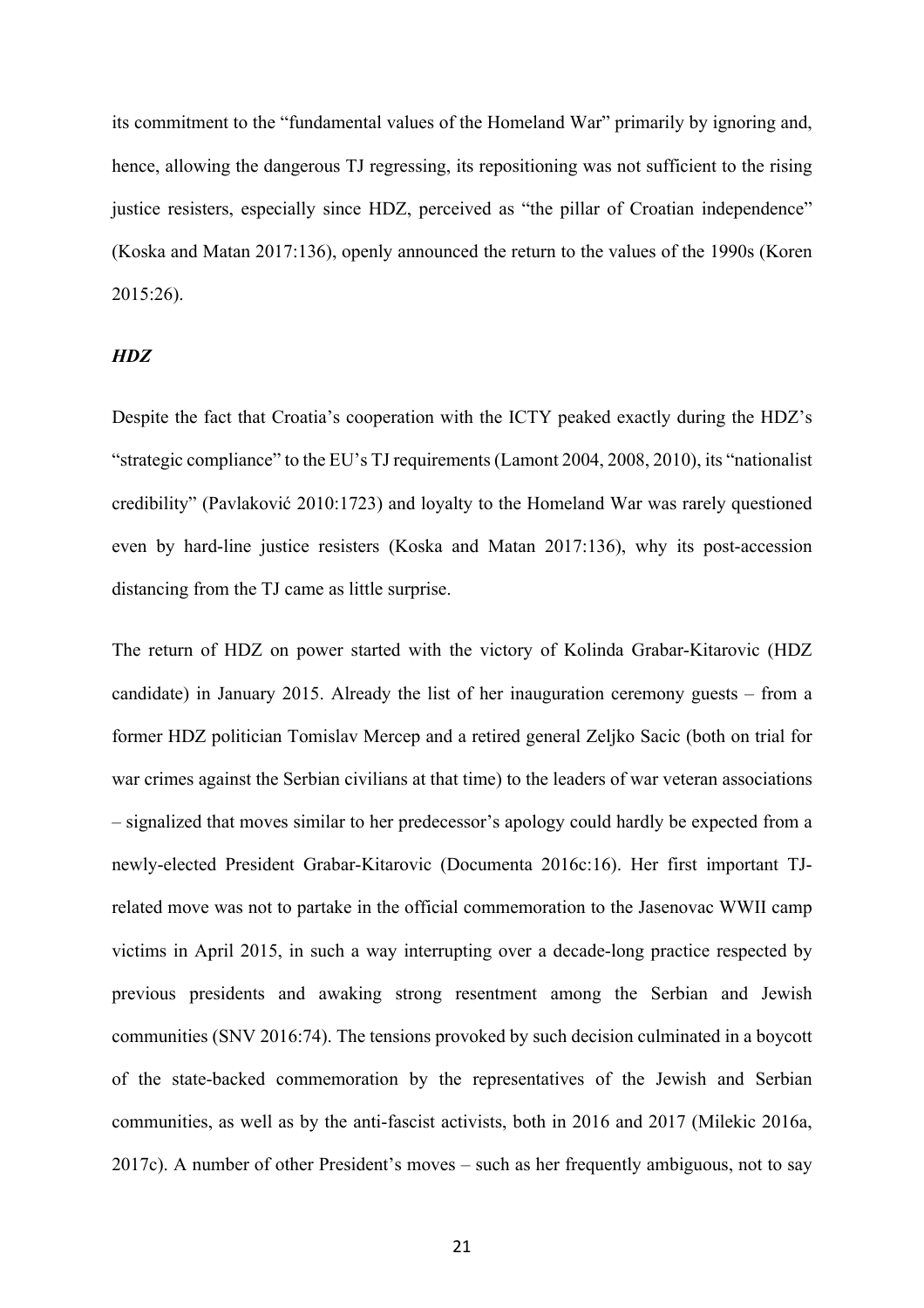its commitment to the "fundamental values of the Homeland War" primarily by ignoring and, hence, allowing the dangerous TJ regressing, its repositioning was not sufficient to the rising justice resisters, especially since HDZ, perceived as "the pillar of Croatian independence" (Koska and Matan 2017:136), openly announced the return to the values of the 1990s (Koren 2015:26).

## *HDZ*

Despite the fact that Croatia's cooperation with the ICTY peaked exactly during the HDZ's "strategic compliance" to the EU's TJ requirements (Lamont 2004, 2008, 2010), its "nationalist credibility" (Pavlaković 2010:1723) and loyalty to the Homeland War was rarely questioned even by hard-line justice resisters (Koska and Matan 2017:136), why its post-accession distancing from the TJ came as little surprise.

The return of HDZ on power started with the victory of Kolinda Grabar-Kitarovic (HDZ candidate) in January 2015. Already the list of her inauguration ceremony guests – from a former HDZ politician Tomislav Mercep and a retired general Zeljko Sacic (both on trial for war crimes against the Serbian civilians at that time) to the leaders of war veteran associations – signalized that moves similar to her predecessor's apology could hardly be expected from a newly-elected President Grabar-Kitarovic (Documenta 2016c:16). Her first important TJrelated move was not to partake in the official commemoration to the Jasenovac WWII camp victims in April 2015, in such a way interrupting over a decade-long practice respected by previous presidents and awaking strong resentment among the Serbian and Jewish communities (SNV 2016:74). The tensions provoked by such decision culminated in a boycott of the state-backed commemoration by the representatives of the Jewish and Serbian communities, as well as by the anti-fascist activists, both in 2016 and 2017 (Milekic 2016a, 2017c). A number of other President's moves – such as her frequently ambiguous, not to say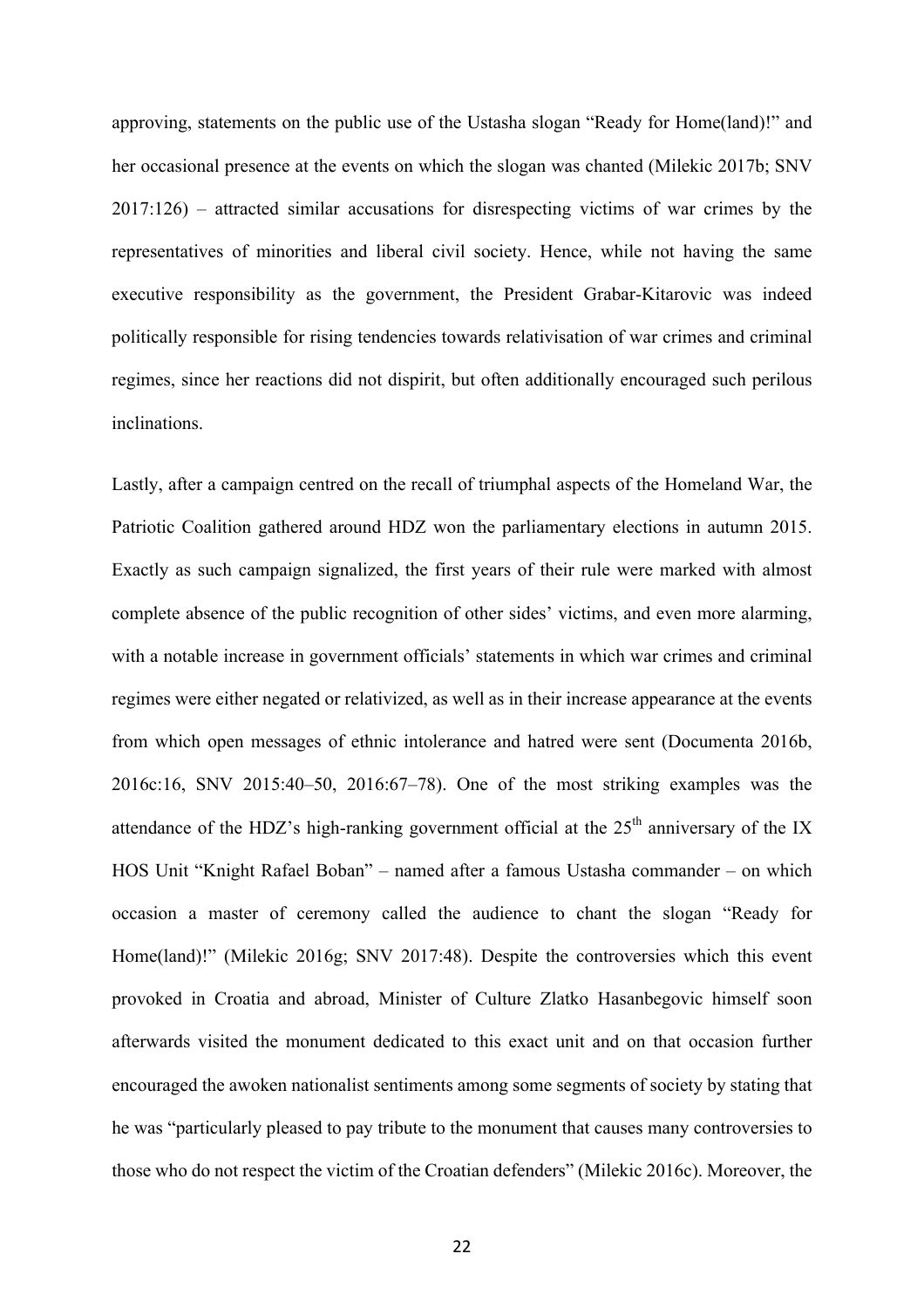approving, statements on the public use of the Ustasha slogan "Ready for Home(land)!" and her occasional presence at the events on which the slogan was chanted (Milekic 2017b; SNV 2017:126) – attracted similar accusations for disrespecting victims of war crimes by the representatives of minorities and liberal civil society. Hence, while not having the same executive responsibility as the government, the President Grabar-Kitarovic was indeed politically responsible for rising tendencies towards relativisation of war crimes and criminal regimes, since her reactions did not dispirit, but often additionally encouraged such perilous inclinations.

Lastly, after a campaign centred on the recall of triumphal aspects of the Homeland War, the Patriotic Coalition gathered around HDZ won the parliamentary elections in autumn 2015. Exactly as such campaign signalized, the first years of their rule were marked with almost complete absence of the public recognition of other sides' victims, and even more alarming, with a notable increase in government officials' statements in which war crimes and criminal regimes were either negated or relativized, as well as in their increase appearance at the events from which open messages of ethnic intolerance and hatred were sent (Documenta 2016b, 2016c:16, SNV 2015:40–50, 2016:67–78). One of the most striking examples was the attendance of the HDZ's high-ranking government official at the  $25<sup>th</sup>$  anniversary of the IX HOS Unit "Knight Rafael Boban" – named after a famous Ustasha commander – on which occasion a master of ceremony called the audience to chant the slogan "Ready for Home(land)!" (Milekic 2016g; SNV 2017:48). Despite the controversies which this event provoked in Croatia and abroad, Minister of Culture Zlatko Hasanbegovic himself soon afterwards visited the monument dedicated to this exact unit and on that occasion further encouraged the awoken nationalist sentiments among some segments of society by stating that he was "particularly pleased to pay tribute to the monument that causes many controversies to those who do not respect the victim of the Croatian defenders" (Milekic 2016c). Moreover, the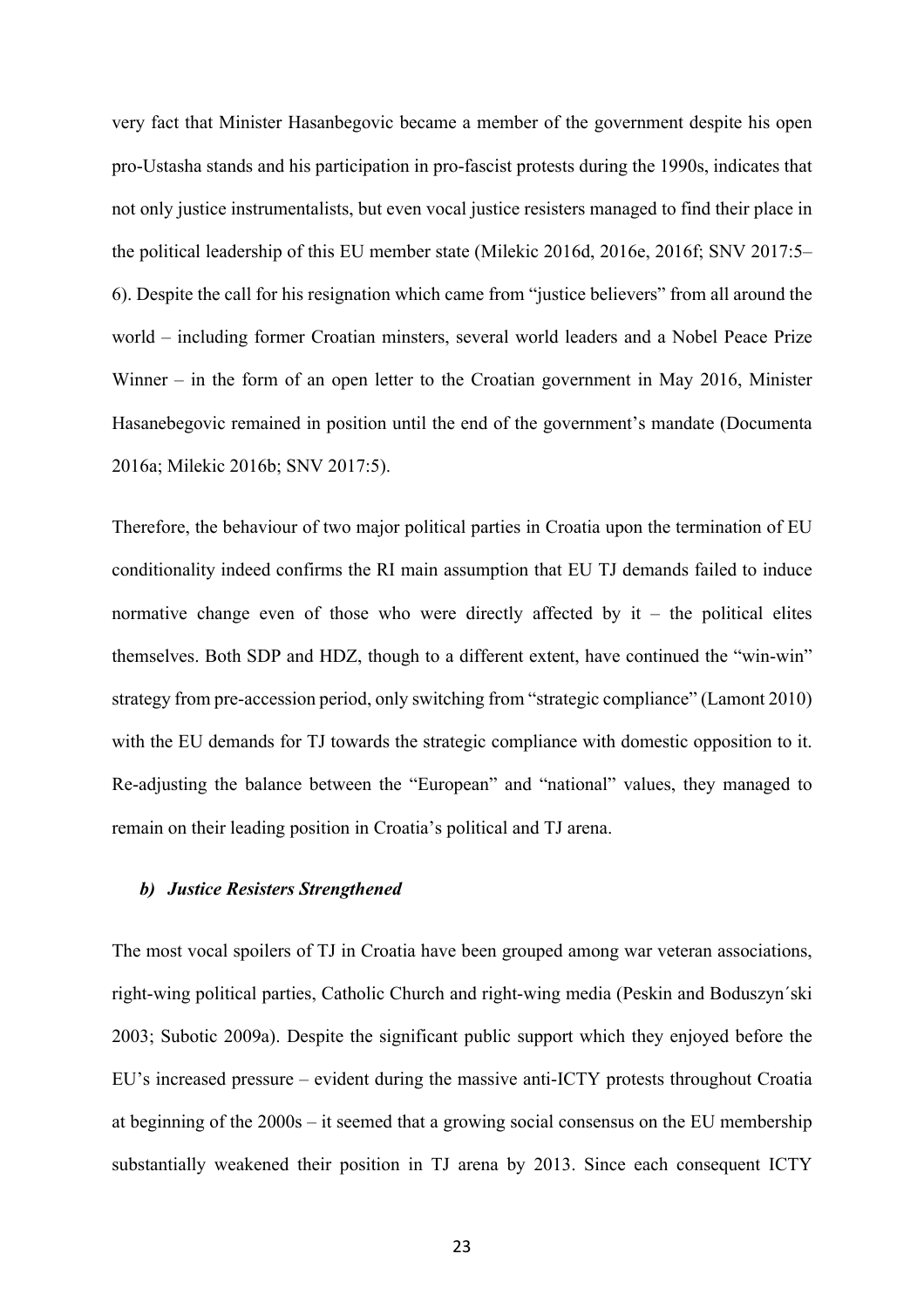very fact that Minister Hasanbegovic became a member of the government despite his open pro-Ustasha stands and his participation in pro-fascist protests during the 1990s, indicates that not only justice instrumentalists, but even vocal justice resisters managed to find their place in the political leadership of this EU member state (Milekic 2016d, 2016e, 2016f; SNV 2017:5– 6). Despite the call for his resignation which came from "justice believers" from all around the world – including former Croatian minsters, several world leaders and a Nobel Peace Prize Winner – in the form of an open letter to the Croatian government in May 2016, Minister Hasanebegovic remained in position until the end of the government's mandate (Documenta 2016a; Milekic 2016b; SNV 2017:5).

Therefore, the behaviour of two major political parties in Croatia upon the termination of EU conditionality indeed confirms the RI main assumption that EU TJ demands failed to induce normative change even of those who were directly affected by  $it - the$  political elites themselves. Both SDP and HDZ, though to a different extent, have continued the "win-win" strategy from pre-accession period, only switching from "strategic compliance" (Lamont 2010) with the EU demands for TJ towards the strategic compliance with domestic opposition to it. Re-adjusting the balance between the "European" and "national" values, they managed to remain on their leading position in Croatia's political and TJ arena.

#### *b) Justice Resisters Strengthened*

The most vocal spoilers of TJ in Croatia have been grouped among war veteran associations, right-wing political parties, Catholic Church and right-wing media (Peskin and Boduszyn´ski 2003; Subotic 2009a). Despite the significant public support which they enjoyed before the EU's increased pressure – evident during the massive anti-ICTY protests throughout Croatia at beginning of the 2000s – it seemed that a growing social consensus on the EU membership substantially weakened their position in TJ arena by 2013. Since each consequent ICTY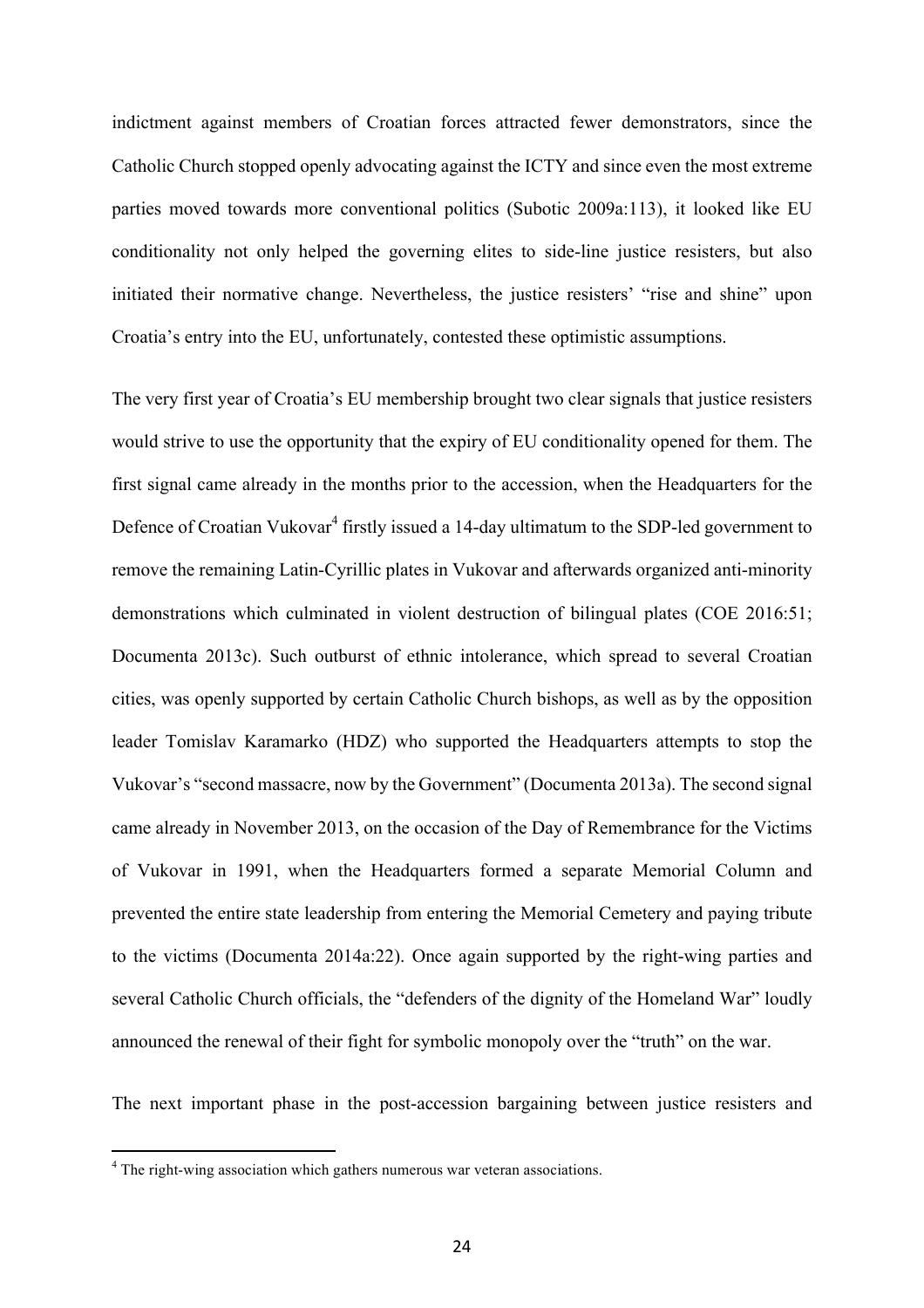indictment against members of Croatian forces attracted fewer demonstrators, since the Catholic Church stopped openly advocating against the ICTY and since even the most extreme parties moved towards more conventional politics (Subotic 2009a:113), it looked like EU conditionality not only helped the governing elites to side-line justice resisters, but also initiated their normative change. Nevertheless, the justice resisters' "rise and shine" upon Croatia's entry into the EU, unfortunately, contested these optimistic assumptions.

The very first year of Croatia's EU membership brought two clear signals that justice resisters would strive to use the opportunity that the expiry of EU conditionality opened for them. The first signal came already in the months prior to the accession, when the Headquarters for the Defence of Croatian Vukovar<sup>4</sup> firstly issued a 14-day ultimatum to the SDP-led government to remove the remaining Latin-Cyrillic plates in Vukovar and afterwards organized anti-minority demonstrations which culminated in violent destruction of bilingual plates (COE 2016:51; Documenta 2013c). Such outburst of ethnic intolerance, which spread to several Croatian cities, was openly supported by certain Catholic Church bishops, as well as by the opposition leader Tomislav Karamarko (HDZ) who supported the Headquarters attempts to stop the Vukovar's "second massacre, now by the Government" (Documenta 2013a). The second signal came already in November 2013, on the occasion of the Day of Remembrance for the Victims of Vukovar in 1991, when the Headquarters formed a separate Memorial Column and prevented the entire state leadership from entering the Memorial Cemetery and paying tribute to the victims (Documenta 2014a:22). Once again supported by the right-wing parties and several Catholic Church officials, the "defenders of the dignity of the Homeland War" loudly announced the renewal of their fight for symbolic monopoly over the "truth" on the war.

The next important phase in the post-accession bargaining between justice resisters and

 

<sup>&</sup>lt;sup>4</sup> The right-wing association which gathers numerous war veteran associations.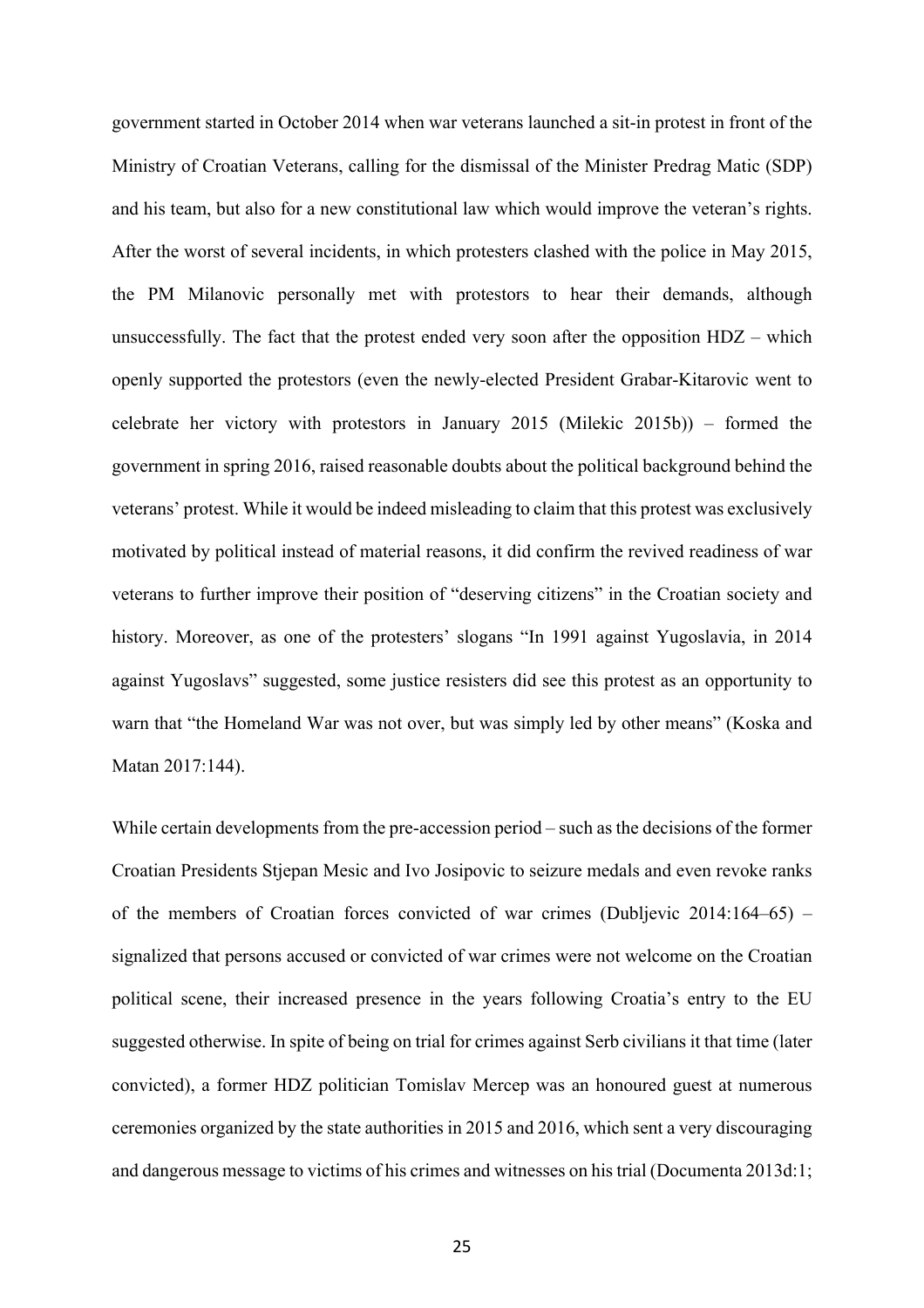government started in October 2014 when war veterans launched a sit-in protest in front of the Ministry of Croatian Veterans, calling for the dismissal of the Minister Predrag Matic (SDP) and his team, but also for a new constitutional law which would improve the veteran's rights. After the worst of several incidents, in which protesters clashed with the police in May 2015, the PM Milanovic personally met with protestors to hear their demands, although unsuccessfully. The fact that the protest ended very soon after the opposition HDZ – which openly supported the protestors (even the newly-elected President Grabar-Kitarovic went to celebrate her victory with protestors in January 2015 (Milekic 2015b)) – formed the government in spring 2016, raised reasonable doubts about the political background behind the veterans' protest. While it would be indeed misleading to claim that this protest was exclusively motivated by political instead of material reasons, it did confirm the revived readiness of war veterans to further improve their position of "deserving citizens" in the Croatian society and history. Moreover, as one of the protesters' slogans "In 1991 against Yugoslavia, in 2014 against Yugoslavs" suggested, some justice resisters did see this protest as an opportunity to warn that "the Homeland War was not over, but was simply led by other means" (Koska and Matan 2017:144).

While certain developments from the pre-accession period – such as the decisions of the former Croatian Presidents Stjepan Mesic and Ivo Josipovic to seizure medals and even revoke ranks of the members of Croatian forces convicted of war crimes (Dubljevic 2014:164–65) – signalized that persons accused or convicted of war crimes were not welcome on the Croatian political scene, their increased presence in the years following Croatia's entry to the EU suggested otherwise. In spite of being on trial for crimes against Serb civilians it that time (later convicted), a former HDZ politician Tomislav Mercep was an honoured guest at numerous ceremonies organized by the state authorities in 2015 and 2016, which sent a very discouraging and dangerous message to victims of his crimes and witnesses on his trial (Documenta 2013d:1;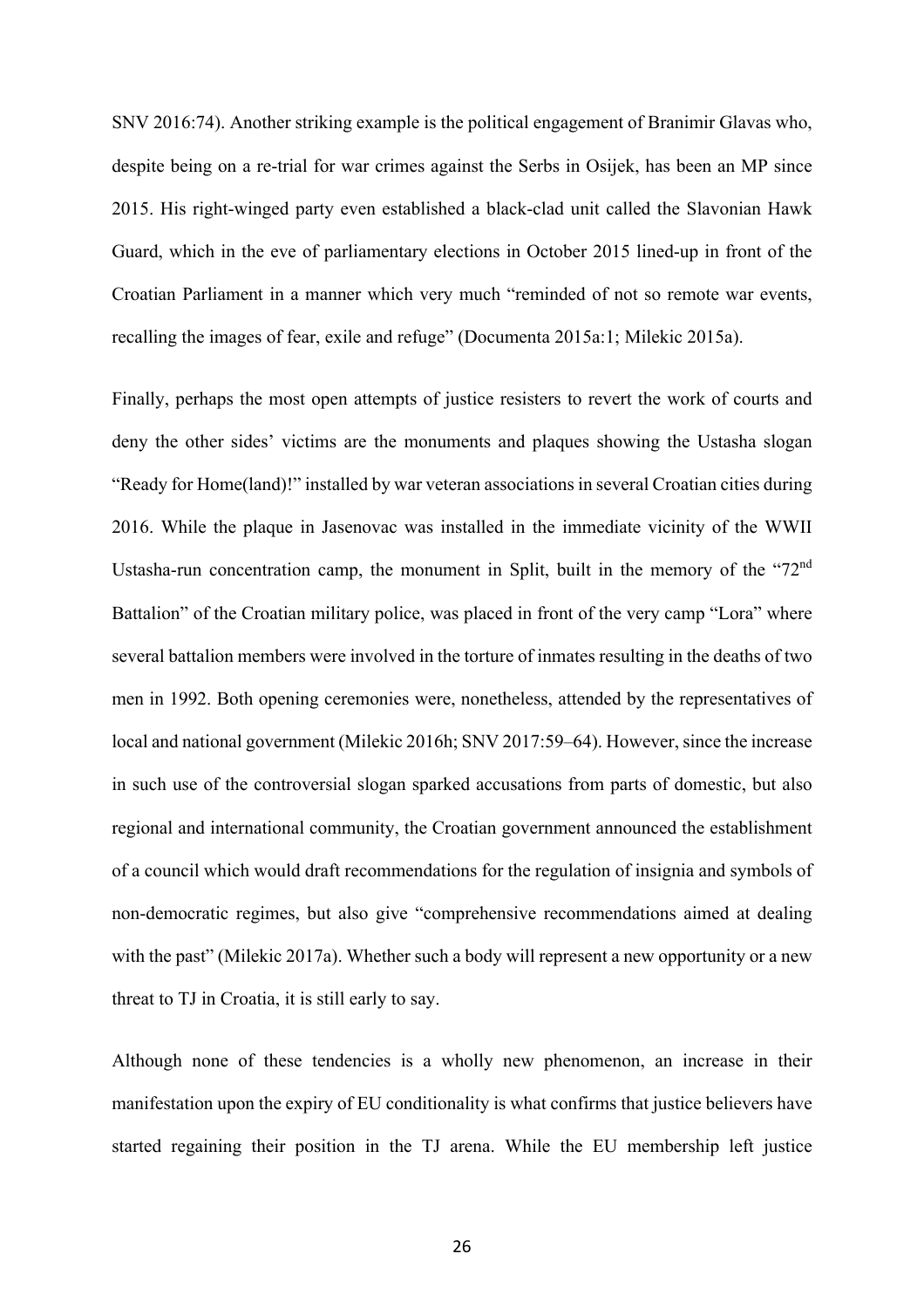SNV 2016:74). Another striking example is the political engagement of Branimir Glavas who, despite being on a re-trial for war crimes against the Serbs in Osijek, has been an MP since 2015. His right-winged party even established a black-clad unit called the Slavonian Hawk Guard, which in the eve of parliamentary elections in October 2015 lined-up in front of the Croatian Parliament in a manner which very much "reminded of not so remote war events, recalling the images of fear, exile and refuge" (Documenta 2015a:1; Milekic 2015a).

Finally, perhaps the most open attempts of justice resisters to revert the work of courts and deny the other sides' victims are the monuments and plaques showing the Ustasha slogan "Ready for Home(land)!" installed by war veteran associations in several Croatian cities during 2016. While the plaque in Jasenovac was installed in the immediate vicinity of the WWII Ustasha-run concentration camp, the monument in Split, built in the memory of the "72<sup>nd</sup> Battalion" of the Croatian military police, was placed in front of the very camp "Lora" where several battalion members were involved in the torture of inmates resulting in the deaths of two men in 1992. Both opening ceremonies were, nonetheless, attended by the representatives of local and national government (Milekic 2016h; SNV 2017:59–64). However, since the increase in such use of the controversial slogan sparked accusations from parts of domestic, but also regional and international community, the Croatian government announced the establishment of a council which would draft recommendations for the regulation of insignia and symbols of non-democratic regimes, but also give "comprehensive recommendations aimed at dealing with the past" (Milekic 2017a). Whether such a body will represent a new opportunity or a new threat to TJ in Croatia, it is still early to say.

Although none of these tendencies is a wholly new phenomenon, an increase in their manifestation upon the expiry of EU conditionality is what confirms that justice believers have started regaining their position in the TJ arena. While the EU membership left justice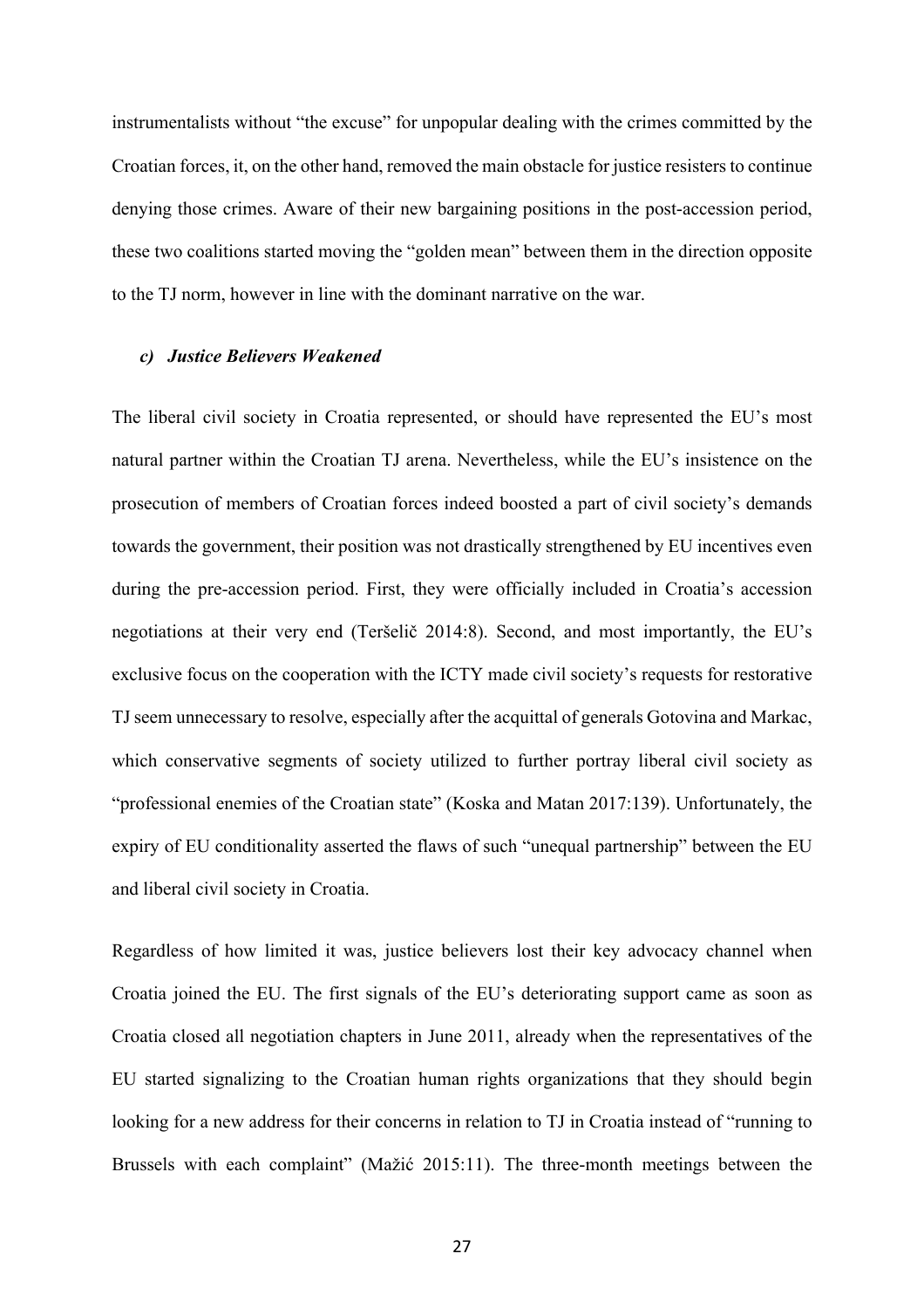instrumentalists without "the excuse" for unpopular dealing with the crimes committed by the Croatian forces, it, on the other hand, removed the main obstacle for justice resisters to continue denying those crimes. Aware of their new bargaining positions in the post-accession period, these two coalitions started moving the "golden mean" between them in the direction opposite to the TJ norm, however in line with the dominant narrative on the war.

#### *c) Justice Believers Weakened*

The liberal civil society in Croatia represented, or should have represented the EU's most natural partner within the Croatian TJ arena. Nevertheless, while the EU's insistence on the prosecution of members of Croatian forces indeed boosted a part of civil society's demands towards the government, their position was not drastically strengthened by EU incentives even during the pre-accession period. First, they were officially included in Croatia's accession negotiations at their very end (Teršelič 2014:8). Second, and most importantly, the EU's exclusive focus on the cooperation with the ICTY made civil society's requests for restorative TJ seem unnecessary to resolve, especially after the acquittal of generals Gotovina and Markac, which conservative segments of society utilized to further portray liberal civil society as "professional enemies of the Croatian state" (Koska and Matan 2017:139). Unfortunately, the expiry of EU conditionality asserted the flaws of such "unequal partnership" between the EU and liberal civil society in Croatia.

Regardless of how limited it was, justice believers lost their key advocacy channel when Croatia joined the EU. The first signals of the EU's deteriorating support came as soon as Croatia closed all negotiation chapters in June 2011, already when the representatives of the EU started signalizing to the Croatian human rights organizations that they should begin looking for a new address for their concerns in relation to TJ in Croatia instead of "running to Brussels with each complaint" (Mažić 2015:11). The three-month meetings between the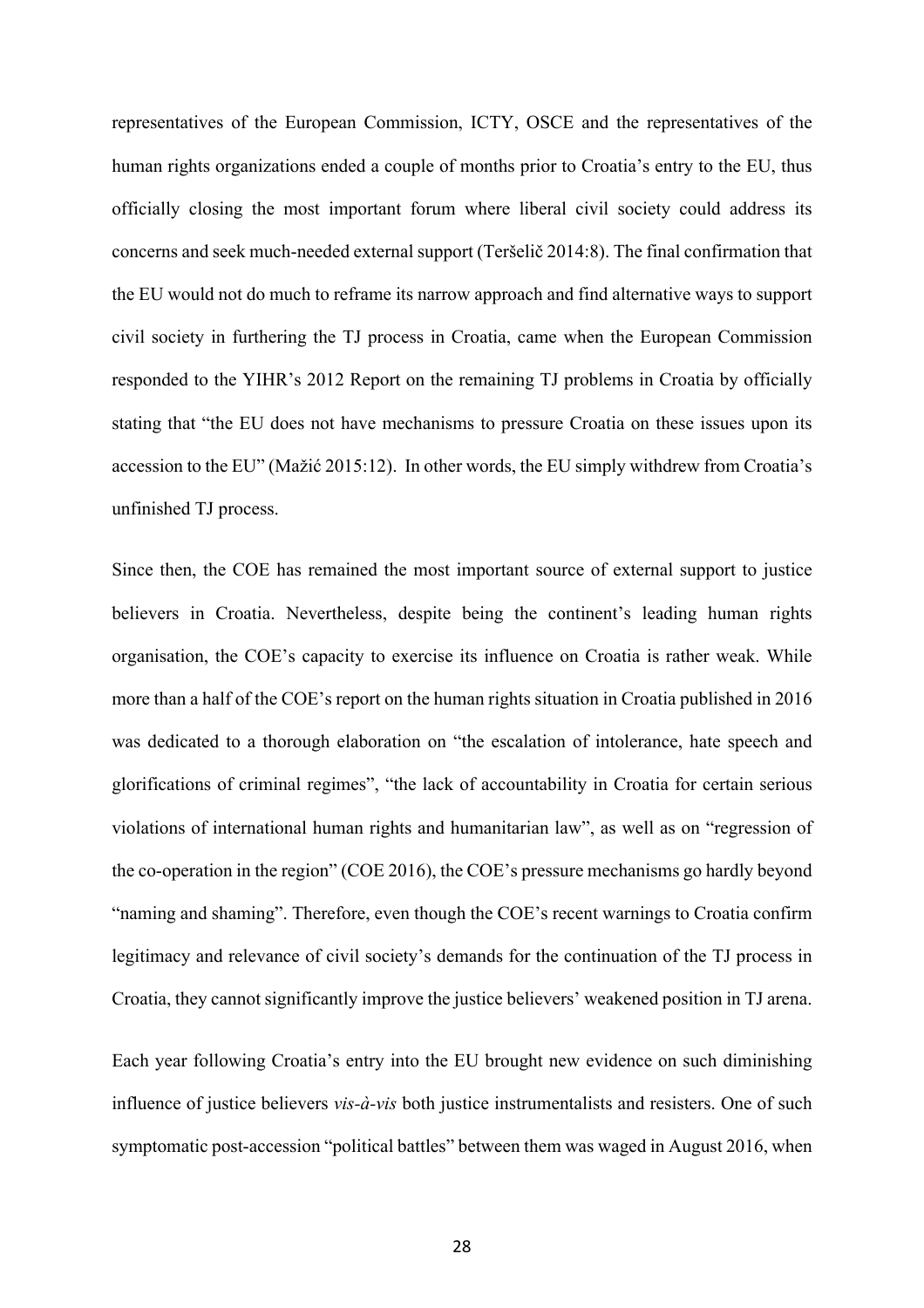representatives of the European Commission, ICTY, OSCE and the representatives of the human rights organizations ended a couple of months prior to Croatia's entry to the EU, thus officially closing the most important forum where liberal civil society could address its concerns and seek much-needed external support (Teršelič 2014:8). The final confirmation that the EU would not do much to reframe its narrow approach and find alternative ways to support civil society in furthering the TJ process in Croatia, came when the European Commission responded to the YIHR's 2012 Report on the remaining TJ problems in Croatia by officially stating that "the EU does not have mechanisms to pressure Croatia on these issues upon its accession to the EU" (Mažić 2015:12). In other words, the EU simply withdrew from Croatia's unfinished TJ process.

Since then, the COE has remained the most important source of external support to justice believers in Croatia. Nevertheless, despite being the continent's leading human rights organisation, the COE's capacity to exercise its influence on Croatia is rather weak. While more than a half of the COE's report on the human rights situation in Croatia published in 2016 was dedicated to a thorough elaboration on "the escalation of intolerance, hate speech and glorifications of criminal regimes", "the lack of accountability in Croatia for certain serious violations of international human rights and humanitarian law", as well as on "regression of the co-operation in the region" (COE 2016), the COE's pressure mechanisms go hardly beyond "naming and shaming". Therefore, even though the COE's recent warnings to Croatia confirm legitimacy and relevance of civil society's demands for the continuation of the TJ process in Croatia, they cannot significantly improve the justice believers' weakened position in TJ arena.

Each year following Croatia's entry into the EU brought new evidence on such diminishing influence of justice believers *vis-à-vis* both justice instrumentalists and resisters. One of such symptomatic post-accession "political battles" between them was waged in August 2016, when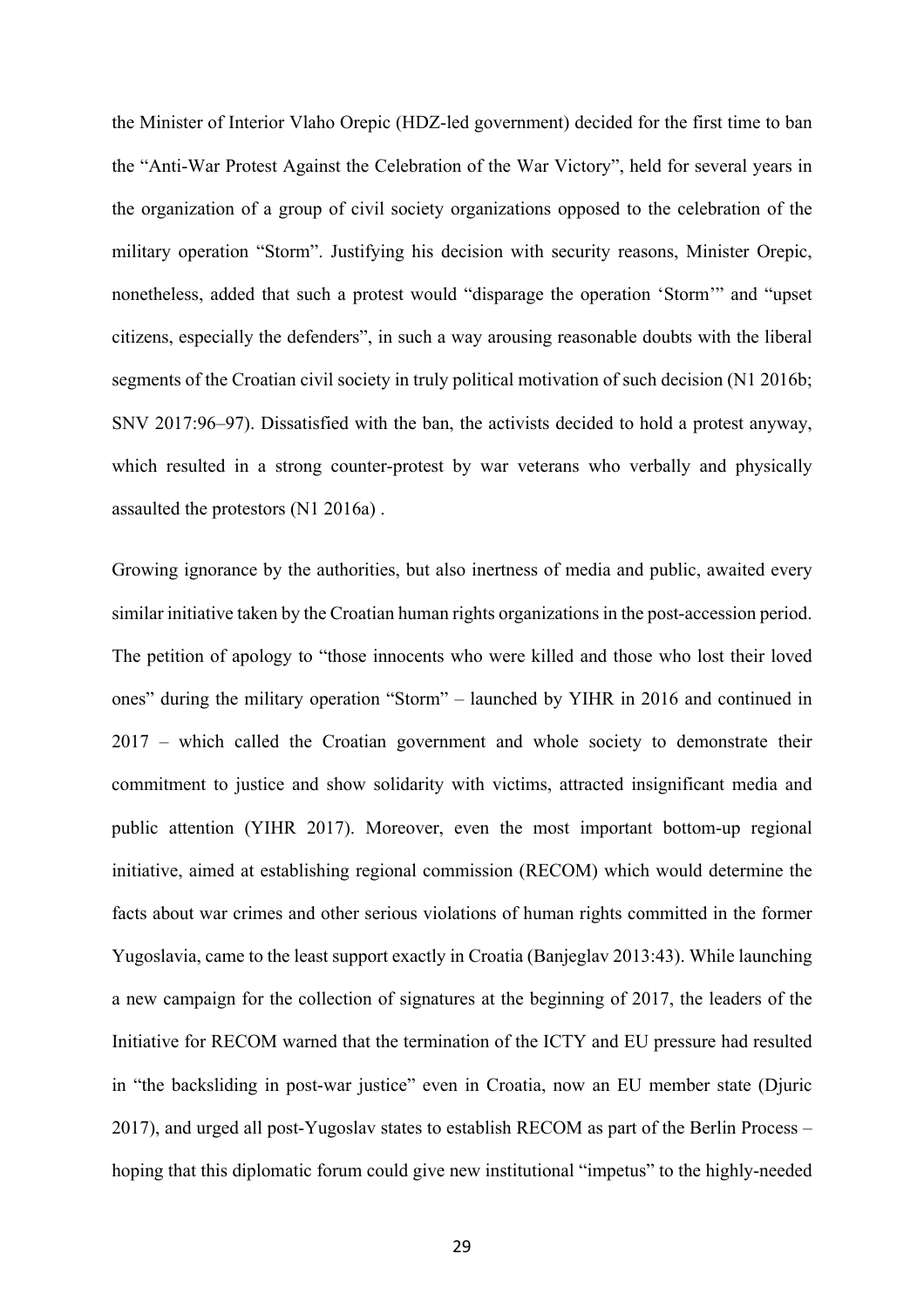the Minister of Interior Vlaho Orepic (HDZ-led government) decided for the first time to ban the "Anti-War Protest Against the Celebration of the War Victory", held for several years in the organization of a group of civil society organizations opposed to the celebration of the military operation "Storm". Justifying his decision with security reasons, Minister Orepic, nonetheless, added that such a protest would "disparage the operation 'Storm'" and "upset citizens, especially the defenders", in such a way arousing reasonable doubts with the liberal segments of the Croatian civil society in truly political motivation of such decision (N1 2016b; SNV 2017:96–97). Dissatisfied with the ban, the activists decided to hold a protest anyway, which resulted in a strong counter-protest by war veterans who verbally and physically assaulted the protestors (N1 2016a) .

Growing ignorance by the authorities, but also inertness of media and public, awaited every similar initiative taken by the Croatian human rights organizations in the post-accession period. The petition of apology to "those innocents who were killed and those who lost their loved ones" during the military operation "Storm" – launched by YIHR in 2016 and continued in 2017 – which called the Croatian government and whole society to demonstrate their commitment to justice and show solidarity with victims, attracted insignificant media and public attention (YIHR 2017). Moreover, even the most important bottom-up regional initiative, aimed at establishing regional commission (RECOM) which would determine the facts about war crimes and other serious violations of human rights committed in the former Yugoslavia, came to the least support exactly in Croatia (Banjeglav 2013:43). While launching a new campaign for the collection of signatures at the beginning of 2017, the leaders of the Initiative for RECOM warned that the termination of the ICTY and EU pressure had resulted in "the backsliding in post-war justice" even in Croatia, now an EU member state (Djuric 2017), and urged all post-Yugoslav states to establish RECOM as part of the Berlin Process – hoping that this diplomatic forum could give new institutional "impetus" to the highly-needed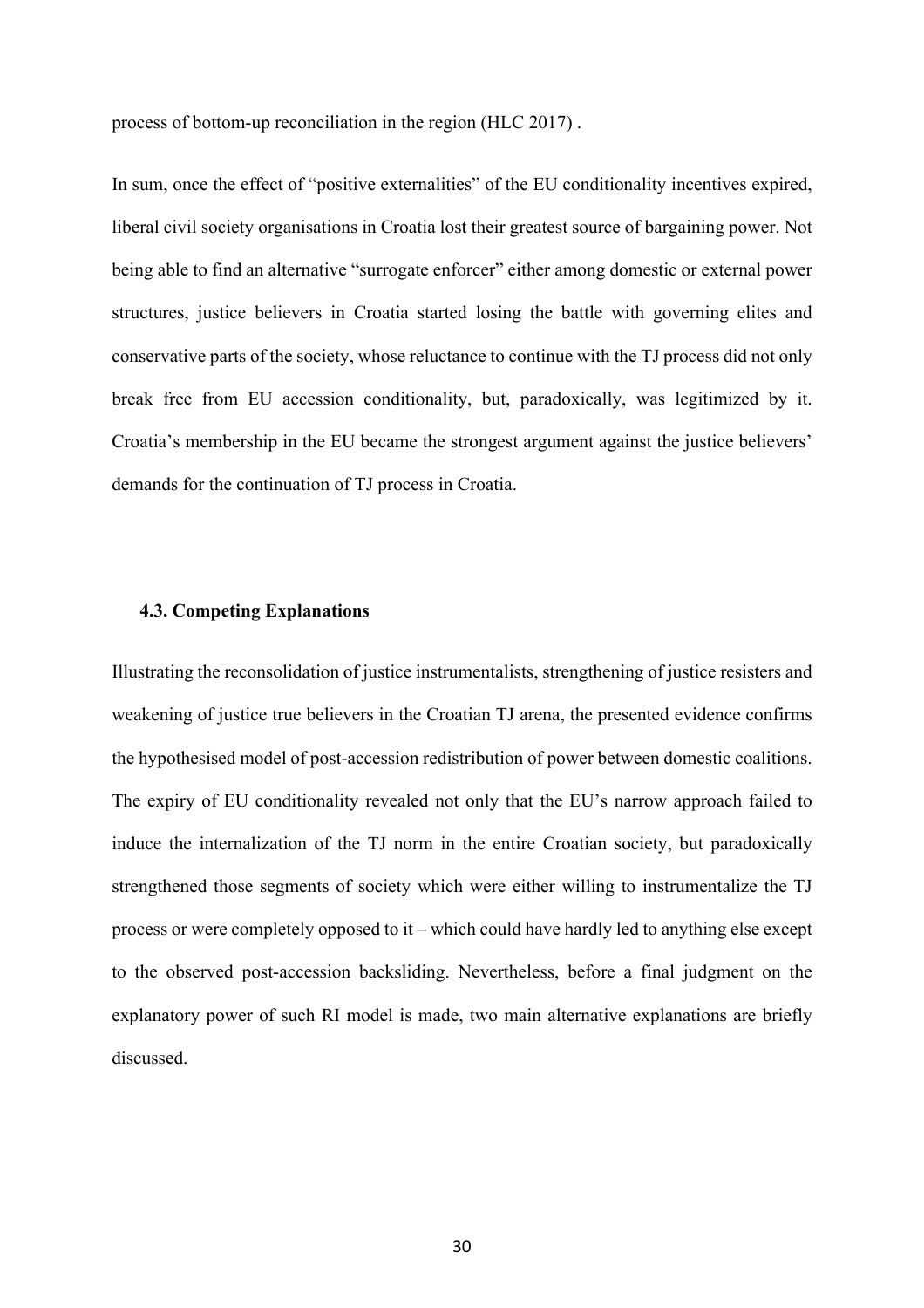process of bottom-up reconciliation in the region (HLC 2017) .

In sum, once the effect of "positive externalities" of the EU conditionality incentives expired, liberal civil society organisations in Croatia lost their greatest source of bargaining power. Not being able to find an alternative "surrogate enforcer" either among domestic or external power structures, justice believers in Croatia started losing the battle with governing elites and conservative parts of the society, whose reluctance to continue with the TJ process did not only break free from EU accession conditionality, but, paradoxically, was legitimized by it. Croatia's membership in the EU became the strongest argument against the justice believers' demands for the continuation of TJ process in Croatia.

#### **4.3. Competing Explanations**

Illustrating the reconsolidation of justice instrumentalists, strengthening of justice resisters and weakening of justice true believers in the Croatian TJ arena, the presented evidence confirms the hypothesised model of post-accession redistribution of power between domestic coalitions. The expiry of EU conditionality revealed not only that the EU's narrow approach failed to induce the internalization of the TJ norm in the entire Croatian society, but paradoxically strengthened those segments of society which were either willing to instrumentalize the TJ process or were completely opposed to it – which could have hardly led to anything else except to the observed post-accession backsliding. Nevertheless, before a final judgment on the explanatory power of such RI model is made, two main alternative explanations are briefly discussed.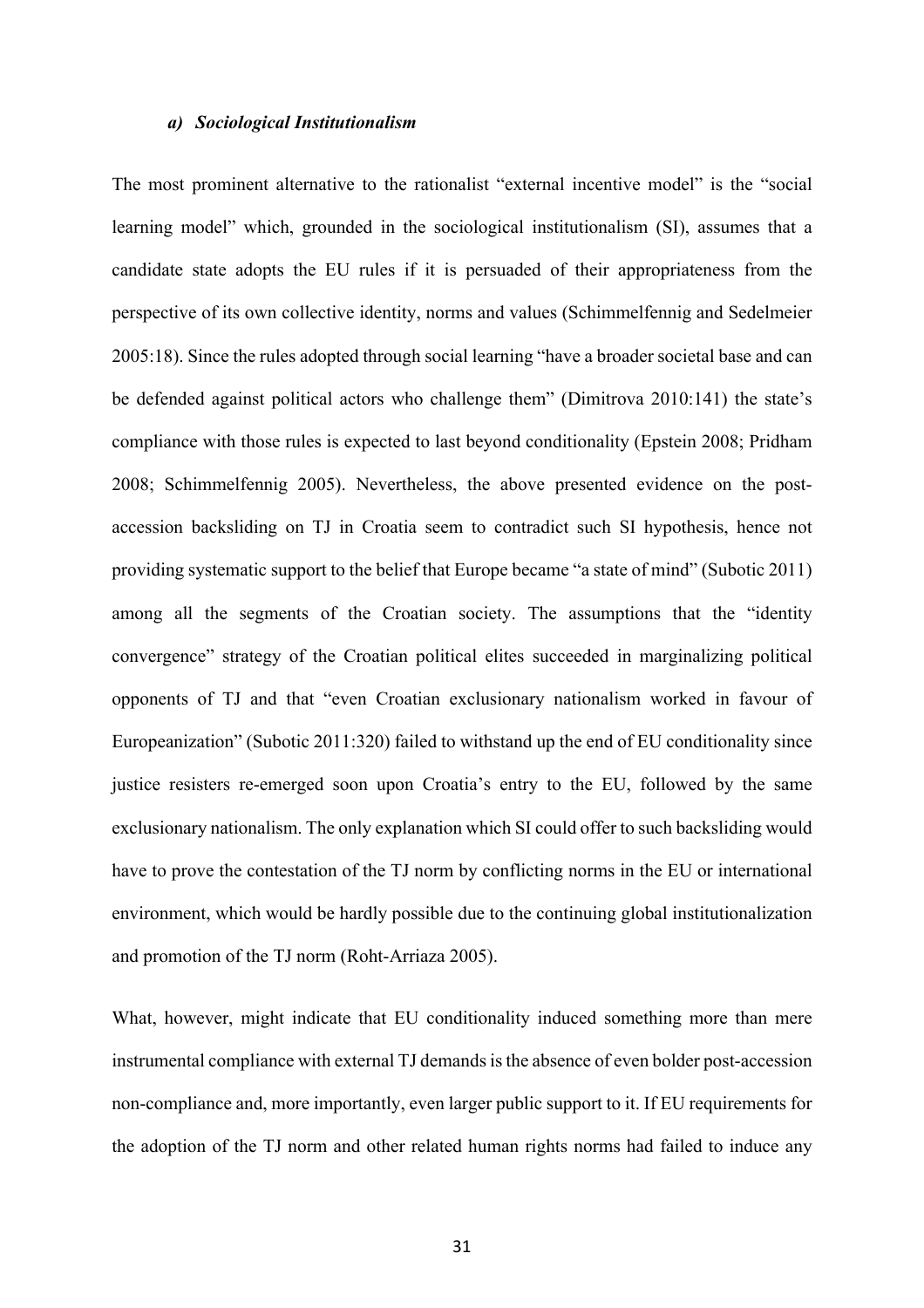#### *a) Sociological Institutionalism*

The most prominent alternative to the rationalist "external incentive model" is the "social learning model" which, grounded in the sociological institutionalism (SI), assumes that a candidate state adopts the EU rules if it is persuaded of their appropriateness from the perspective of its own collective identity, norms and values (Schimmelfennig and Sedelmeier 2005:18). Since the rules adopted through social learning "have a broader societal base and can be defended against political actors who challenge them" (Dimitrova 2010:141) the state's compliance with those rules is expected to last beyond conditionality (Epstein 2008; Pridham 2008; Schimmelfennig 2005). Nevertheless, the above presented evidence on the postaccession backsliding on TJ in Croatia seem to contradict such SI hypothesis, hence not providing systematic support to the belief that Europe became "a state of mind" (Subotic 2011) among all the segments of the Croatian society. The assumptions that the "identity convergence" strategy of the Croatian political elites succeeded in marginalizing political opponents of TJ and that "even Croatian exclusionary nationalism worked in favour of Europeanization" (Subotic 2011:320) failed to withstand up the end of EU conditionality since justice resisters re-emerged soon upon Croatia's entry to the EU, followed by the same exclusionary nationalism. The only explanation which SI could offer to such backsliding would have to prove the contestation of the TJ norm by conflicting norms in the EU or international environment, which would be hardly possible due to the continuing global institutionalization and promotion of the TJ norm (Roht-Arriaza 2005).

What, however, might indicate that EU conditionality induced something more than mere instrumental compliance with external TJ demands is the absence of even bolder post-accession non-compliance and, more importantly, even larger public support to it. If EU requirements for the adoption of the TJ norm and other related human rights norms had failed to induce any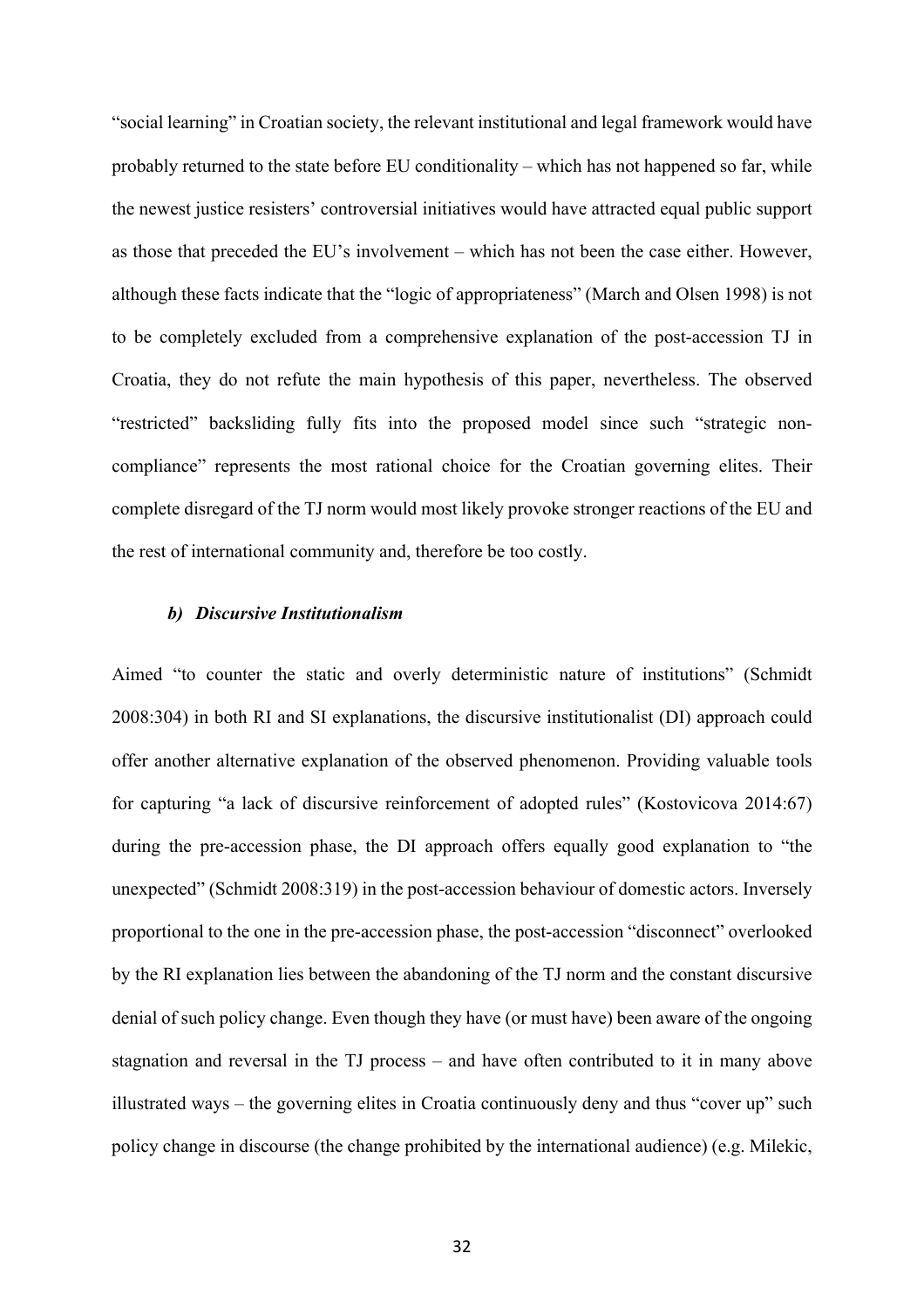"social learning" in Croatian society, the relevant institutional and legal framework would have probably returned to the state before EU conditionality – which has not happened so far, while the newest justice resisters' controversial initiatives would have attracted equal public support as those that preceded the EU's involvement – which has not been the case either. However, although these facts indicate that the "logic of appropriateness" (March and Olsen 1998) is not to be completely excluded from a comprehensive explanation of the post-accession TJ in Croatia, they do not refute the main hypothesis of this paper, nevertheless. The observed "restricted" backsliding fully fits into the proposed model since such "strategic noncompliance" represents the most rational choice for the Croatian governing elites. Their complete disregard of the TJ norm would most likely provoke stronger reactions of the EU and the rest of international community and, therefore be too costly.

#### *b) Discursive Institutionalism*

Aimed "to counter the static and overly deterministic nature of institutions" (Schmidt 2008:304) in both RI and SI explanations, the discursive institutionalist (DI) approach could offer another alternative explanation of the observed phenomenon. Providing valuable tools for capturing "a lack of discursive reinforcement of adopted rules" (Kostovicova 2014:67) during the pre-accession phase, the DI approach offers equally good explanation to "the unexpected" (Schmidt 2008:319) in the post-accession behaviour of domestic actors. Inversely proportional to the one in the pre-accession phase, the post-accession "disconnect" overlooked by the RI explanation lies between the abandoning of the TJ norm and the constant discursive denial of such policy change. Even though they have (or must have) been aware of the ongoing stagnation and reversal in the TJ process – and have often contributed to it in many above illustrated ways – the governing elites in Croatia continuously deny and thus "cover up" such policy change in discourse (the change prohibited by the international audience) (e.g. Milekic,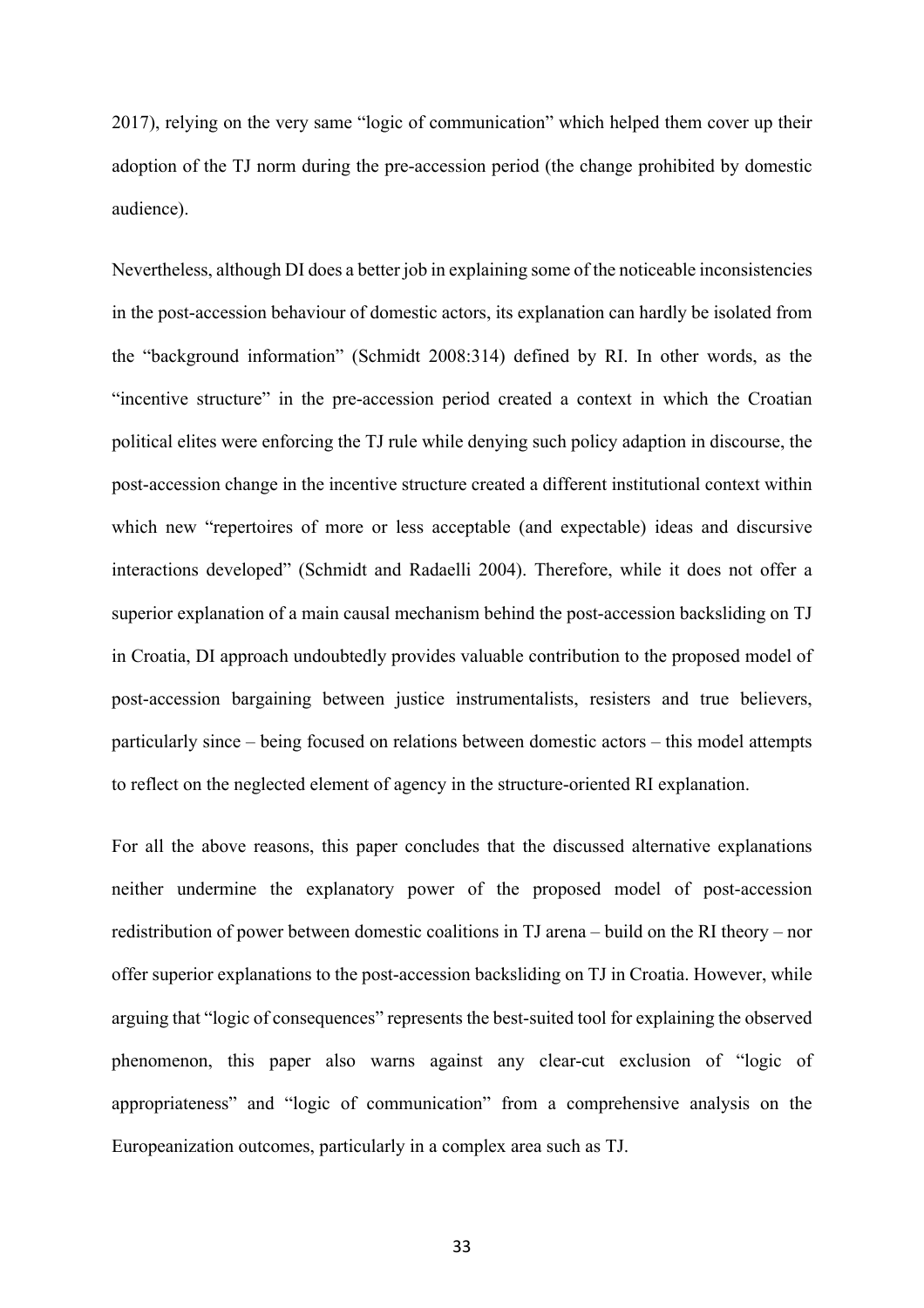2017), relying on the very same "logic of communication" which helped them cover up their adoption of the TJ norm during the pre-accession period (the change prohibited by domestic audience).

Nevertheless, although DI does a better job in explaining some of the noticeable inconsistencies in the post-accession behaviour of domestic actors, its explanation can hardly be isolated from the "background information" (Schmidt 2008:314) defined by RI. In other words, as the "incentive structure" in the pre-accession period created a context in which the Croatian political elites were enforcing the TJ rule while denying such policy adaption in discourse, the post-accession change in the incentive structure created a different institutional context within which new "repertoires of more or less acceptable (and expectable) ideas and discursive interactions developed" (Schmidt and Radaelli 2004). Therefore, while it does not offer a superior explanation of a main causal mechanism behind the post-accession backsliding on TJ in Croatia, DI approach undoubtedly provides valuable contribution to the proposed model of post-accession bargaining between justice instrumentalists, resisters and true believers, particularly since – being focused on relations between domestic actors – this model attempts to reflect on the neglected element of agency in the structure-oriented RI explanation.

For all the above reasons, this paper concludes that the discussed alternative explanations neither undermine the explanatory power of the proposed model of post-accession redistribution of power between domestic coalitions in TJ arena – build on the RI theory – nor offer superior explanations to the post-accession backsliding on TJ in Croatia. However, while arguing that "logic of consequences" represents the best-suited tool for explaining the observed phenomenon, this paper also warns against any clear-cut exclusion of "logic of appropriateness" and "logic of communication" from a comprehensive analysis on the Europeanization outcomes, particularly in a complex area such as TJ.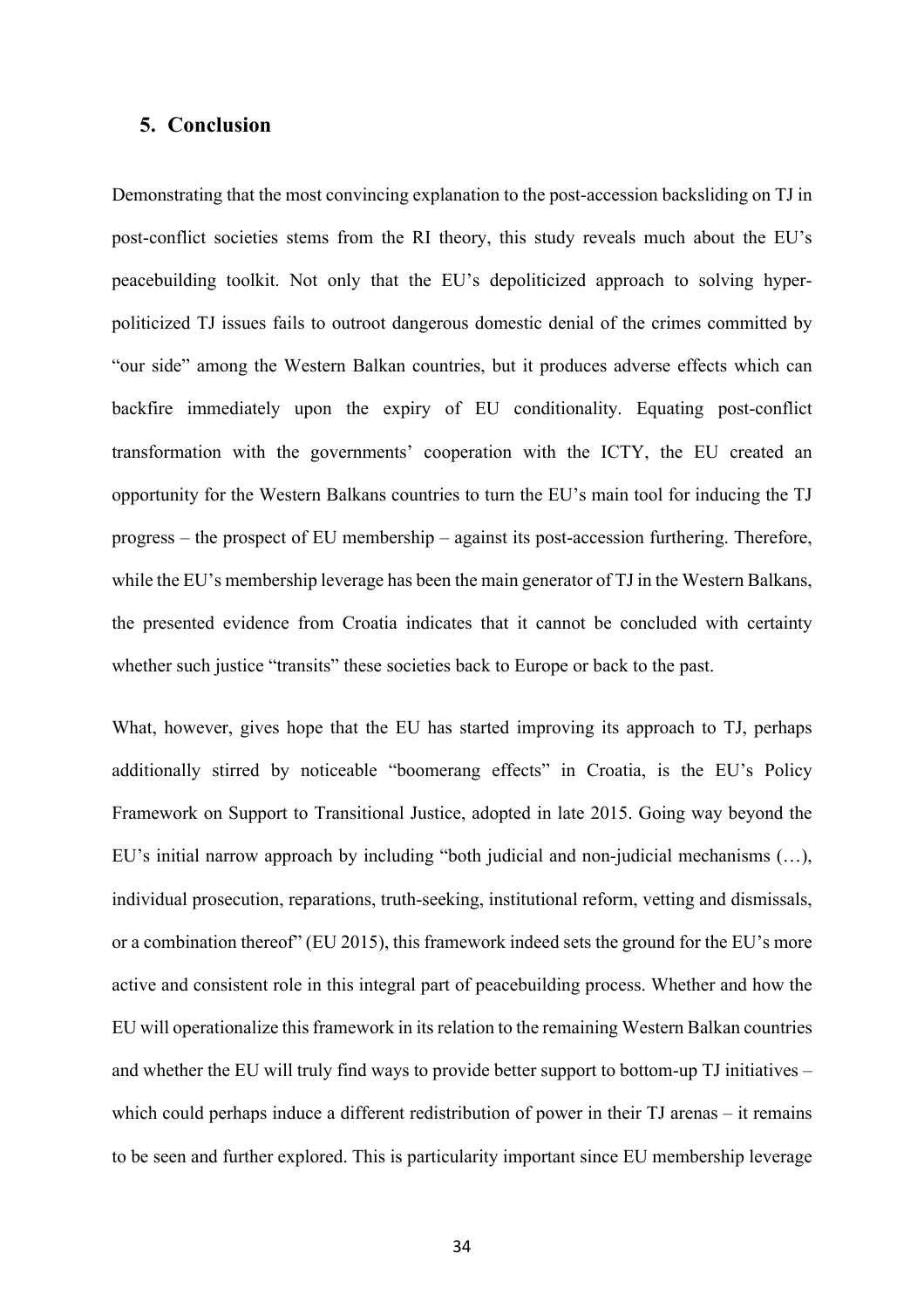# **5. Conclusion**

Demonstrating that the most convincing explanation to the post-accession backsliding on TJ in post-conflict societies stems from the RI theory, this study reveals much about the EU's peacebuilding toolkit. Not only that the EU's depoliticized approach to solving hyperpoliticized TJ issues fails to outroot dangerous domestic denial of the crimes committed by "our side" among the Western Balkan countries, but it produces adverse effects which can backfire immediately upon the expiry of EU conditionality. Equating post-conflict transformation with the governments' cooperation with the ICTY, the EU created an opportunity for the Western Balkans countries to turn the EU's main tool for inducing the TJ progress – the prospect of EU membership – against its post-accession furthering. Therefore, while the EU's membership leverage has been the main generator of TJ in the Western Balkans, the presented evidence from Croatia indicates that it cannot be concluded with certainty whether such justice "transits" these societies back to Europe or back to the past.

What, however, gives hope that the EU has started improving its approach to TJ, perhaps additionally stirred by noticeable "boomerang effects" in Croatia, is the EU's Policy Framework on Support to Transitional Justice, adopted in late 2015. Going way beyond the EU's initial narrow approach by including "both judicial and non-judicial mechanisms (…), individual prosecution, reparations, truth-seeking, institutional reform, vetting and dismissals, or a combination thereof" (EU 2015), this framework indeed sets the ground for the EU's more active and consistent role in this integral part of peacebuilding process. Whether and how the EU will operationalize this framework in its relation to the remaining Western Balkan countries and whether the EU will truly find ways to provide better support to bottom-up TJ initiatives – which could perhaps induce a different redistribution of power in their TJ arenas – it remains to be seen and further explored. This is particularity important since EU membership leverage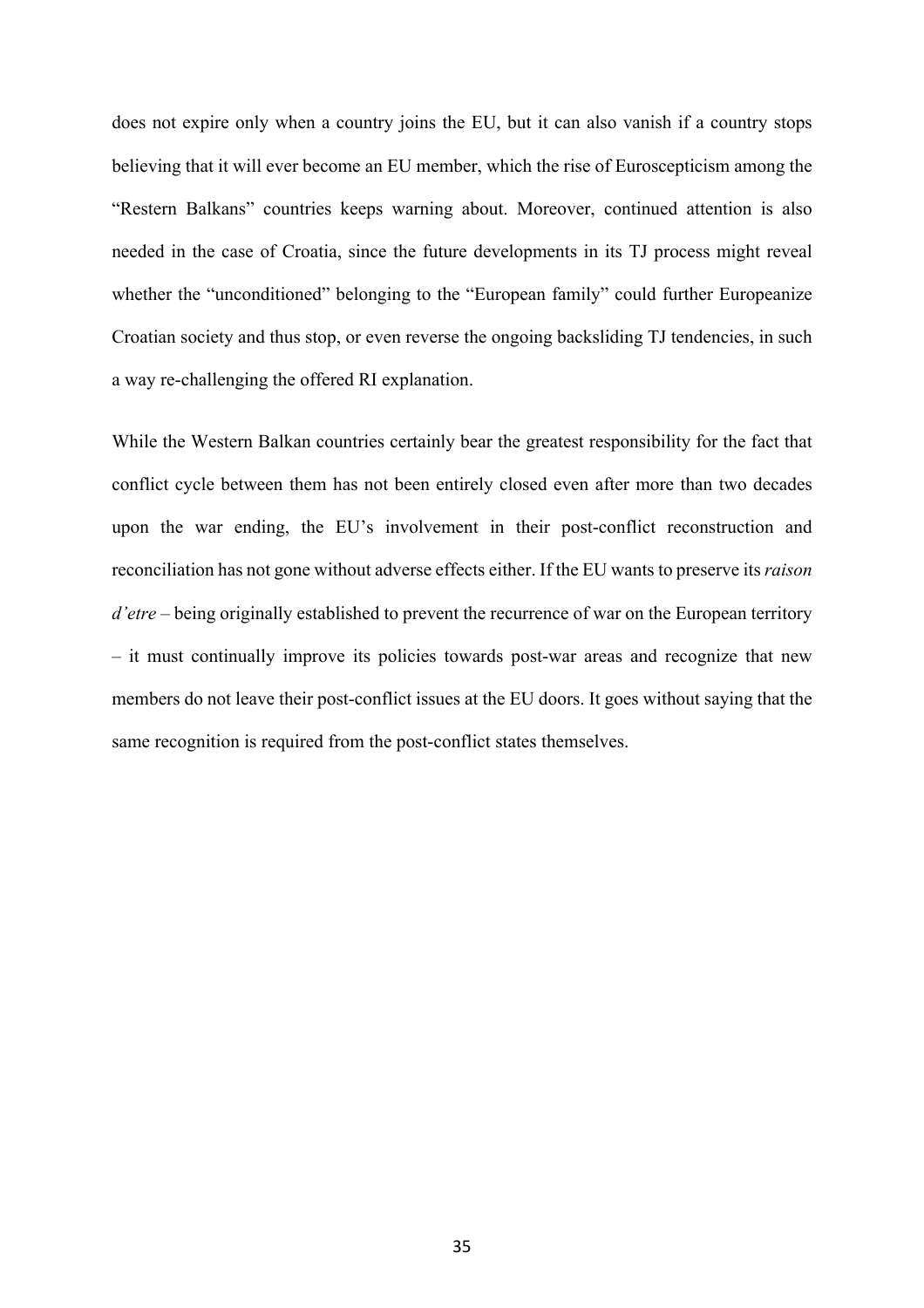does not expire only when a country joins the EU, but it can also vanish if a country stops believing that it will ever become an EU member, which the rise of Euroscepticism among the "Restern Balkans" countries keeps warning about. Moreover, continued attention is also needed in the case of Croatia, since the future developments in its TJ process might reveal whether the "unconditioned" belonging to the "European family" could further Europeanize Croatian society and thus stop, or even reverse the ongoing backsliding TJ tendencies, in such a way re-challenging the offered RI explanation.

While the Western Balkan countries certainly bear the greatest responsibility for the fact that conflict cycle between them has not been entirely closed even after more than two decades upon the war ending, the EU's involvement in their post-conflict reconstruction and reconciliation has not gone without adverse effects either. If the EU wants to preserve its *raison d'etre* – being originally established to prevent the recurrence of war on the European territory – it must continually improve its policies towards post-war areas and recognize that new members do not leave their post-conflict issues at the EU doors. It goes without saying that the same recognition is required from the post-conflict states themselves.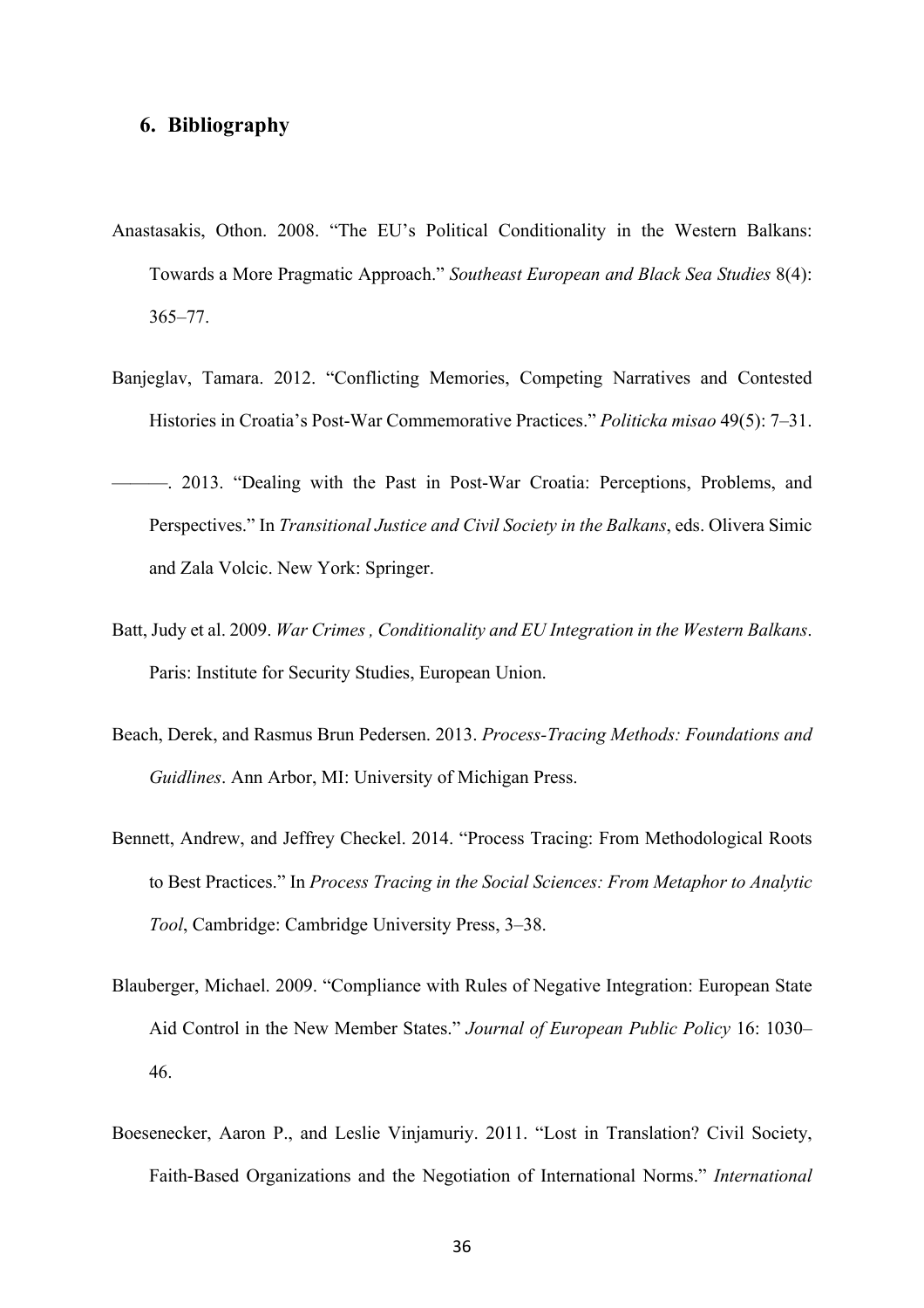## **6. Bibliography**

- Anastasakis, Othon. 2008. "The EU's Political Conditionality in the Western Balkans: Towards a More Pragmatic Approach." *Southeast European and Black Sea Studies* 8(4): 365–77.
- Banjeglav, Tamara. 2012. "Conflicting Memories, Competing Narratives and Contested Histories in Croatia's Post-War Commemorative Practices." *Politicka misao* 49(5): 7–31.
- ———. 2013. "Dealing with the Past in Post-War Croatia: Perceptions, Problems, and Perspectives." In *Transitional Justice and Civil Society in the Balkans*, eds. Olivera Simic and Zala Volcic. New York: Springer.
- Batt, Judy et al. 2009. *War Crimes , Conditionality and EU Integration in the Western Balkans*. Paris: Institute for Security Studies, European Union.
- Beach, Derek, and Rasmus Brun Pedersen. 2013. *Process-Tracing Methods: Foundations and Guidlines*. Ann Arbor, MI: University of Michigan Press.
- Bennett, Andrew, and Jeffrey Checkel. 2014. "Process Tracing: From Methodological Roots to Best Practices." In *Process Tracing in the Social Sciences: From Metaphor to Analytic Tool*, Cambridge: Cambridge University Press, 3–38.
- Blauberger, Michael. 2009. "Compliance with Rules of Negative Integration: European State Aid Control in the New Member States." *Journal of European Public Policy* 16: 1030– 46.
- Boesenecker, Aaron P., and Leslie Vinjamuriy. 2011. "Lost in Translation? Civil Society, Faith-Based Organizations and the Negotiation of International Norms." *International*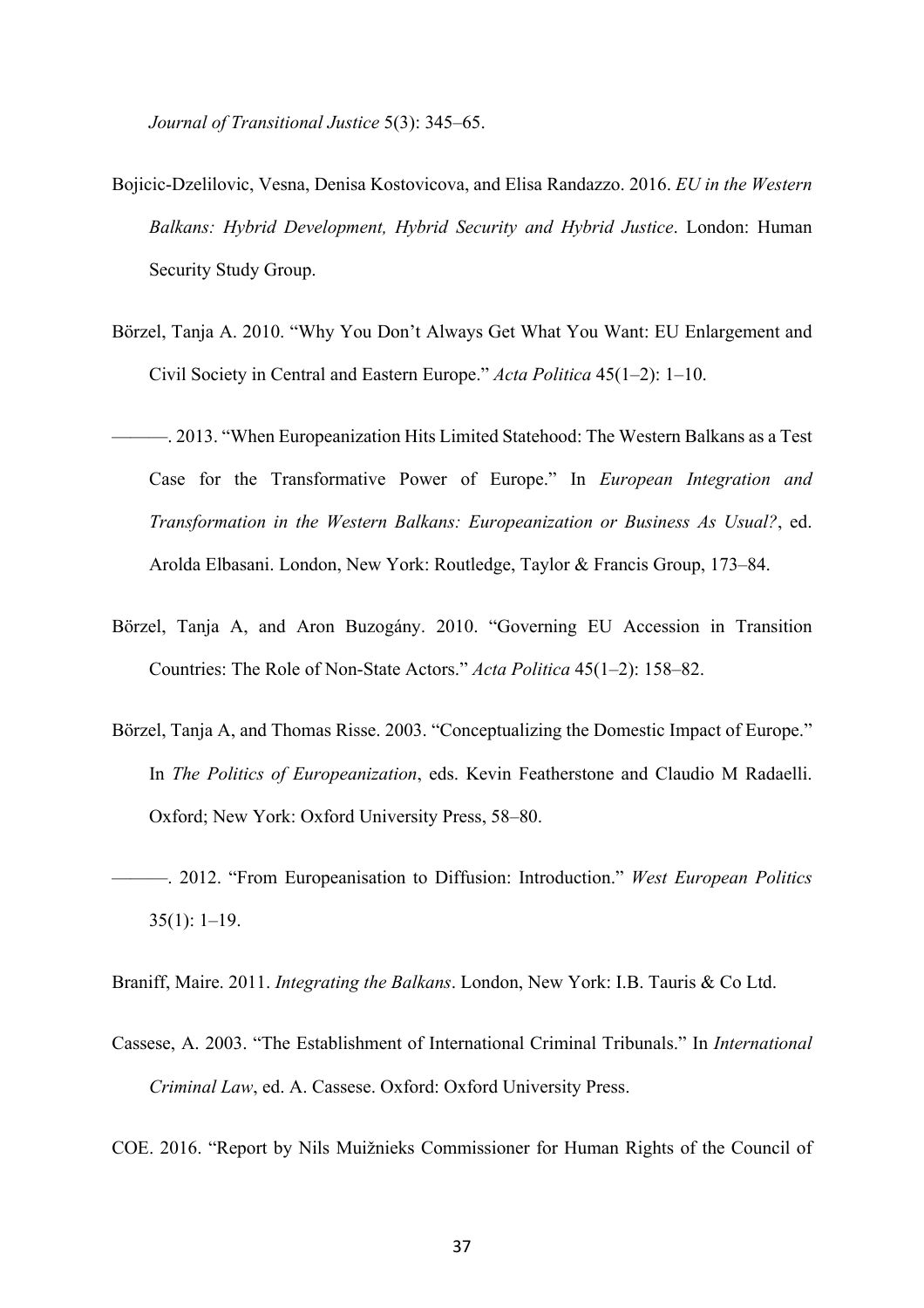*Journal of Transitional Justice* 5(3): 345–65.

- Bojicic-Dzelilovic, Vesna, Denisa Kostovicova, and Elisa Randazzo. 2016. *EU in the Western Balkans: Hybrid Development, Hybrid Security and Hybrid Justice*. London: Human Security Study Group.
- Börzel, Tanja A. 2010. "Why You Don't Always Get What You Want: EU Enlargement and Civil Society in Central and Eastern Europe." *Acta Politica* 45(1–2): 1–10.
- ———. 2013. "When Europeanization Hits Limited Statehood: The Western Balkans as a Test Case for the Transformative Power of Europe." In *European Integration and Transformation in the Western Balkans: Europeanization or Business As Usual?*, ed. Arolda Elbasani. London, New York: Routledge, Taylor & Francis Group, 173–84.
- Börzel, Tanja A, and Aron Buzogány. 2010. "Governing EU Accession in Transition Countries: The Role of Non-State Actors." *Acta Politica* 45(1–2): 158–82.
- Börzel, Tanja A, and Thomas Risse. 2003. "Conceptualizing the Domestic Impact of Europe." In *The Politics of Europeanization*, eds. Kevin Featherstone and Claudio M Radaelli. Oxford; New York: Oxford University Press, 58–80.
- ———. 2012. "From Europeanisation to Diffusion: Introduction." *West European Politics* 35(1): 1–19.

Braniff, Maire. 2011. *Integrating the Balkans*. London, New York: I.B. Tauris & Co Ltd.

Cassese, A. 2003. "The Establishment of International Criminal Tribunals." In *International Criminal Law*, ed. A. Cassese. Oxford: Oxford University Press.

COE. 2016. "Report by Nils Muižnieks Commissioner for Human Rights of the Council of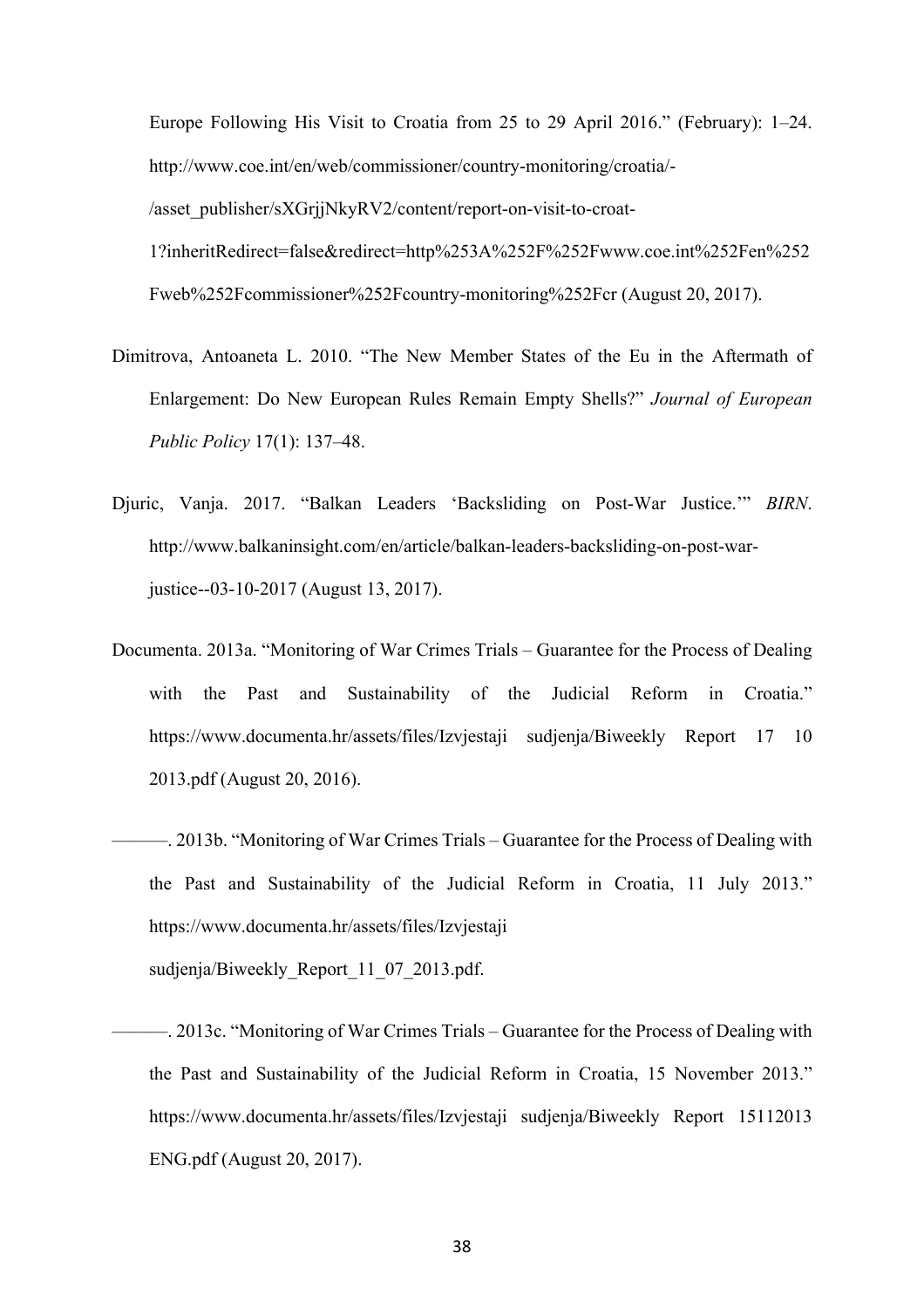Europe Following His Visit to Croatia from 25 to 29 April 2016." (February): 1–24. http://www.coe.int/en/web/commissioner/country-monitoring/croatia/- /asset\_publisher/sXGrjjNkyRV2/content/report-on-visit-to-croat-1?inheritRedirect=false&redirect=http%253A%252F%252Fwww.coe.int%252Fen%252 Fweb%252Fcommissioner%252Fcountry-monitoring%252Fcr (August 20, 2017).

- Dimitrova, Antoaneta L. 2010. "The New Member States of the Eu in the Aftermath of Enlargement: Do New European Rules Remain Empty Shells?" *Journal of European Public Policy* 17(1): 137–48.
- Djuric, Vanja. 2017. "Balkan Leaders 'Backsliding on Post-War Justice.'" *BIRN*. http://www.balkaninsight.com/en/article/balkan-leaders-backsliding-on-post-warjustice--03-10-2017 (August 13, 2017).
- Documenta. 2013a. "Monitoring of War Crimes Trials Guarantee for the Process of Dealing with the Past and Sustainability of the Judicial Reform in Croatia." https://www.documenta.hr/assets/files/Izvjestaji sudjenja/Biweekly Report 17 10 2013.pdf (August 20, 2016).
- ———. 2013b. "Monitoring of War Crimes Trials Guarantee for the Process of Dealing with the Past and Sustainability of the Judicial Reform in Croatia, 11 July 2013." https://www.documenta.hr/assets/files/Izvjestaji sudjenja/Biweekly\_Report\_11\_07\_2013.pdf.
- ———. 2013c. "Monitoring of War Crimes Trials Guarantee for the Process of Dealing with the Past and Sustainability of the Judicial Reform in Croatia, 15 November 2013." https://www.documenta.hr/assets/files/Izvjestaji sudjenja/Biweekly Report 15112013 ENG.pdf (August 20, 2017).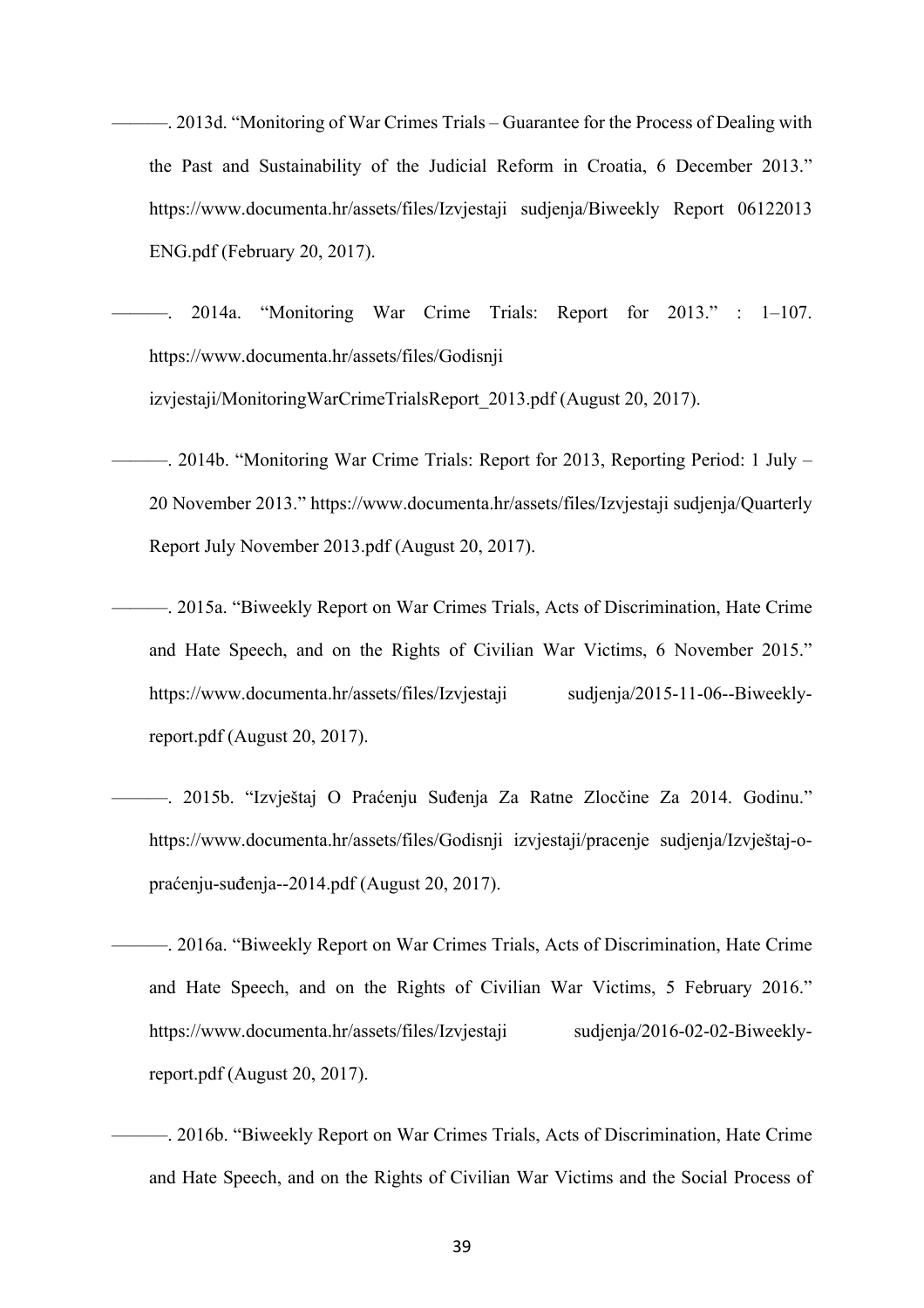———. 2013d. "Monitoring of War Crimes Trials – Guarantee for the Process of Dealing with the Past and Sustainability of the Judicial Reform in Croatia, 6 December 2013." https://www.documenta.hr/assets/files/Izvjestaji sudjenja/Biweekly Report 06122013 ENG.pdf (February 20, 2017).

 $2014a$ . "Monitoring War Crime Trials: Report for  $2013$ ." :  $1-107$ . https://www.documenta.hr/assets/files/Godisnji

izvjestaji/MonitoringWarCrimeTrialsReport\_2013.pdf (August 20, 2017).

———. 2014b. "Monitoring War Crime Trials: Report for 2013, Reporting Period: 1 July – 20 November 2013." https://www.documenta.hr/assets/files/Izvjestaji sudjenja/Quarterly Report July November 2013.pdf (August 20, 2017).

———. 2015a. "Biweekly Report on War Crimes Trials, Acts of Discrimination, Hate Crime and Hate Speech, and on the Rights of Civilian War Victims, 6 November 2015." https://www.documenta.hr/assets/files/Izvjestaji sudjenja/2015-11-06--Biweeklyreport.pdf (August 20, 2017).

———. 2015b. "Izvještaj O Praćenju Suđenja Za Ratne Zlocčine Za 2014. Godinu." https://www.documenta.hr/assets/files/Godisnji izvjestaji/pracenje sudjenja/Izvještaj-opraćenju-suđenja--2014.pdf (August 20, 2017).

———. 2016a. "Biweekly Report on War Crimes Trials, Acts of Discrimination, Hate Crime and Hate Speech, and on the Rights of Civilian War Victims, 5 February 2016." https://www.documenta.hr/assets/files/Izvjestaji sudjenja/2016-02-02-Biweeklyreport.pdf (August 20, 2017).

———. 2016b. "Biweekly Report on War Crimes Trials, Acts of Discrimination, Hate Crime and Hate Speech, and on the Rights of Civilian War Victims and the Social Process of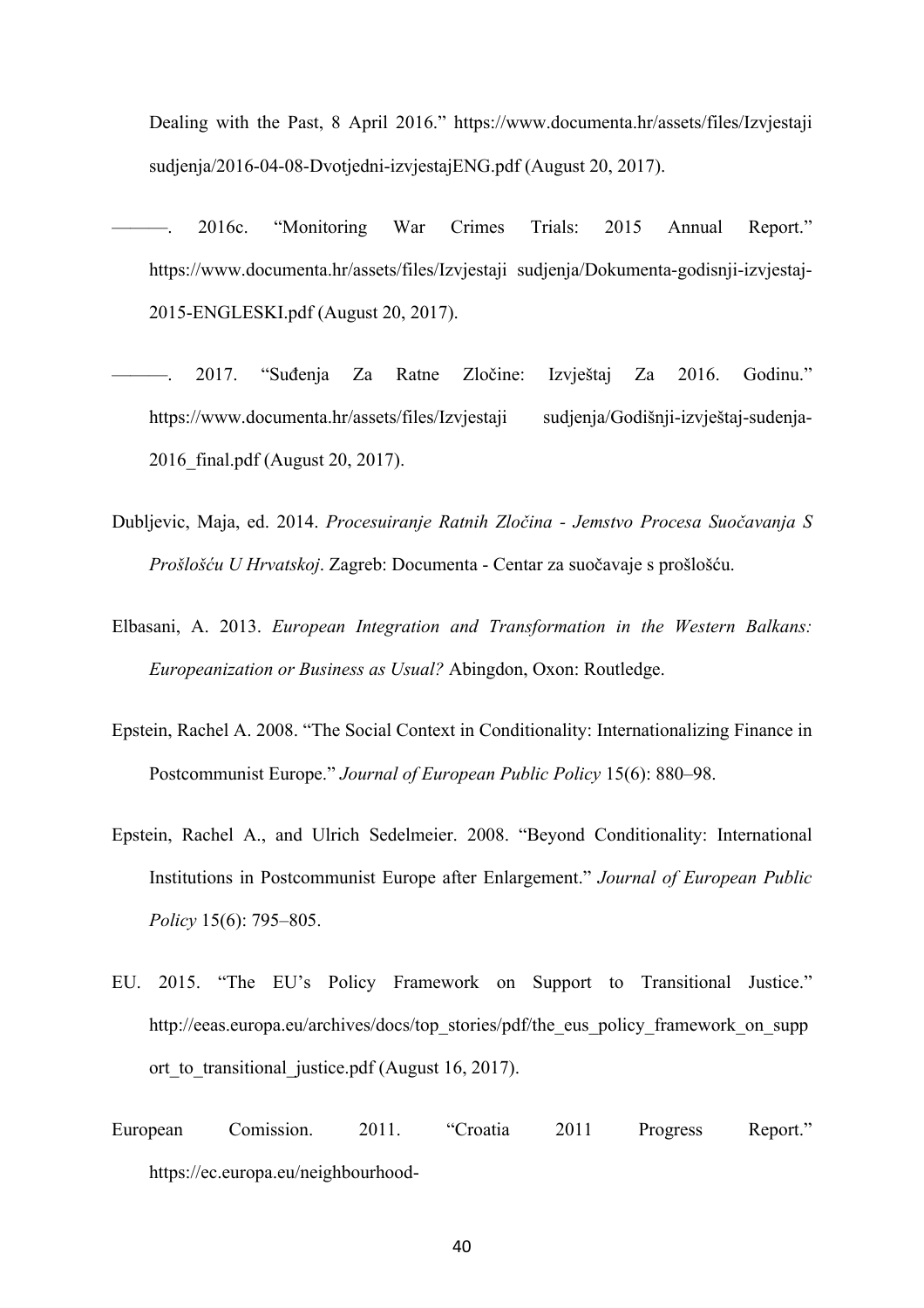Dealing with the Past, 8 April 2016." https://www.documenta.hr/assets/files/Izvjestaji sudjenja/2016-04-08-Dvotjedni-izvjestajENG.pdf (August 20, 2017).

- ———. 2016c. "Monitoring War Crimes Trials: 2015 Annual Report." https://www.documenta.hr/assets/files/Izvjestaji sudjenja/Dokumenta-godisnji-izvjestaj-2015-ENGLESKI.pdf (August 20, 2017).
- ———. 2017. "Suđenja Za Ratne Zločine: Izvještaj Za 2016. Godinu." https://www.documenta.hr/assets/files/Izvjestaji sudjenja/Godišnji-izvještaj-sudenja-2016\_final.pdf (August 20, 2017).
- Dubljevic, Maja, ed. 2014. *Procesuiranje Ratnih Zločina Jemstvo Procesa Suočavanja S Prošlošću U Hrvatskoj*. Zagreb: Documenta - Centar za suočavaje s prošlošću.
- Elbasani, A. 2013. *European Integration and Transformation in the Western Balkans: Europeanization or Business as Usual?* Abingdon, Oxon: Routledge.
- Epstein, Rachel A. 2008. "The Social Context in Conditionality: Internationalizing Finance in Postcommunist Europe." *Journal of European Public Policy* 15(6): 880–98.
- Epstein, Rachel A., and Ulrich Sedelmeier. 2008. "Beyond Conditionality: International Institutions in Postcommunist Europe after Enlargement." *Journal of European Public Policy* 15(6): 795–805.
- EU. 2015. "The EU's Policy Framework on Support to Transitional Justice." http://eeas.europa.eu/archives/docs/top\_stories/pdf/the\_eus\_policy\_framework\_on\_supp ort to transitional justice.pdf (August 16, 2017).
- European Comission. 2011. "Croatia 2011 Progress Report." https://ec.europa.eu/neighbourhood-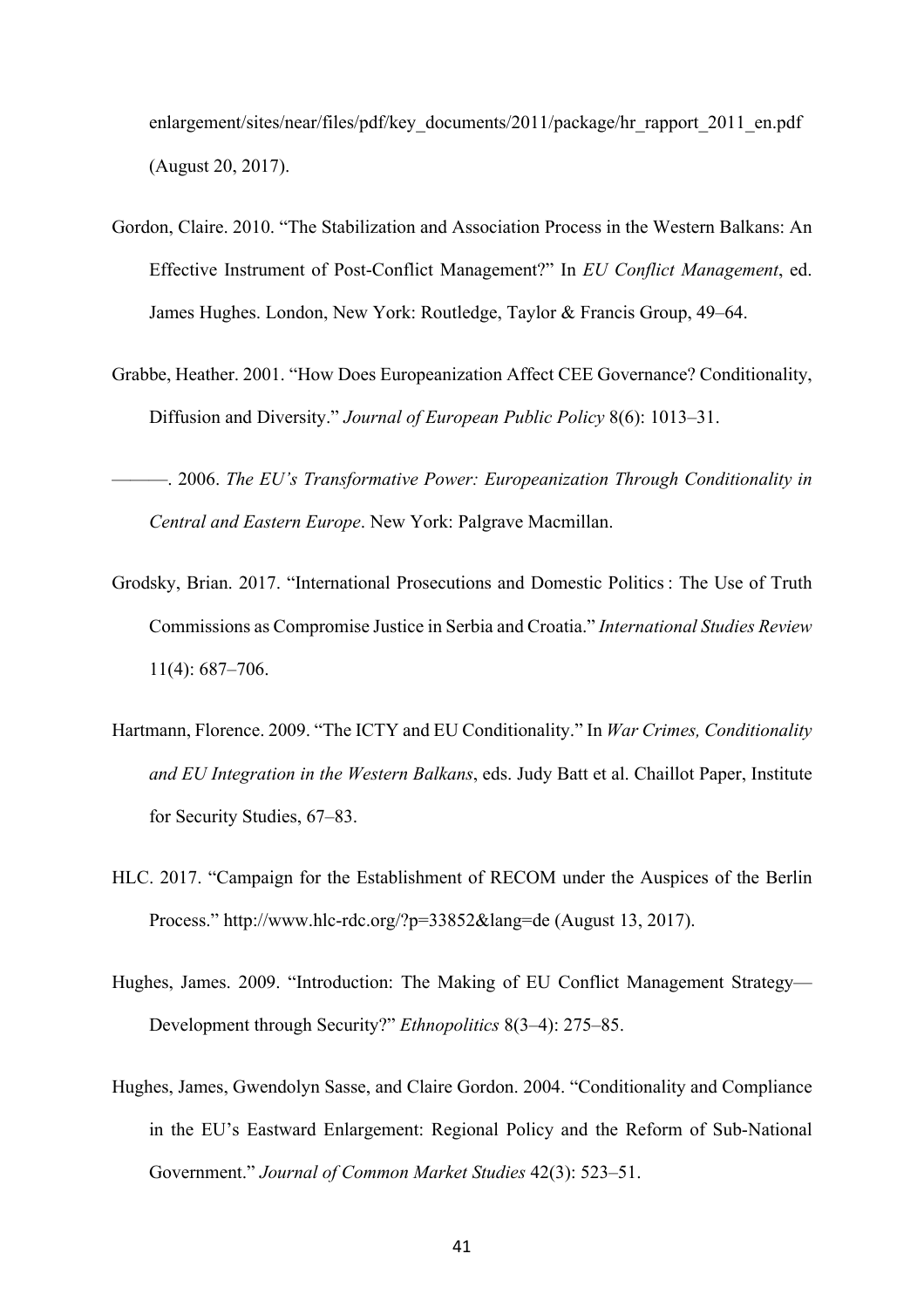enlargement/sites/near/files/pdf/key\_documents/2011/package/hr\_rapport\_2011\_en.pdf (August 20, 2017).

- Gordon, Claire. 2010. "The Stabilization and Association Process in the Western Balkans: An Effective Instrument of Post-Conflict Management?" In *EU Conflict Management*, ed. James Hughes. London, New York: Routledge, Taylor & Francis Group, 49–64.
- Grabbe, Heather. 2001. "How Does Europeanization Affect CEE Governance? Conditionality, Diffusion and Diversity." *Journal of European Public Policy* 8(6): 1013–31.

———. 2006. *The EU's Transformative Power: Europeanization Through Conditionality in Central and Eastern Europe*. New York: Palgrave Macmillan.

- Grodsky, Brian. 2017. "International Prosecutions and Domestic Politics : The Use of Truth Commissions as Compromise Justice in Serbia and Croatia." *International Studies Review* 11(4): 687–706.
- Hartmann, Florence. 2009. "The ICTY and EU Conditionality." In *War Crimes, Conditionality and EU Integration in the Western Balkans*, eds. Judy Batt et al. Chaillot Paper, Institute for Security Studies, 67–83.
- HLC. 2017. "Campaign for the Establishment of RECOM under the Auspices of the Berlin Process." http://www.hlc-rdc.org/?p=33852&lang=de (August 13, 2017).
- Hughes, James. 2009. "Introduction: The Making of EU Conflict Management Strategy— Development through Security?" *Ethnopolitics* 8(3–4): 275–85.
- Hughes, James, Gwendolyn Sasse, and Claire Gordon. 2004. "Conditionality and Compliance in the EU's Eastward Enlargement: Regional Policy and the Reform of Sub-National Government." *Journal of Common Market Studies* 42(3): 523–51.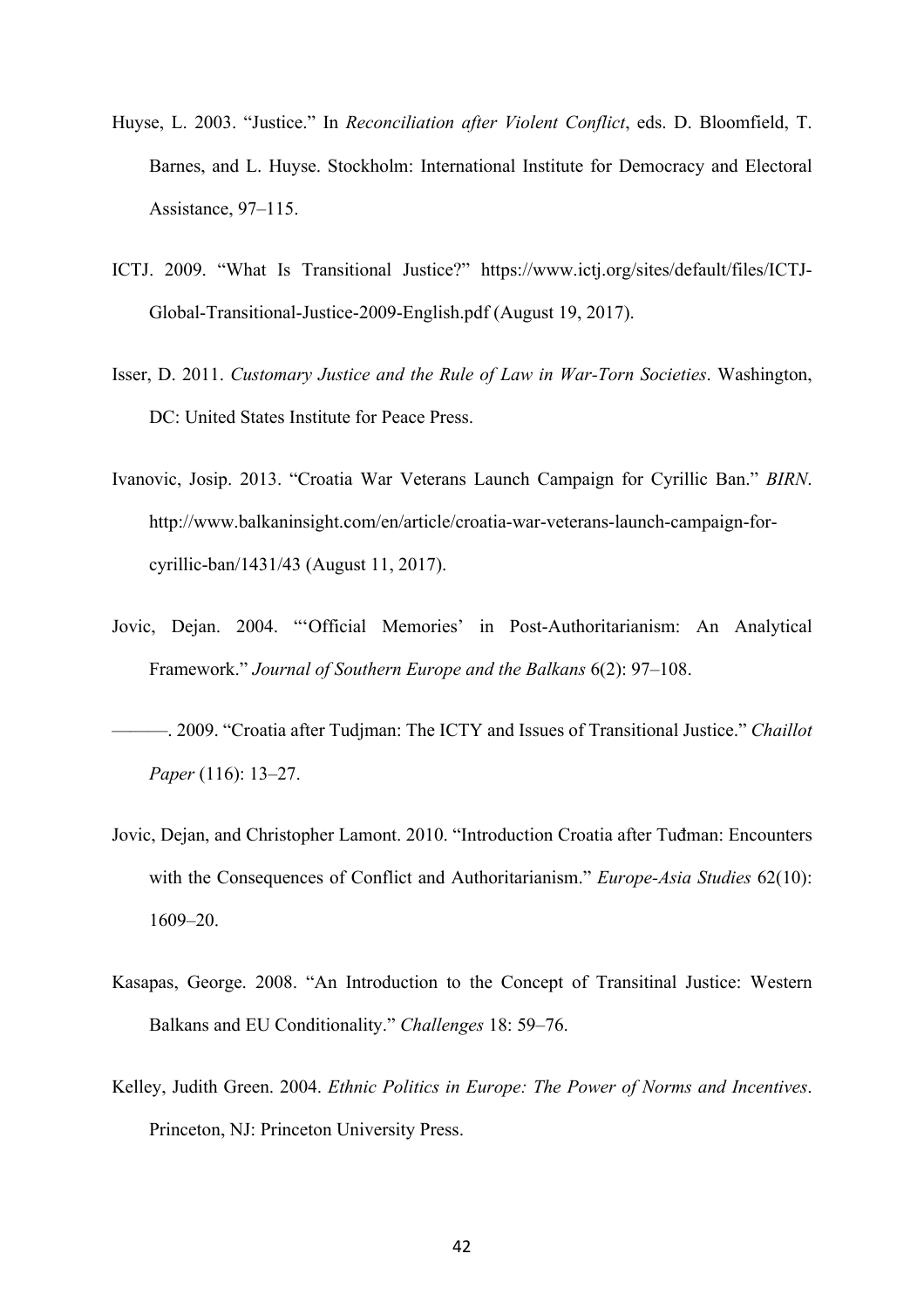- Huyse, L. 2003. "Justice." In *Reconciliation after Violent Conflict*, eds. D. Bloomfield, T. Barnes, and L. Huyse. Stockholm: International Institute for Democracy and Electoral Assistance, 97–115.
- ICTJ. 2009. "What Is Transitional Justice?" https://www.ictj.org/sites/default/files/ICTJ-Global-Transitional-Justice-2009-English.pdf (August 19, 2017).
- Isser, D. 2011. *Customary Justice and the Rule of Law in War-Torn Societies*. Washington, DC: United States Institute for Peace Press.
- Ivanovic, Josip. 2013. "Croatia War Veterans Launch Campaign for Cyrillic Ban." *BIRN*. http://www.balkaninsight.com/en/article/croatia-war-veterans-launch-campaign-forcyrillic-ban/1431/43 (August 11, 2017).
- Jovic, Dejan. 2004. "'Official Memories' in Post-Authoritarianism: An Analytical Framework." *Journal of Southern Europe and the Balkans* 6(2): 97–108.
- ———. 2009. "Croatia after Tudjman: The ICTY and Issues of Transitional Justice." *Chaillot Paper* (116): 13–27.
- Jovic, Dejan, and Christopher Lamont. 2010. "Introduction Croatia after Tuđman: Encounters with the Consequences of Conflict and Authoritarianism." *Europe-Asia Studies* 62(10): 1609–20.
- Kasapas, George. 2008. "An Introduction to the Concept of Transitinal Justice: Western Balkans and EU Conditionality." *Challenges* 18: 59–76.
- Kelley, Judith Green. 2004. *Ethnic Politics in Europe: The Power of Norms and Incentives*. Princeton, NJ: Princeton University Press.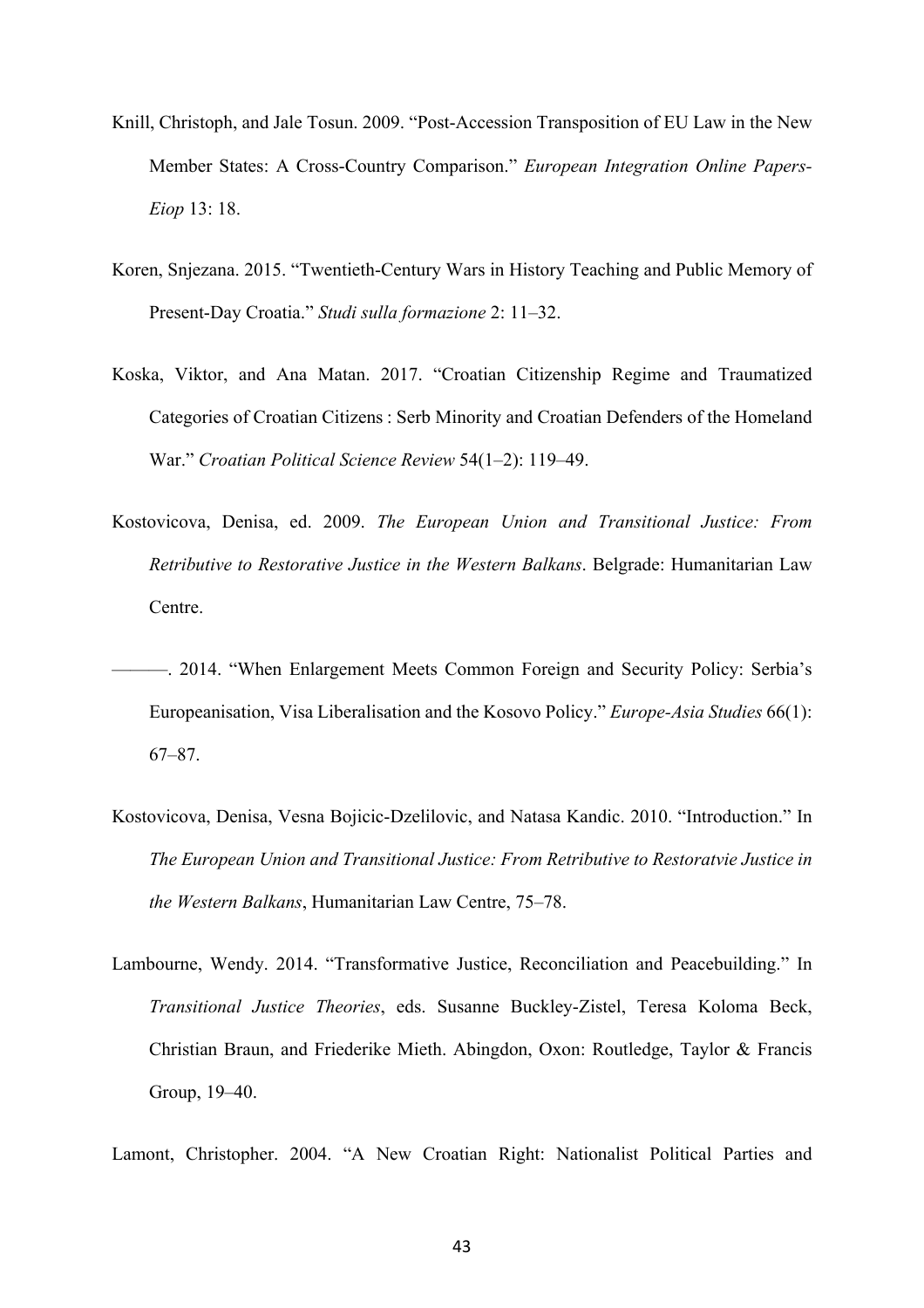- Knill, Christoph, and Jale Tosun. 2009. "Post-Accession Transposition of EU Law in the New Member States: A Cross-Country Comparison." *European Integration Online Papers-Eiop* 13: 18.
- Koren, Snjezana. 2015. "Twentieth-Century Wars in History Teaching and Public Memory of Present-Day Croatia." *Studi sulla formazione* 2: 11–32.
- Koska, Viktor, and Ana Matan. 2017. "Croatian Citizenship Regime and Traumatized Categories of Croatian Citizens : Serb Minority and Croatian Defenders of the Homeland War." *Croatian Political Science Review* 54(1–2): 119–49.
- Kostovicova, Denisa, ed. 2009. *The European Union and Transitional Justice: From Retributive to Restorative Justice in the Western Balkans*. Belgrade: Humanitarian Law Centre.
- ———. 2014. "When Enlargement Meets Common Foreign and Security Policy: Serbia's Europeanisation, Visa Liberalisation and the Kosovo Policy." *Europe-Asia Studies* 66(1): 67–87.
- Kostovicova, Denisa, Vesna Bojicic-Dzelilovic, and Natasa Kandic. 2010. "Introduction." In *The European Union and Transitional Justice: From Retributive to Restoratvie Justice in the Western Balkans*, Humanitarian Law Centre, 75–78.
- Lambourne, Wendy. 2014. "Transformative Justice, Reconciliation and Peacebuilding." In *Transitional Justice Theories*, eds. Susanne Buckley-Zistel, Teresa Koloma Beck, Christian Braun, and Friederike Mieth. Abingdon, Oxon: Routledge, Taylor & Francis Group, 19–40.

Lamont, Christopher. 2004. "A New Croatian Right: Nationalist Political Parties and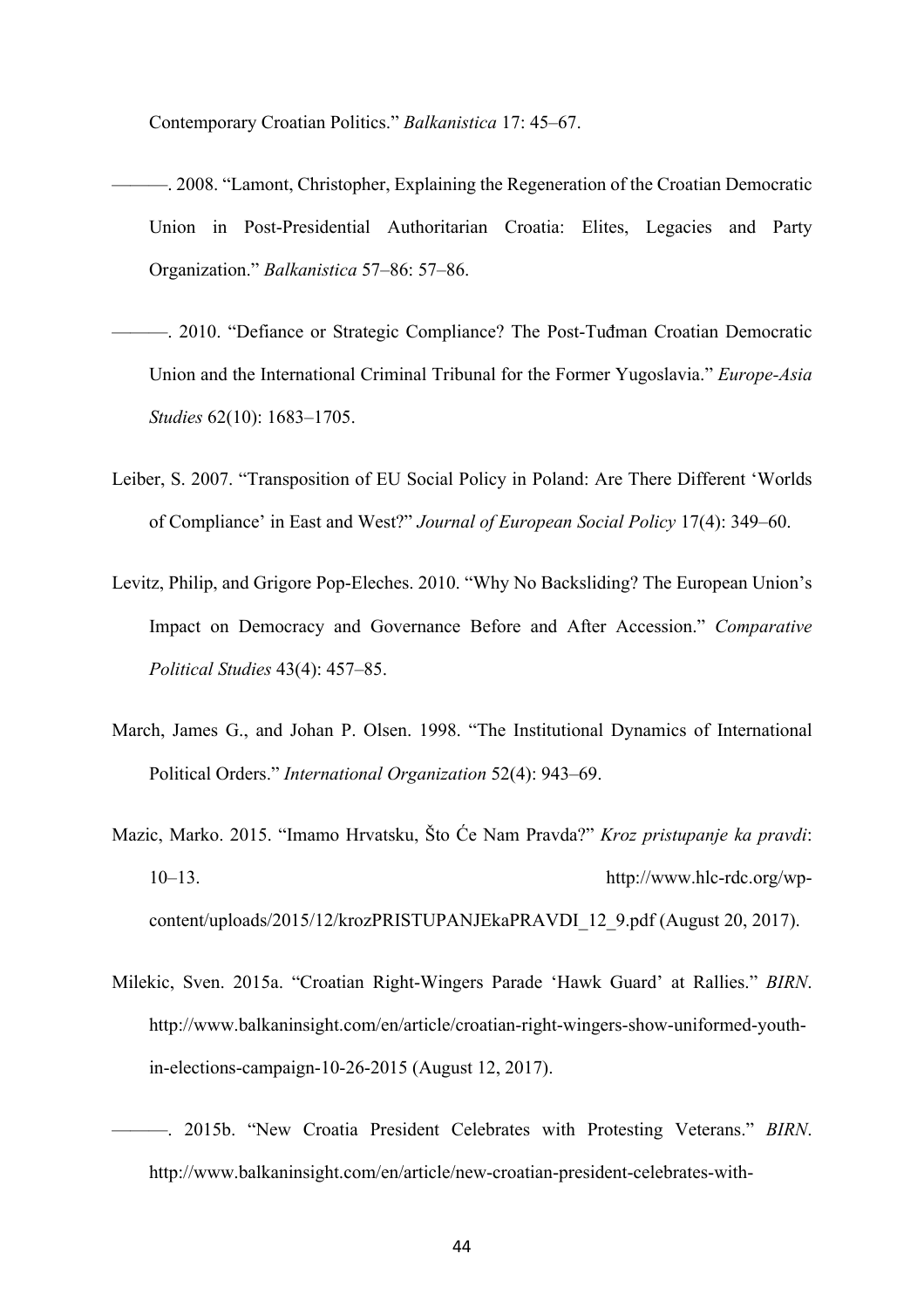Contemporary Croatian Politics." *Balkanistica* 17: 45–67.

- ———. 2008. "Lamont, Christopher, Explaining the Regeneration of the Croatian Democratic Union in Post-Presidential Authoritarian Croatia: Elites, Legacies and Party Organization." *Balkanistica* 57–86: 57–86.
- ———. 2010. "Defiance or Strategic Compliance? The Post-Tuđman Croatian Democratic Union and the International Criminal Tribunal for the Former Yugoslavia." *Europe-Asia Studies* 62(10): 1683–1705.
- Leiber, S. 2007. "Transposition of EU Social Policy in Poland: Are There Different 'Worlds of Compliance' in East and West?" *Journal of European Social Policy* 17(4): 349–60.
- Levitz, Philip, and Grigore Pop-Eleches. 2010. "Why No Backsliding? The European Union's Impact on Democracy and Governance Before and After Accession." *Comparative Political Studies* 43(4): 457–85.
- March, James G., and Johan P. Olsen. 1998. "The Institutional Dynamics of International Political Orders." *International Organization* 52(4): 943–69.
- Mazic, Marko. 2015. "Imamo Hrvatsku, Što Će Nam Pravda?" *Kroz pristupanje ka pravdi*: 10–13. http://www.hlc-rdc.org/wpcontent/uploads/2015/12/krozPRISTUPANJEkaPRAVDI\_12\_9.pdf (August 20, 2017).
- Milekic, Sven. 2015a. "Croatian Right-Wingers Parade 'Hawk Guard' at Rallies." *BIRN*. http://www.balkaninsight.com/en/article/croatian-right-wingers-show-uniformed-youthin-elections-campaign-10-26-2015 (August 12, 2017).
- ———. 2015b. "New Croatia President Celebrates with Protesting Veterans." *BIRN*. http://www.balkaninsight.com/en/article/new-croatian-president-celebrates-with-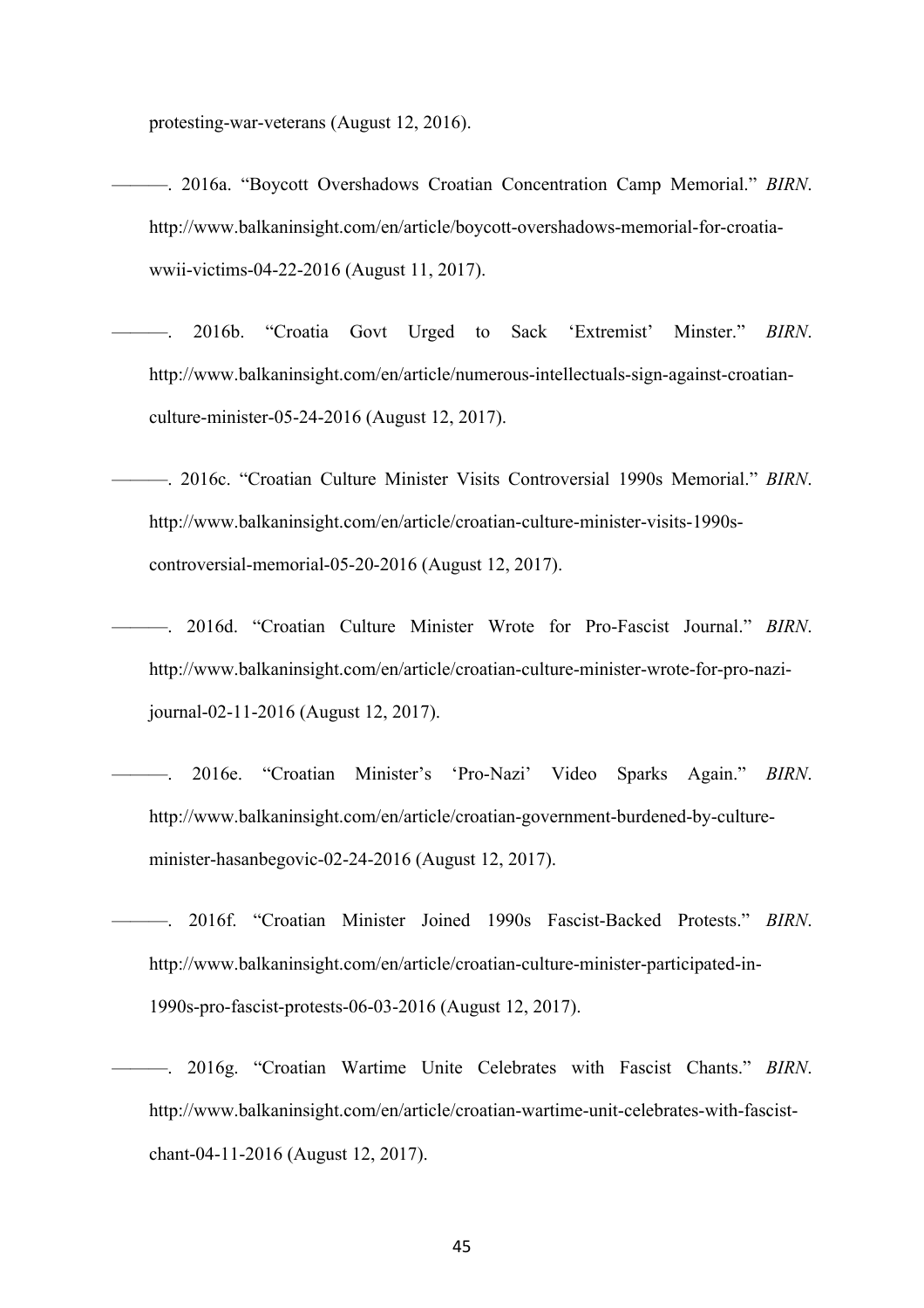protesting-war-veterans (August 12, 2016).

- ———. 2016a. "Boycott Overshadows Croatian Concentration Camp Memorial." *BIRN*. http://www.balkaninsight.com/en/article/boycott-overshadows-memorial-for-croatiawwii-victims-04-22-2016 (August 11, 2017).
- ———. 2016b. "Croatia Govt Urged to Sack 'Extremist' Minster." *BIRN*. http://www.balkaninsight.com/en/article/numerous-intellectuals-sign-against-croatianculture-minister-05-24-2016 (August 12, 2017).
- ———. 2016c. "Croatian Culture Minister Visits Controversial 1990s Memorial." *BIRN*. http://www.balkaninsight.com/en/article/croatian-culture-minister-visits-1990scontroversial-memorial-05-20-2016 (August 12, 2017).
- ———. 2016d. "Croatian Culture Minister Wrote for Pro-Fascist Journal." *BIRN*. http://www.balkaninsight.com/en/article/croatian-culture-minister-wrote-for-pro-nazijournal-02-11-2016 (August 12, 2017).
	- ———. 2016e. "Croatian Minister's 'Pro-Nazi' Video Sparks Again." *BIRN*. http://www.balkaninsight.com/en/article/croatian-government-burdened-by-cultureminister-hasanbegovic-02-24-2016 (August 12, 2017).
- ———. 2016f. "Croatian Minister Joined 1990s Fascist-Backed Protests." *BIRN*. http://www.balkaninsight.com/en/article/croatian-culture-minister-participated-in-1990s-pro-fascist-protests-06-03-2016 (August 12, 2017).
- ———. 2016g. "Croatian Wartime Unite Celebrates with Fascist Chants." *BIRN*. http://www.balkaninsight.com/en/article/croatian-wartime-unit-celebrates-with-fascistchant-04-11-2016 (August 12, 2017).

45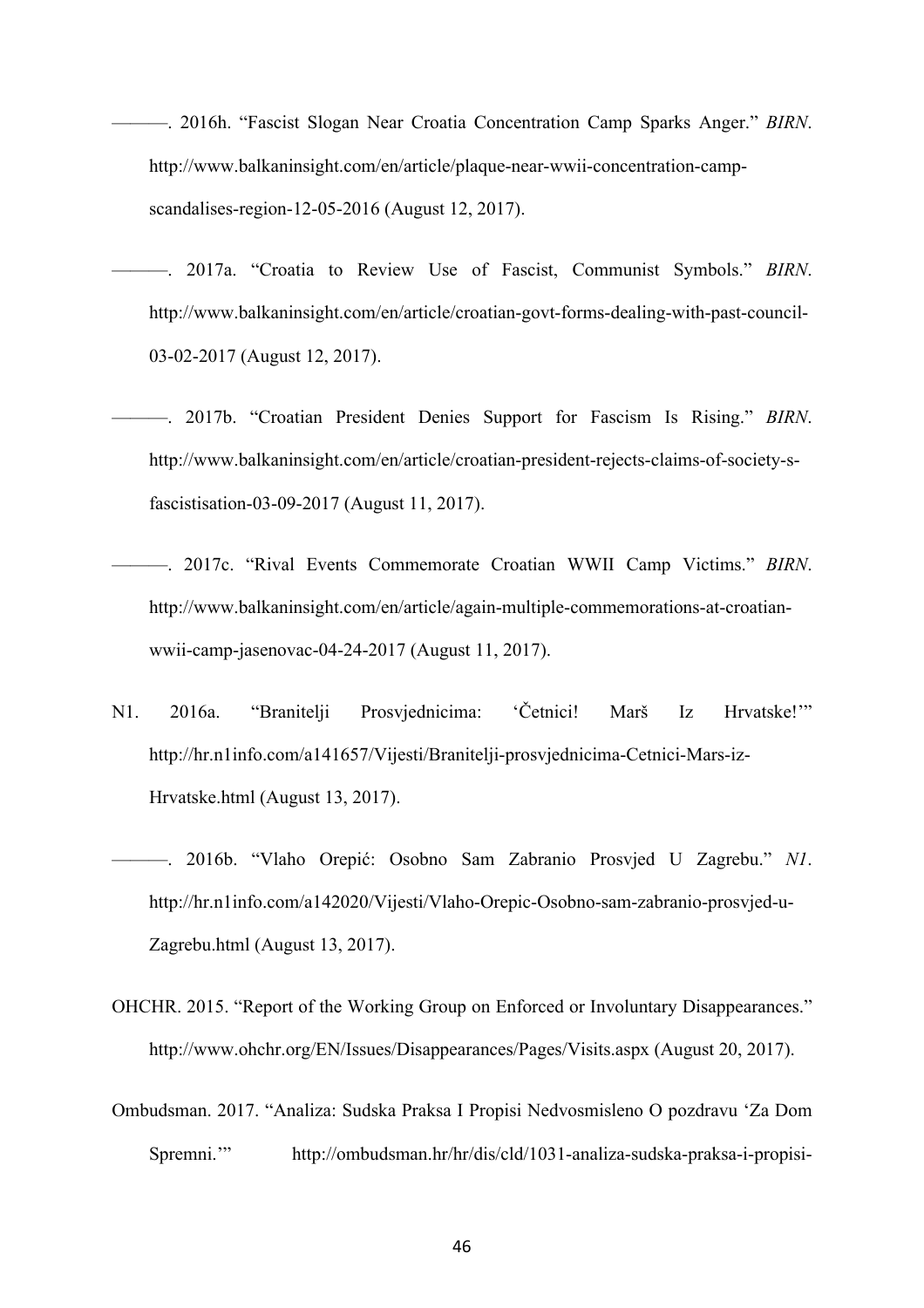- ———. 2016h. "Fascist Slogan Near Croatia Concentration Camp Sparks Anger." *BIRN*. http://www.balkaninsight.com/en/article/plaque-near-wwii-concentration-campscandalises-region-12-05-2016 (August 12, 2017).
- ———. 2017a. "Croatia to Review Use of Fascist, Communist Symbols." *BIRN*. http://www.balkaninsight.com/en/article/croatian-govt-forms-dealing-with-past-council-03-02-2017 (August 12, 2017).
- ———. 2017b. "Croatian President Denies Support for Fascism Is Rising." *BIRN*. http://www.balkaninsight.com/en/article/croatian-president-rejects-claims-of-society-sfascistisation-03-09-2017 (August 11, 2017).
- ———. 2017c. "Rival Events Commemorate Croatian WWII Camp Victims." *BIRN*. http://www.balkaninsight.com/en/article/again-multiple-commemorations-at-croatianwwii-camp-jasenovac-04-24-2017 (August 11, 2017).
- N1. 2016a. "Branitelji Prosvjednicima: 'Četnici! Marš Iz Hrvatske!'" http://hr.n1info.com/a141657/Vijesti/Branitelji-prosvjednicima-Cetnici-Mars-iz-Hrvatske.html (August 13, 2017).
- ———. 2016b. "Vlaho Orepić: Osobno Sam Zabranio Prosvjed U Zagrebu." *N1*. http://hr.n1info.com/a142020/Vijesti/Vlaho-Orepic-Osobno-sam-zabranio-prosvjed-u-Zagrebu.html (August 13, 2017).
- OHCHR. 2015. "Report of the Working Group on Enforced or Involuntary Disappearances." http://www.ohchr.org/EN/Issues/Disappearances/Pages/Visits.aspx (August 20, 2017).
- Ombudsman. 2017. "Analiza: Sudska Praksa I Propisi Nedvosmisleno O pozdravu 'Za Dom Spremni.'" http://ombudsman.hr/hr/dis/cld/1031-analiza-sudska-praksa-i-propisi-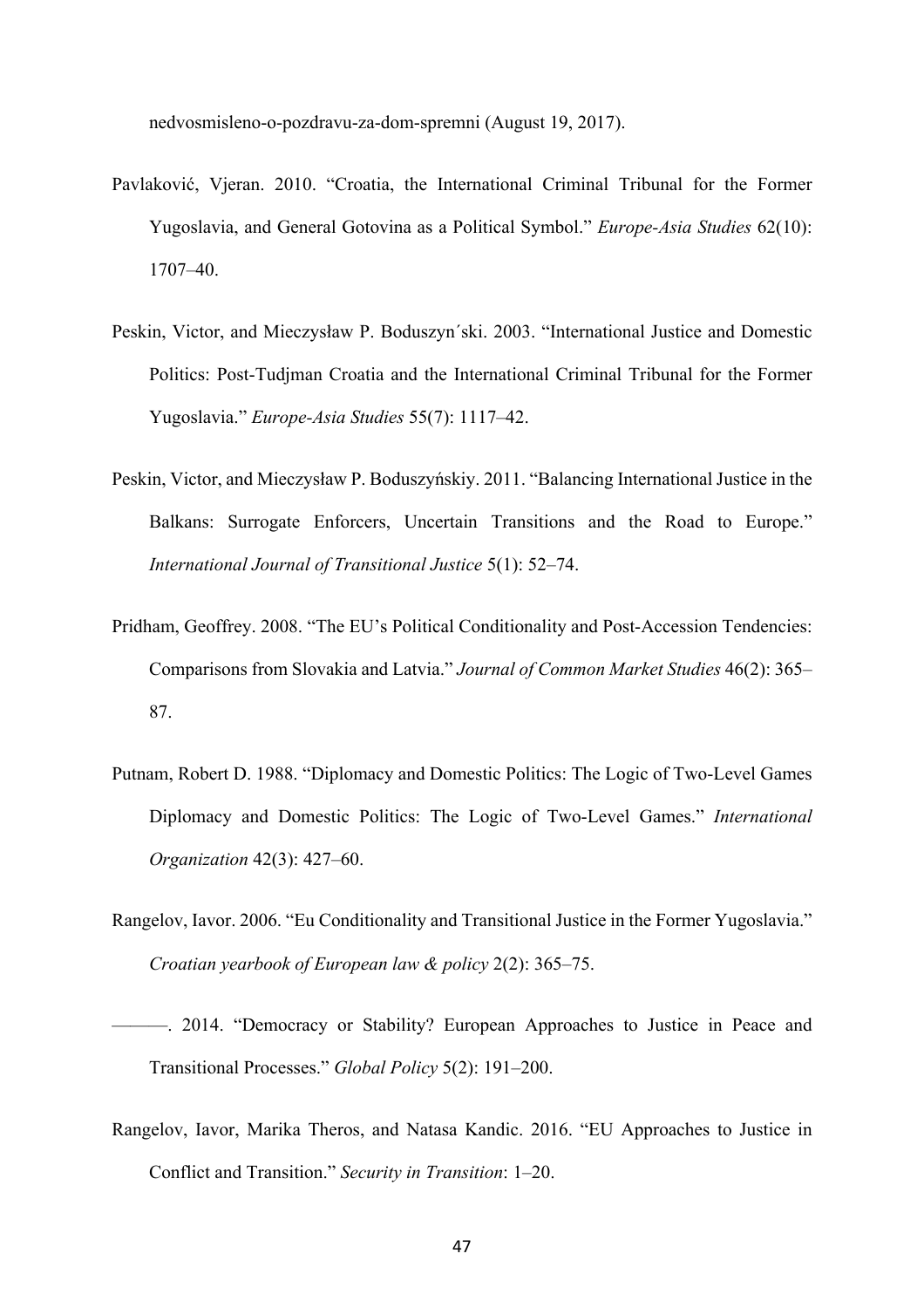nedvosmisleno-o-pozdravu-za-dom-spremni (August 19, 2017).

- Pavlaković, Vjeran. 2010. "Croatia, the International Criminal Tribunal for the Former Yugoslavia, and General Gotovina as a Political Symbol." *Europe-Asia Studies* 62(10): 1707–40.
- Peskin, Victor, and Mieczysław P. Boduszyn´ski. 2003. "International Justice and Domestic Politics: Post-Tudjman Croatia and the International Criminal Tribunal for the Former Yugoslavia." *Europe-Asia Studies* 55(7): 1117–42.
- Peskin, Victor, and Mieczysław P. Boduszyńskiy. 2011. "Balancing International Justice in the Balkans: Surrogate Enforcers, Uncertain Transitions and the Road to Europe." *International Journal of Transitional Justice* 5(1): 52–74.
- Pridham, Geoffrey. 2008. "The EU's Political Conditionality and Post-Accession Tendencies: Comparisons from Slovakia and Latvia." *Journal of Common Market Studies* 46(2): 365– 87.
- Putnam, Robert D. 1988. "Diplomacy and Domestic Politics: The Logic of Two-Level Games Diplomacy and Domestic Politics: The Logic of Two-Level Games." *International Organization* 42(3): 427–60.
- Rangelov, Iavor. 2006. "Eu Conditionality and Transitional Justice in the Former Yugoslavia." *Croatian yearbook of European law & policy* 2(2): 365–75.
- ———. 2014. "Democracy or Stability? European Approaches to Justice in Peace and Transitional Processes." *Global Policy* 5(2): 191–200.
- Rangelov, Iavor, Marika Theros, and Natasa Kandic. 2016. "EU Approaches to Justice in Conflict and Transition." *Security in Transition*: 1–20.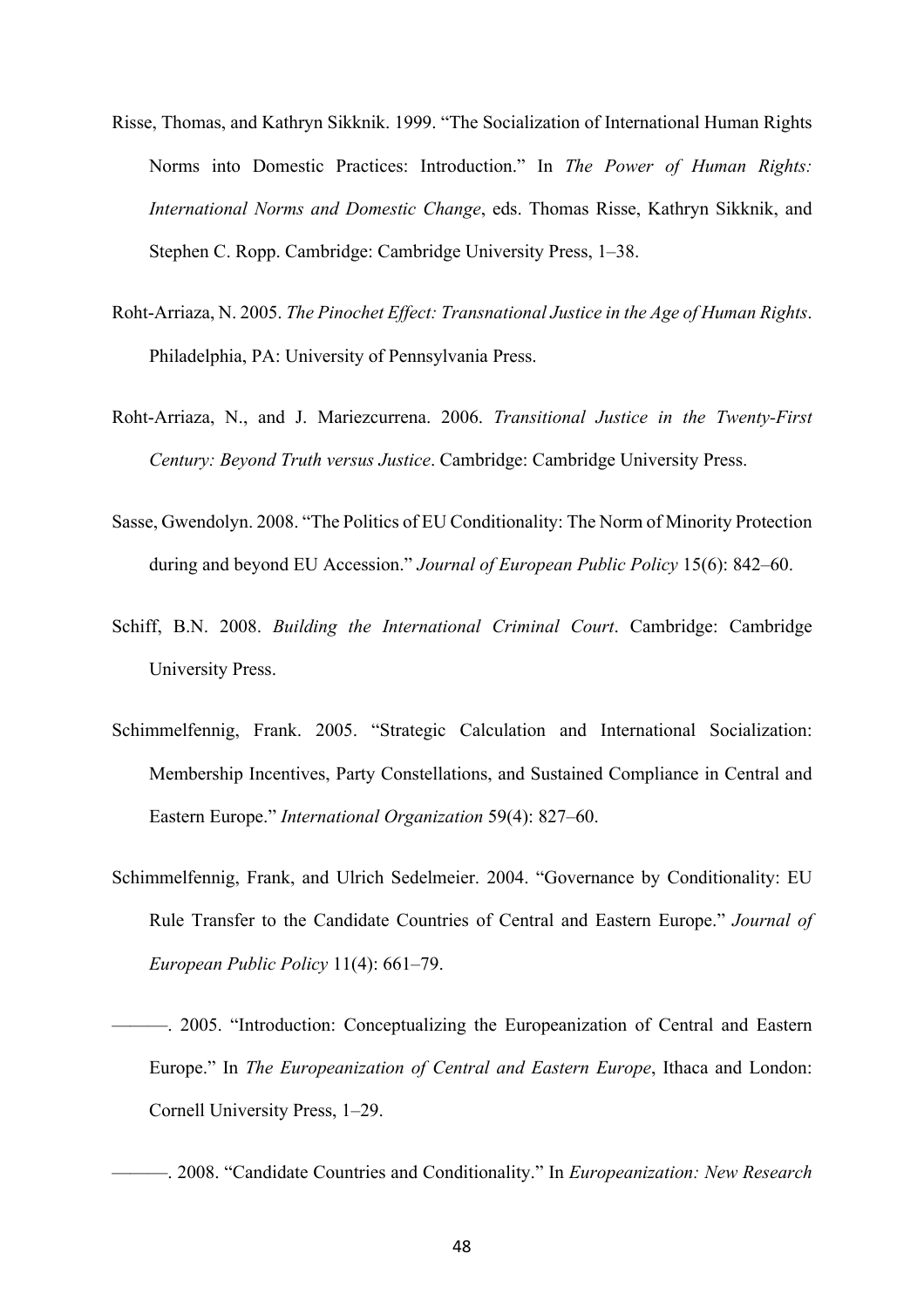- Risse, Thomas, and Kathryn Sikknik. 1999. "The Socialization of International Human Rights Norms into Domestic Practices: Introduction." In *The Power of Human Rights: International Norms and Domestic Change*, eds. Thomas Risse, Kathryn Sikknik, and Stephen C. Ropp. Cambridge: Cambridge University Press, 1–38.
- Roht-Arriaza, N. 2005. *The Pinochet Effect: Transnational Justice in the Age of Human Rights*. Philadelphia, PA: University of Pennsylvania Press.
- Roht-Arriaza, N., and J. Mariezcurrena. 2006. *Transitional Justice in the Twenty-First Century: Beyond Truth versus Justice*. Cambridge: Cambridge University Press.
- Sasse, Gwendolyn. 2008. "The Politics of EU Conditionality: The Norm of Minority Protection during and beyond EU Accession." *Journal of European Public Policy* 15(6): 842–60.
- Schiff, B.N. 2008. *Building the International Criminal Court*. Cambridge: Cambridge University Press.
- Schimmelfennig, Frank. 2005. "Strategic Calculation and International Socialization: Membership Incentives, Party Constellations, and Sustained Compliance in Central and Eastern Europe." *International Organization* 59(4): 827–60.
- Schimmelfennig, Frank, and Ulrich Sedelmeier. 2004. "Governance by Conditionality: EU Rule Transfer to the Candidate Countries of Central and Eastern Europe." *Journal of European Public Policy* 11(4): 661–79.

<sup>———. 2005. &</sup>quot;Introduction: Conceptualizing the Europeanization of Central and Eastern Europe." In *The Europeanization of Central and Eastern Europe*, Ithaca and London: Cornell University Press, 1–29.

<sup>———. 2008. &</sup>quot;Candidate Countries and Conditionality." In *Europeanization: New Research*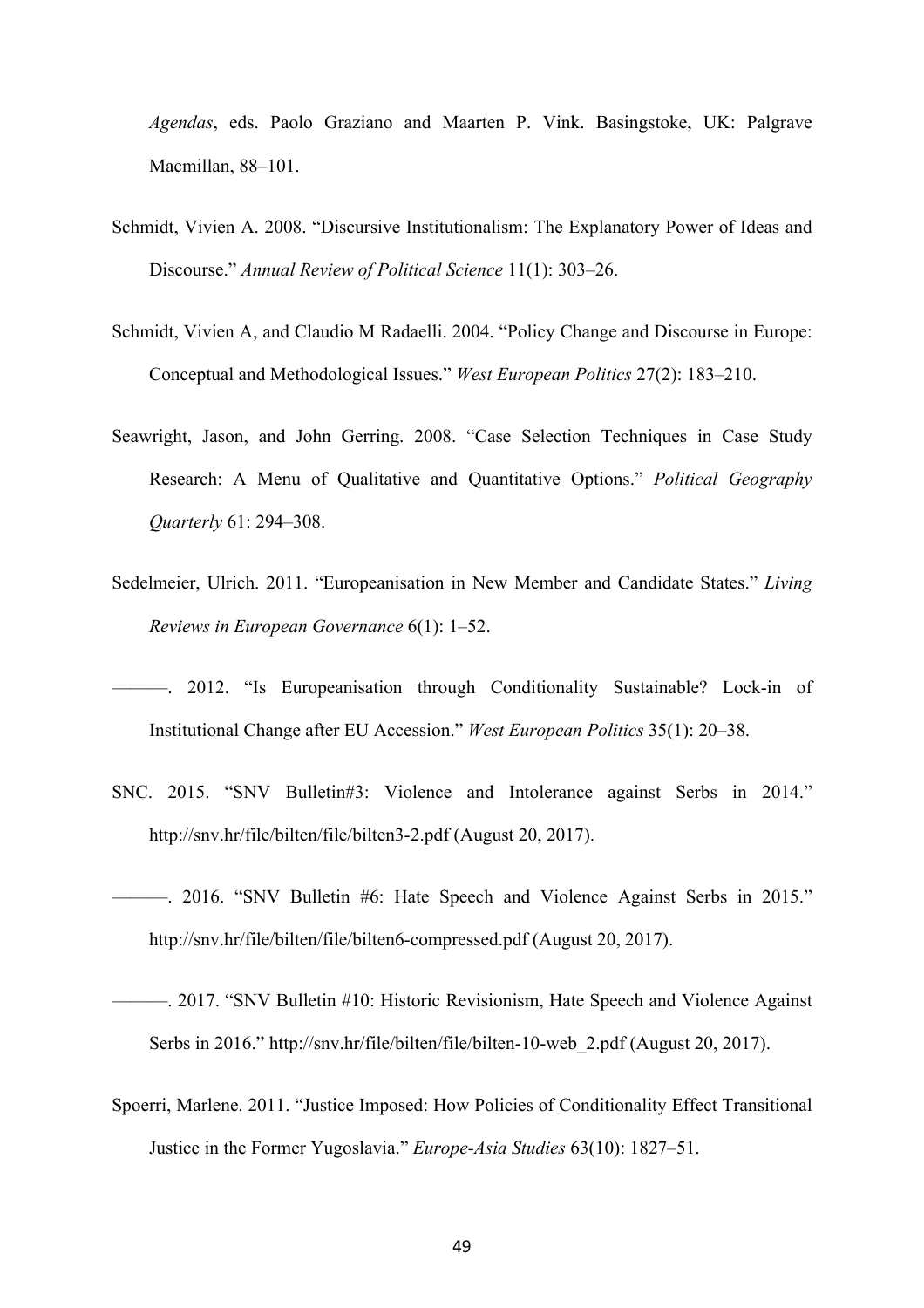*Agendas*, eds. Paolo Graziano and Maarten P. Vink. Basingstoke, UK: Palgrave Macmillan, 88–101.

- Schmidt, Vivien A. 2008. "Discursive Institutionalism: The Explanatory Power of Ideas and Discourse." *Annual Review of Political Science* 11(1): 303–26.
- Schmidt, Vivien A, and Claudio M Radaelli. 2004. "Policy Change and Discourse in Europe: Conceptual and Methodological Issues." *West European Politics* 27(2): 183–210.
- Seawright, Jason, and John Gerring. 2008. "Case Selection Techniques in Case Study Research: A Menu of Qualitative and Quantitative Options." *Political Geography Quarterly* 61: 294–308.
- Sedelmeier, Ulrich. 2011. "Europeanisation in New Member and Candidate States." *Living Reviews in European Governance* 6(1): 1–52.
- ———. 2012. "Is Europeanisation through Conditionality Sustainable? Lock-in of Institutional Change after EU Accession." *West European Politics* 35(1): 20–38.
- SNC. 2015. "SNV Bulletin#3: Violence and Intolerance against Serbs in 2014." http://snv.hr/file/bilten/file/bilten3-2.pdf (August 20, 2017).
- ———. 2016. "SNV Bulletin #6: Hate Speech and Violence Against Serbs in 2015." http://snv.hr/file/bilten/file/bilten6-compressed.pdf (August 20, 2017).
- ———. 2017. "SNV Bulletin #10: Historic Revisionism, Hate Speech and Violence Against Serbs in 2016." http://snv.hr/file/bilten/file/bilten-10-web\_2.pdf (August 20, 2017).
- Spoerri, Marlene. 2011. "Justice Imposed: How Policies of Conditionality Effect Transitional Justice in the Former Yugoslavia." *Europe-Asia Studies* 63(10): 1827–51.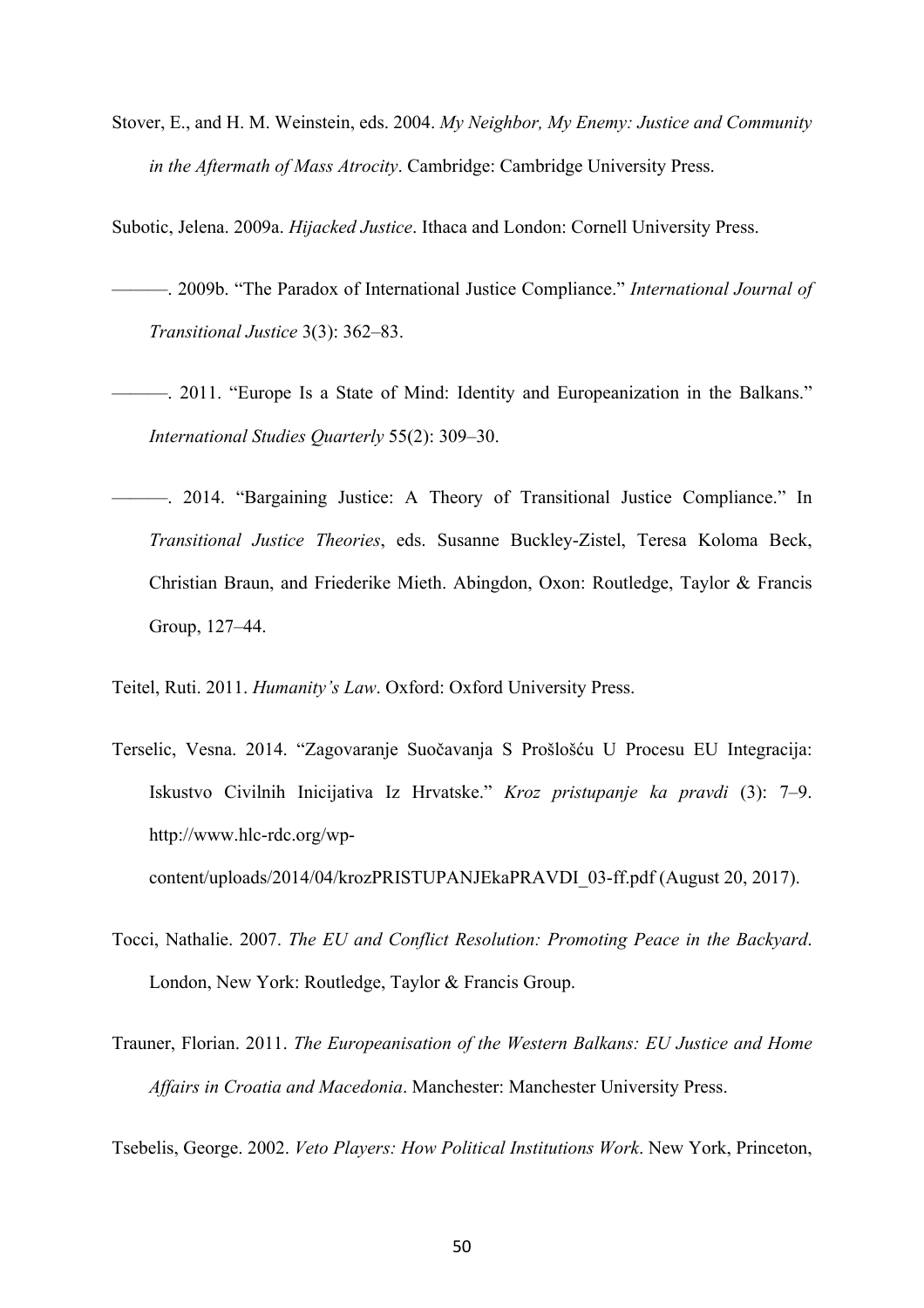Stover, E., and H. M. Weinstein, eds. 2004. *My Neighbor, My Enemy: Justice and Community in the Aftermath of Mass Atrocity*. Cambridge: Cambridge University Press.

Subotic, Jelena. 2009a. *Hijacked Justice*. Ithaca and London: Cornell University Press.

- ———. 2009b. "The Paradox of International Justice Compliance." *International Journal of Transitional Justice* 3(3): 362–83.
- ———. 2011. "Europe Is a State of Mind: Identity and Europeanization in the Balkans." *International Studies Quarterly* 55(2): 309–30.
- ———. 2014. "Bargaining Justice: A Theory of Transitional Justice Compliance." In *Transitional Justice Theories*, eds. Susanne Buckley-Zistel, Teresa Koloma Beck, Christian Braun, and Friederike Mieth. Abingdon, Oxon: Routledge, Taylor & Francis Group, 127–44.

Teitel, Ruti. 2011. *Humanity's Law*. Oxford: Oxford University Press.

- Terselic, Vesna. 2014. "Zagovaranje Suočavanja S Prošlošću U Procesu EU Integracija: Iskustvo Civilnih Inicijativa Iz Hrvatske." *Kroz pristupanje ka pravdi* (3): 7–9. http://www.hlc-rdc.org/wpcontent/uploads/2014/04/krozPRISTUPANJEkaPRAVDI\_03-ff.pdf (August 20, 2017).
	-
- Tocci, Nathalie. 2007. *The EU and Conflict Resolution: Promoting Peace in the Backyard*. London, New York: Routledge, Taylor & Francis Group.
- Trauner, Florian. 2011. *The Europeanisation of the Western Balkans: EU Justice and Home Affairs in Croatia and Macedonia*. Manchester: Manchester University Press.

Tsebelis, George. 2002. *Veto Players: How Political Institutions Work*. New York, Princeton,